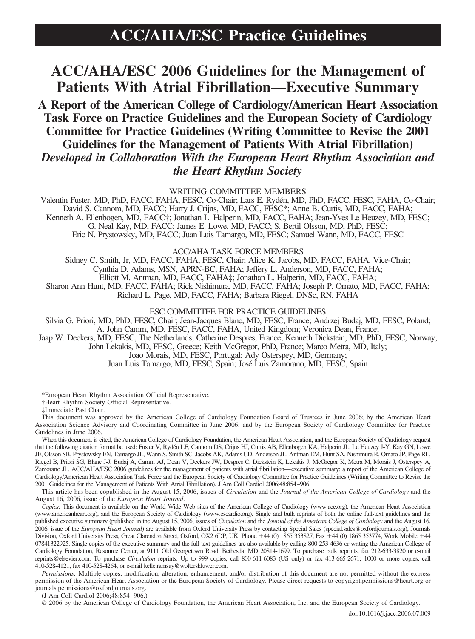# **ACC/AHA/ESC 2006 Guidelines for the Management of Patients With Atrial Fibrillation—Executive Summary**

**A Report of the American College of Cardiology/American Heart Association Task Force on Practice Guidelines and the European Society of Cardiology Committee for Practice Guidelines (Writing Committee to Revise the 2001 Guidelines for the Management of Patients With Atrial Fibrillation)** *Developed in Collaboration With the European Heart Rhythm Association and the Heart Rhythm Society*

WRITING COMMITTEE MEMBERS

Valentin Fuster, MD, PhD, FACC, FAHA, FESC, Co-Chair; Lars E. Rydén, MD, PhD, FACC, FESC, FAHA, Co-Chair; David S. Cannom, MD, FACC; Harry J. Crijns, MD, FACC, FESC\*; Anne B. Curtis, MD, FACC, FAHA; Kenneth A. Ellenbogen, MD, FACC†; Jonathan L. Halperin, MD, FACC, FAHA; Jean-Yves Le Heuzey, MD, FESC; G. Neal Kay, MD, FACC; James E. Lowe, MD, FACC; S. Bertil Olsson, MD, PhD, FESC; Eric N. Prystowsky, MD, FACC; Juan Luis Tamargo, MD, FESC; Samuel Wann, MD, FACC, FESC

ACC/AHA TASK FORCE MEMBERS

Sidney C. Smith, Jr, MD, FACC, FAHA, FESC, Chair; Alice K. Jacobs, MD, FACC, FAHA, Vice-Chair; Cynthia D. Adams, MSN, APRN-BC, FAHA; Jeffery L. Anderson, MD, FACC, FAHA; Elliott M. Antman, MD, FACC, FAHA‡; Jonathan L. Halperin, MD, FACC, FAHA; Sharon Ann Hunt, MD, FACC, FAHA; Rick Nishimura, MD, FACC, FAHA; Joseph P. Ornato, MD, FACC, FAHA; Richard L. Page, MD, FACC, FAHA; Barbara Riegel, DNSc, RN, FAHA

# ESC COMMITTEE FOR PRACTICE GUIDELINES

Silvia G. Priori, MD, PhD, FESC, Chair; Jean-Jacques Blanc, MD, FESC, France; Andrzej Budaj, MD, FESC, Poland; A. John Camm, MD, FESC, FACC, FAHA, United Kingdom; Veronica Dean, France; Jaap W. Deckers, MD, FESC, The Netherlands; Catherine Despres, France; Kenneth Dickstein, MD, PhD, FESC, Norway; John Lekakis, MD, FESC, Greece; Keith McGregor, PhD, France; Marco Metra, MD, Italy; Joao Morais, MD, FESC, Portugal; Ady Osterspey, MD, Germany; Juan Luis Tamargo, MD, FESC, Spain; José Luis Zamorano, MD, FESC, Spain

This article has been copublished in the August 15, 2006, issues of *Circulation* and the *Journal of the American College of Cardiology* and the August 16, 2006, issue of the *European Heart Journal*.

*Copies:* This document is available on the World Wide Web sites of the American College of Cardiology (www.acc.org), the American Heart Association (www.americanheart.org), and the European Society of Cardiology (www.escardio.org). Single and bulk reprints of both the online full-text guidelines and the published executive summary (published in the August 15, 2006, issues of *Circulation* and the *Journal of the American College of Cardiology* and the August 16, 2006, issue of the *European Heart Journal*) are available from Oxford University Press by contacting Special Sales (special.sales@oxfordjournals.org), Journals Division, Oxford University Press, Great Clarendon Street, Oxford, OX2 6DP, UK. Phone 44 (0) 1865 353827, Fax 44 (0) 1865 353774, Work Mobile 44 07841322925. Single copies of the executive summary and the full-text guidelines are also available by calling 800-253-4636 or writing the American College of Cardiology Foundation, Resource Center, at 9111 Old Georgetown Road, Bethesda, MD 20814-1699. To purchase bulk reprints, fax 212-633-3820 or e-mail reprints@elsevier.com. To purchase *Circulation* reprints: Up to 999 copies, call 800-611-6083 (US only) or fax 413-665-2671; 1000 or more copies, call 410-528-4121, fax 410-528-4264, or e-mail kelle.ramsay@wolterskluwer.com.

*Permissions:* Multiple copies, modification, alteration, enhancement, and/or distribution of this document are not permitted without the express permission of the American Heart Association or the European Society of Cardiology. Please direct requests to copyright.permissions@heart.org or journals.permissions@oxfordjournals.org.

(J Am Coll Cardiol 2006;48:854 –906.)

© 2006 by the American College of Cardiology Foundation, the American Heart Association, Inc, and the European Society of Cardiology.

<sup>\*</sup>European Heart Rhythm Association Official Representative.

<sup>†</sup>Heart Rhythm Society Official Representative.

<sup>‡</sup>Immediate Past Chair.

This document was approved by the American College of Cardiology Foundation Board of Trustees in June 2006; by the American Heart Association Science Advisory and Coordinating Committee in June 2006; and by the European Society of Cardiology Committee for Practice Guidelines in June 2006.

When this document is cited, the American College of Cardiology Foundation, the American Heart Association, and the European Society of Cardiology request that the following citation format be used: Fuster V, Rydén LE, Cannom DS, Crijns HJ, Curtis AB, Ellenbogen KA, Halperin JL, Le Heuzey J-Y, Kay GN, Lowe JE, Olsson SB, Prystowsky EN, Tamargo JL, Wann S, Smith SC, Jacobs AK, Adams CD, Anderson JL, Antman EM, Hunt SA, Nishimura R, Ornato JP, Page RL, Riegel B, Priori SG, Blanc J-J, Budaj A, Camm AJ, Dean V, Deckers JW, Despres C, Dickstein K, Lekakis J, McGregor K, Metra M, Morais J, Osterspey A, Zamorano JL. ACC/AHA/ESC 2006 guidelines for the management of patients with atrial fibrillation—executive summary: a report of the American College of Cardiology/American Heart Association Task Force and the European Society of Cardiology Committee for Practice Guidelines (Writing Committee to Revise the 2001 Guidelines for the Management of Patients With Atrial Fibrillation). J Am Coll Cardiol 2006;48:854–906.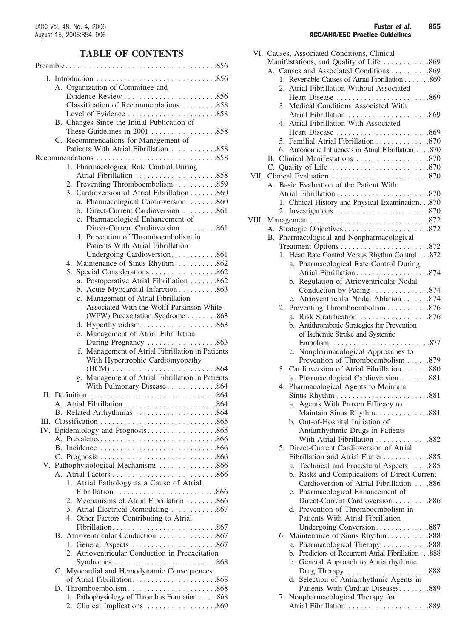# **TABLE OF CONTENTS**

| A. Organization of Committee and                                           |
|----------------------------------------------------------------------------|
|                                                                            |
| Classification of Recommendations 858                                      |
| Level of Evidence 858                                                      |
| B. Changes Since the Initial Publication of                                |
| These Guidelines in 2001 858                                               |
| C. Recommendations for Management of                                       |
| Patients With Atrial Fibrillation 858                                      |
|                                                                            |
| 1. Pharmacological Rate Control During<br>Atrial Fibrillation 858          |
| 2. Preventing Thromboembolism 859                                          |
| 3. Cardioversion of Atrial Fibrillation 860                                |
| a. Pharmacological Cardioversion860                                        |
| b. Direct-Current Cardioversion 861                                        |
| c. Pharmacological Enhancement of                                          |
| Direct-Current Cardioversion 861                                           |
| d. Prevention of Thromboembolism in                                        |
| Patients With Atrial Fibrillation                                          |
| Undergoing Cardioversion861                                                |
| 4. Maintenance of Sinus Rhythm862                                          |
| 5. Special Considerations 862                                              |
| a. Postoperative Atrial Fibrillation 862                                   |
|                                                                            |
| b. Acute Myocardial Infarction 863<br>c. Management of Atrial Fibrillation |
| Associated With the Wolff-Parkinson-White                                  |
|                                                                            |
| (WPW) Preexcitation Syndrome 863                                           |
|                                                                            |
| e. Management of Atrial Fibrillation                                       |
| During Pregnancy 863                                                       |
| f. Management of Atrial Fibrillation in Patients                           |
| With Hypertrophic Cardiomyopathy                                           |
|                                                                            |
| g. Management of Atrial Fibrillation in Patients                           |
| With Pulmonary Disease864                                                  |
|                                                                            |
|                                                                            |
| B. Related Arrhythmias 864                                                 |
|                                                                            |
| IV. Epidemiology and Prognosis865                                          |
|                                                                            |
|                                                                            |
|                                                                            |
| V. Pathophysiological Mechanisms 866                                       |
|                                                                            |
| Atrial Pathology as a Cause of Atrial<br>1.                                |
|                                                                            |
| 2. Mechanisms of Atrial Fibrillation 866                                   |
| 3. Atrial Electrical Remodeling 867                                        |
| 4. Other Factors Contributing to Atrial                                    |
|                                                                            |
| B. Atrioventricular Conduction 867                                         |
|                                                                            |
| 2. Atrioventricular Conduction in Preexcitation                            |
|                                                                            |
| C. Myocardial and Hemodynamic Consequences                                 |
| of Atrial Fibrillation868                                                  |
|                                                                            |
| 1. Pathophysiology of Thrombus Formation 868                               |
| 2. Clinical Implications869                                                |
|                                                                            |

# JACC Vol. 48, No. 4, 2006<br>
August 15, 2006:854–906<br> **ACC/AHA/ESC Practice Guidelines** ACC/AHA/ESC Practice Guidelines

|      |    | VI. Causes, Associated Conditions, Clinical                              |
|------|----|--------------------------------------------------------------------------|
|      |    | Manifestations, and Quality of Life 869                                  |
|      |    | A. Causes and Associated Conditions 869                                  |
|      |    | 1. Reversible Causes of Atrial Fibrillation 869                          |
|      |    | 2. Atrial Fibrillation Without Associated                                |
|      |    | Heart Disease 869<br>3. Medical Conditions Associated With               |
|      |    | Atrial Fibrillation 869                                                  |
|      |    | 4. Atrial Fibrillation With Associated                                   |
|      |    | Heart Disease 869                                                        |
|      |    | 5. Familial Atrial Fibrillation 870                                      |
|      |    | 6. Autonomic Influences in Atrial Fibrillation 870                       |
|      | В. | Clinical Manifestations 870                                              |
|      |    |                                                                          |
| VII. |    |                                                                          |
|      |    | A. Basic Evaluation of the Patient With                                  |
|      |    | 1. Clinical History and Physical Examination. 870                        |
|      |    |                                                                          |
|      |    |                                                                          |
|      |    |                                                                          |
|      |    | B. Pharmacological and Nonpharmacological                                |
|      |    |                                                                          |
|      |    | 1. Heart Rate Control Versus Rhythm Control872                           |
|      |    | Pharmacological Rate Control During<br>a.                                |
|      |    | b. Regulation of Atrioventricular Nodal                                  |
|      |    | Conduction by Pacing 874                                                 |
|      |    | c. Atrioventricular Nodal Ablation 874                                   |
|      |    | 2. Preventing Thromboembolism 876                                        |
|      |    | a. Risk Stratification 876                                               |
|      |    | b. Antithrombotic Strategies for Prevention                              |
|      |    | of Ischemic Stroke and Systemic                                          |
|      |    |                                                                          |
|      |    | c. Nonpharmacological Approaches to<br>Prevention of Thromboembolism 879 |
|      |    | 3. Cardioversion of Atrial Fibrillation 880                              |
|      |    | a. Pharmacological Cardioversion881                                      |
|      | 4. | Pharmacological Agents to Maintain                                       |
|      |    |                                                                          |
|      |    | a. Agents With Proven Efficacy to                                        |
|      |    | Maintain Sinus Rhythm881                                                 |
|      |    | b. Out-of-Hospital Initiation of                                         |
|      |    | Antiarrhythmic Drugs in Patients<br>With Atrial Fibrillation 882         |
|      |    | 5. Direct-Current Cardioversion of Atrial                                |
|      |    | Fibrillation and Atrial Flutter885                                       |
|      |    | a. Technical and Procedural Aspects 885                                  |
|      |    | b. Risks and Complications of Direct-Current                             |
|      |    | Cardioversion of Atrial Fibrillation886                                  |
|      |    | c. Pharmacological Enhancement of                                        |
|      |    | Direct-Current Cardioversion 886<br>d. Prevention of Thromboembolism in  |
|      |    | Patients With Atrial Fibrillation                                        |
|      |    | Undergoing Conversion887                                                 |
|      |    | 6. Maintenance of Sinus Rhythm888                                        |
|      |    | a. Pharmacological Therapy 888                                           |
|      |    | b. Predictors of Recurrent Atrial Fibrillation888                        |
|      |    | c. General Approach to Antiarrhythmic                                    |
|      |    | Drug Therapy888                                                          |
|      |    | d. Selection of Antiarrhythmic Agents in                                 |
|      |    | Patients With Cardiac Diseases889<br>7. Nonpharmacological Therapy for   |
|      |    | Atrial Fibrillation 889                                                  |
|      |    |                                                                          |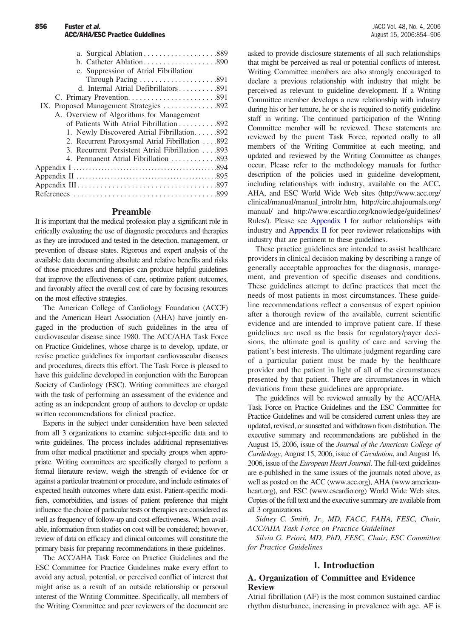| a. Surgical Ablation889                         |
|-------------------------------------------------|
| b. Catheter Ablation890                         |
| c. Suppression of Atrial Fibrillation           |
|                                                 |
| d. Internal Atrial Defibrillators891            |
|                                                 |
| IX. Proposed Management Strategies 892          |
| A. Overview of Algorithms for Management        |
|                                                 |
| 1. Newly Discovered Atrial Fibrillation892      |
| 2. Recurrent Paroxysmal Atrial Fibrillation 892 |
| 3. Recurrent Persistent Atrial Fibrillation 893 |
| 4. Permanent Atrial Fibrillation 893            |
|                                                 |
|                                                 |
|                                                 |
|                                                 |
|                                                 |

#### **Preamble**

It is important that the medical profession play a significant role in critically evaluating the use of diagnostic procedures and therapies as they are introduced and tested in the detection, management, or prevention of disease states. Rigorous and expert analysis of the available data documenting absolute and relative benefits and risks of those procedures and therapies can produce helpful guidelines that improve the effectiveness of care, optimize patient outcomes, and favorably affect the overall cost of care by focusing resources on the most effective strategies.

The American College of Cardiology Foundation (ACCF) and the American Heart Association (AHA) have jointly engaged in the production of such guidelines in the area of cardiovascular disease since 1980. The ACC/AHA Task Force on Practice Guidelines, whose charge is to develop, update, or revise practice guidelines for important cardiovascular diseases and procedures, directs this effort. The Task Force is pleased to have this guideline developed in conjunction with the European Society of Cardiology (ESC). Writing committees are charged with the task of performing an assessment of the evidence and acting as an independent group of authors to develop or update written recommendations for clinical practice.

Experts in the subject under consideration have been selected from all 3 organizations to examine subject-specific data and to write guidelines. The process includes additional representatives from other medical practitioner and specialty groups when appropriate. Writing committees are specifically charged to perform a formal literature review, weigh the strength of evidence for or against a particular treatment or procedure, and include estimates of expected health outcomes where data exist. Patient-specific modifiers, comorbidities, and issues of patient preference that might influence the choice of particular tests or therapies are considered as well as frequency of follow-up and cost-effectiveness. When available, information from studies on cost will be considered; however, review of data on efficacy and clinical outcomes will constitute the primary basis for preparing recommendations in these guidelines.

The ACC/AHA Task Force on Practice Guidelines and the ESC Committee for Practice Guidelines make every effort to avoid any actual, potential, or perceived conflict of interest that might arise as a result of an outside relationship or personal interest of the Writing Committee. Specifically, all members of the Writing Committee and peer reviewers of the document are

asked to provide disclosure statements of all such relationships that might be perceived as real or potential conflicts of interest. Writing Committee members are also strongly encouraged to declare a previous relationship with industry that might be perceived as relevant to guideline development. If a Writing Committee member develops a new relationship with industry during his or her tenure, he or she is required to notify guideline staff in writing. The continued participation of the Writing Committee member will be reviewed. These statements are reviewed by the parent Task Force, reported orally to all members of the Writing Committee at each meeting, and updated and reviewed by the Writing Committee as changes occur. Please refer to the methodology manuals for further description of the policies used in guideline development, including relationships with industry, available on the ACC, AHA, and ESC World Wide Web sites (http://www.acc.org/ clinical/manual/manual\_introltr.htm, http://circ.ahajournals.org/ manual/ and http://www.escardio.org/knowledge/guidelines/ Rules/). Please see [Appendix](#page-40-0) I for author relationships with industry and [Appendix](#page-41-0) II for peer reviewer relationships with industry that are pertinent to these guidelines.

These practice guidelines are intended to assist healthcare providers in clinical decision making by describing a range of generally acceptable approaches for the diagnosis, management, and prevention of specific diseases and conditions. These guidelines attempt to define practices that meet the needs of most patients in most circumstances. These guideline recommendations reflect a consensus of expert opinion after a thorough review of the available, current scientific evidence and are intended to improve patient care. If these guidelines are used as the basis for regulatory/payer decisions, the ultimate goal is quality of care and serving the patient's best interests. The ultimate judgment regarding care of a particular patient must be made by the healthcare provider and the patient in light of all of the circumstances presented by that patient. There are circumstances in which deviations from these guidelines are appropriate.

The guidelines will be reviewed annually by the ACC/AHA Task Force on Practice Guidelines and the ESC Committee for Practice Guidelines and will be considered current unless they are updated, revised, or sunsetted and withdrawn from distribution. The executive summary and recommendations are published in the August 15, 2006, issue of the *Journal of the American College of Cardiology*, August 15, 2006, issue of *Circulation*, and August 16, 2006, issue of the *European Heart Journal*. The full-text guidelines are e-published in the same issues of the journals noted above, as well as posted on the ACC (www.acc.org), AHA (www.americanheart.org), and ESC (www.escardio.org) World Wide Web sites. Copies of the full text and the executive summary are available from all 3 organizations.

*Sidney C. Smith, Jr., MD, FACC, FAHA, FESC, Chair, ACC/AHA Task Force on Practice Guidelines*

*Silvia G. Priori, MD, PhD, FESC, Chair, ESC Committee for Practice Guidelines*

# **I. Introduction**

# **A. Organization of Committee and Evidence Review**

Atrial fibrillation (AF) is the most common sustained cardiac rhythm disturbance, increasing in prevalence with age. AF is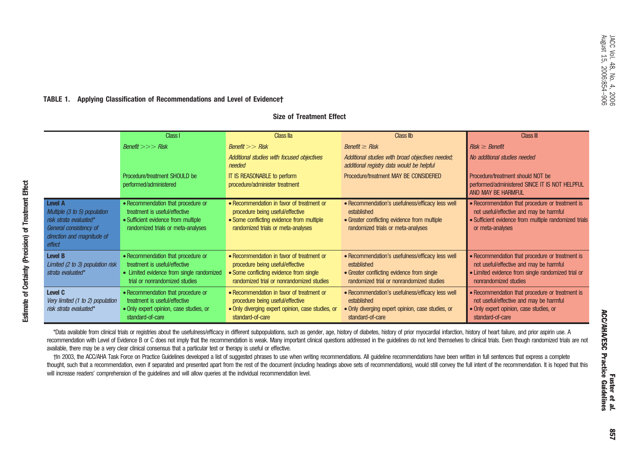# <span id="page-3-0"></span>**TABLE 1. Applying Classification of Recommendations and Level of Evidence†**

#### **Size of Treatment Effect**

|                                                                                                                                            | Class I                                                                                                                                            | <b>Class IIa</b>                                                                                                                                                      | <b>Class IIb</b>                                                                                                                                           | <b>Class III</b>                                                                                                                                                          |
|--------------------------------------------------------------------------------------------------------------------------------------------|----------------------------------------------------------------------------------------------------------------------------------------------------|-----------------------------------------------------------------------------------------------------------------------------------------------------------------------|------------------------------------------------------------------------------------------------------------------------------------------------------------|---------------------------------------------------------------------------------------------------------------------------------------------------------------------------|
|                                                                                                                                            | Benefit $>>$ Risk                                                                                                                                  | Benefit $>>$ Risk                                                                                                                                                     | Benefit $\geq$ Risk                                                                                                                                        | $Risk \geq$ Benefit                                                                                                                                                       |
|                                                                                                                                            |                                                                                                                                                    | Additional studies with focused objectives<br>needed                                                                                                                  | Additional studies with broad objectives needed;<br>additional registry data would be helpful                                                              | No additional studies needed                                                                                                                                              |
|                                                                                                                                            | Procedure/treatment SHOULD be<br>performed/administered                                                                                            | IT IS REASONABLE to perform<br>procedure/administer treatment                                                                                                         | Procedure/treatment MAY BE CONSIDERED                                                                                                                      | Procedure/treatment should NOT be<br>performed/administered SINCE IT IS NOT HELPFUL<br>AND MAY BE HARMFUL                                                                 |
| <b>Level A</b><br>Multiple (3 to 5) population<br>risk strata evaluated*<br>General consistency of<br>direction and magnitude of<br>effect | • Recommendation that procedure or<br>treatment is useful/effective<br>• Sufficient evidence from multiple<br>randomized trials or meta-analyses   | • Recommendation in favor of treatment or<br>procedure being useful/effective<br>• Some conflicting evidence from multiple<br>randomized trials or meta-analyses      | • Recommendation's usefulness/efficacy less well<br>established<br>• Greater conflicting evidence from multiple<br>randomized trials or meta-analyses      | • Recommendation that procedure or treatment is<br>not useful/effective and may be harmful<br>• Sufficient evidence from multiple randomized trials<br>or meta-analyses   |
| <b>Level B</b><br>Limited (2 to 3) population risk<br>strata evaluated*                                                                    | • Recommendation that procedure or<br>treatment is useful/effective<br>• Limited evidence from single randomized<br>trial or nonrandomized studies | • Recommendation in favor of treatment or<br>procedure being useful/effective<br>• Some conflicting evidence from single<br>randomized trial or nonrandomized studies | • Recommendation's usefulness/efficacy less well<br>established<br>• Greater conflicting evidence from single<br>randomized trial or nonrandomized studies | • Recommendation that procedure or treatment is<br>not useful/effective and may be harmful<br>• Limited evidence from single randomized trial or<br>nonrandomized studies |
| Level C<br>Very limited (1 to 2) population<br>risk strata evaluated*                                                                      | • Recommendation that procedure or<br>treatment is useful/effective<br>• Only expert opinion, case studies, or<br>standard-of-care                 | • Recommendation in favor of treatment or<br>procedure being useful/effective<br>• Only diverging expert opinion, case studies, or<br>standard-of-care                | • Recommendation's usefulness/efficacy less well<br>established<br>• Only diverging expert opinion, case studies, or<br>standard-of-care                   | • Recommendation that procedure or treatment is<br>not useful/effective and may be harmful<br>• Only expert opinion, case studies, or<br>standard-of-care                 |

\*Data available from clinical trials or registries about the usefulness/efficacy in different subpopulations, such as gender, age, history of diabetes, history of prior myocardial infarction, history of heart failure, and recommendation with Level of Evidence B or C does not imply that the recommendation is weak. Many important clinical questions addressed in the guidelines do not lend themselves to clinical trials. Even though randomized t available, there may be <sup>a</sup> very clear clinical consensus that <sup>a</sup> particular test or therapy is useful or effective.

†In 2003, the ACC/AHA Task Force on Practice Guidelines developed <sup>a</sup> list of suggested phrases to use when writing recommendations. All guideline recommendations have been written in full sentences that express <sup>a</sup> complete thought, such that a recommendation, even if separated and presented apart from the rest of the document (including headings above sets of recommendations), would still convey the full intent of the recommendation. It is h will increase readers' comprehension of the guidelines and will allow queries at the individual recommendation level.

<u>551</u>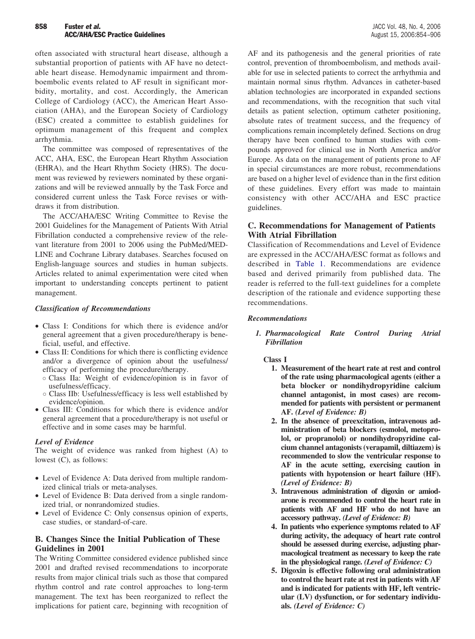often associated with structural heart disease, although a substantial proportion of patients with AF have no detectable heart disease. Hemodynamic impairment and thromboembolic events related to AF result in significant morbidity, mortality, and cost. Accordingly, the American College of Cardiology (ACC), the American Heart Association (AHA), and the European Society of Cardiology (ESC) created a committee to establish guidelines for optimum management of this frequent and complex arrhythmia.

The committee was composed of representatives of the ACC, AHA, ESC, the European Heart Rhythm Association (EHRA), and the Heart Rhythm Society (HRS). The document was reviewed by reviewers nominated by these organizations and will be reviewed annually by the Task Force and considered current unless the Task Force revises or withdraws it from distribution.

The ACC/AHA/ESC Writing Committee to Revise the 2001 Guidelines for the Management of Patients With Atrial Fibrillation conducted a comprehensive review of the relevant literature from 2001 to 2006 using the PubMed/MED-LINE and Cochrane Library databases. Searches focused on English-language sources and studies in human subjects. Articles related to animal experimentation were cited when important to understanding concepts pertinent to patient management.

#### *Classification of Recommendations*

- Class I: Conditions for which there is evidence and/or general agreement that a given procedure/therapy is beneficial, useful, and effective.
- Class II: Conditions for which there is conflicting evidence and/or a divergence of opinion about the usefulness/ efficacy of performing the procedure/therapy.
	- Class IIa: Weight of evidence/opinion is in favor of usefulness/efficacy.
	- Class IIb: Usefulness/efficacy is less well established by evidence/opinion.
- Class III: Conditions for which there is evidence and/or general agreement that a procedure/therapy is not useful or effective and in some cases may be harmful.

# *Level of Evidence*

The weight of evidence was ranked from highest (A) to lowest (C), as follows:

- Level of Evidence A: Data derived from multiple randomized clinical trials or meta-analyses.
- Level of Evidence B: Data derived from a single randomized trial, or nonrandomized studies.
- Level of Evidence C: Only consensus opinion of experts, case studies, or standard-of-care.

# **B. Changes Since the Initial Publication of These Guidelines in 2001**

The Writing Committee considered evidence published since 2001 and drafted revised recommendations to incorporate results from major clinical trials such as those that compared rhythm control and rate control approaches to long-term management. The text has been reorganized to reflect the implications for patient care, beginning with recognition of AF and its pathogenesis and the general priorities of rate control, prevention of thromboembolism, and methods available for use in selected patients to correct the arrhythmia and maintain normal sinus rhythm. Advances in catheter-based ablation technologies are incorporated in expanded sections and recommendations, with the recognition that such vital details as patient selection, optimum catheter positioning, absolute rates of treatment success, and the frequency of complications remain incompletely defined. Sections on drug therapy have been confined to human studies with compounds approved for clinical use in North America and/or Europe. As data on the management of patients prone to AF in special circumstances are more robust, recommendations are based on a higher level of evidence than in the first edition of these guidelines. Every effort was made to maintain consistency with other ACC/AHA and ESC practice guidelines.

# **C. Recommendations for Management of Patients With Atrial Fibrillation**

Classification of Recommendations and Level of Evidence are expressed in the ACC/AHA/ESC format as follows and described in [Table](#page-3-0) 1. Recommendations are evidence based and derived primarily from published data. The reader is referred to the full-text guidelines for a complete description of the rationale and evidence supporting these recommendations.

# *Recommendations*

# *1. Pharmacological Rate Control During Atrial Fibrillation*

# **Class I**

- **1. Measurement of the heart rate at rest and control of the rate using pharmacological agents (either a beta blocker or nondihydropyridine calcium channel antagonist, in most cases) are recommended for patients with persistent or permanent AF.** *(Level of Evidence: B)*
- **2. In the absence of preexcitation, intravenous administration of beta blockers (esmolol, metoprolol, or propranolol) or nondihydropyridine calcium channel antagonists (verapamil, diltiazem) is recommended to slow the ventricular response to AF in the acute setting, exercising caution in patients with hypotension or heart failure (HF).** *(Level of Evidence: B)*
- **3. Intravenous administration of digoxin or amiodarone is recommended to control the heart rate in patients with AF and HF who do not have an accessory pathway.** *(Level of Evidence: B)*
- **4. In patients who experience symptoms related to AF during activity, the adequacy of heart rate control should be assessed during exercise, adjusting pharmacological treatment as necessary to keep the rate in the physiological range.** *(Level of Evidence: C)*
- **5. Digoxin is effective following oral administration to control the heart rate at rest in patients with AF and is indicated for patients with HF, left ventricular (LV) dysfunction, or for sedentary individuals.** *(Level of Evidence: C)*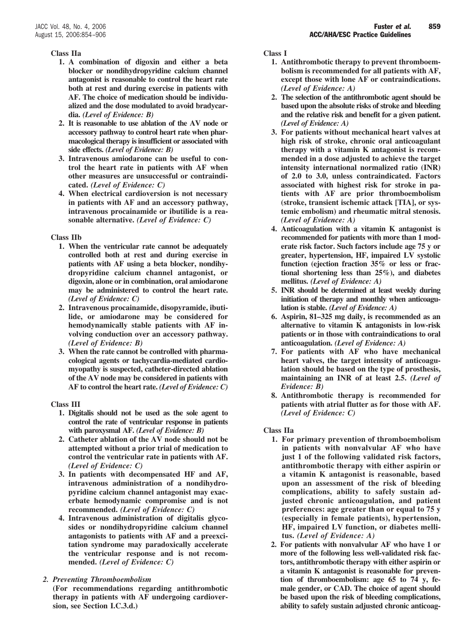# **Class IIa**

- **1. A combination of digoxin and either a beta blocker or nondihydropyridine calcium channel antagonist is reasonable to control the heart rate both at rest and during exercise in patients with AF. The choice of medication should be individualized and the dose modulated to avoid bradycardia.** *(Level of Evidence: B)*
- **2. It is reasonable to use ablation of the AV node or accessory pathway to control heart rate when pharmacological therapy is insufficient or associated with side effects.** *(Level of Evidence: B)*
- **3. Intravenous amiodarone can be useful to control the heart rate in patients with AF when other measures are unsuccessful or contraindicated.** *(Level of Evidence: C)*
- **4. When electrical cardioversion is not necessary in patients with AF and an accessory pathway, intravenous procainamide or ibutilide is a reasonable alternative.** *(Level of Evidence: C)*

# **Class IIb**

- **1. When the ventricular rate cannot be adequately controlled both at rest and during exercise in patients with AF using a beta blocker, nondihydropyridine calcium channel antagonist, or digoxin, alone or in combination, oral amiodarone may be administered to control the heart rate.** *(Level of Evidence: C)*
- **2. Intravenous procainamide, disopyramide, ibutilide, or amiodarone may be considered for hemodynamically stable patients with AF involving conduction over an accessory pathway.** *(Level of Evidence: B)*
- **3. When the rate cannot be controlled with pharmacological agents or tachycardia-mediated cardiomyopathy is suspected, catheter-directed ablation of the AV node may be considered in patients with AF to control the heart rate.** *(Level of Evidence: C)*

# **Class III**

- **1. Digitalis should not be used as the sole agent to control the rate of ventricular response in patients with paroxysmal AF.** *(Level of Evidence: B)*
- **2. Catheter ablation of the AV node should not be attempted without a prior trial of medication to control the ventricular rate in patients with AF.** *(Level of Evidence: C)*
- **3. In patients with decompensated HF and AF, intravenous administration of a nondihydropyridine calcium channel antagonist may exacerbate hemodynamic compromise and is not recommended.** *(Level of Evidence: C)*
- **4. Intravenous administration of digitalis glycosides or nondihydropyridine calcium channel antagonists to patients with AF and a preexcitation syndrome may paradoxically accelerate the ventricular response and is not recommended.** *(Level of Evidence: C)*

# *2. Preventing Thromboembolism*

**(For recommendations regarding antithrombotic therapy in patients with AF undergoing cardioversion, see Section I.C.3.d.)**

# **Class I**

- **1. Antithrombotic therapy to prevent thromboembolism is recommended for all patients with AF, except those with lone AF or contraindications.** *(Level of Evidence: A)*
- **2. The selection of the antithrombotic agent should be based upon the absolute risks of stroke and bleeding and the relative risk and benefit for a given patient.** *(Level of Evidence: A)*
- **3. For patients without mechanical heart valves at high risk of stroke, chronic oral anticoagulant therapy with a vitamin K antagonist is recommended in a dose adjusted to achieve the target intensity international normalized ratio (INR) of 2.0 to 3.0, unless contraindicated. Factors associated with highest risk for stroke in patients with AF are prior thromboembolism (stroke, transient ischemic attack [TIA], or systemic embolism) and rheumatic mitral stenosis.** *(Level of Evidence: A)*
- **4. Anticoagulation with a vitamin K antagonist is recommended for patients with more than 1 moderate risk factor. Such factors include age 75 y or greater, hypertension, HF, impaired LV systolic function (ejection fraction 35% or less or fractional shortening less than 25%), and diabetes mellitus.** *(Level of Evidence: A)*
- **5. INR should be determined at least weekly during initiation of therapy and monthly when anticoagulation is stable.** *(Level of Evidence: A)*
- **6. Aspirin, 81–325 mg daily, is recommended as an alternative to vitamin K antagonists in low-risk patients or in those with contraindications to oral anticoagulation.** *(Level of Evidence: A)*
- **7. For patients with AF who have mechanical heart valves, the target intensity of anticoagulation should be based on the type of prosthesis, maintaining an INR of at least 2.5.** *(Level of Evidence: B)*
- **8. Antithrombotic therapy is recommended for patients with atrial flutter as for those with AF.** *(Level of Evidence: C)*

# **Class IIa**

- **1. For primary prevention of thromboembolism in patients with nonvalvular AF who have just 1 of the following validated risk factors, antithrombotic therapy with either aspirin or a vitamin K antagonist is reasonable, based upon an assessment of the risk of bleeding complications, ability to safely sustain adjusted chronic anticoagulation, and patient preferences: age greater than or equal to 75 y (especially in female patients), hypertension, HF, impaired LV function, or diabetes mellitus.** *(Level of Evidence: A)*
- **2. For patients with nonvalvular AF who have 1 or more of the following less well-validated risk factors, antithrombotic therapy with either aspirin or a vitamin K antagonist is reasonable for prevention of thromboembolism: age 65 to 74 y, female gender, or CAD. The choice of agent should be based upon the risk of bleeding complications, ability to safely sustain adjusted chronic anticoag-**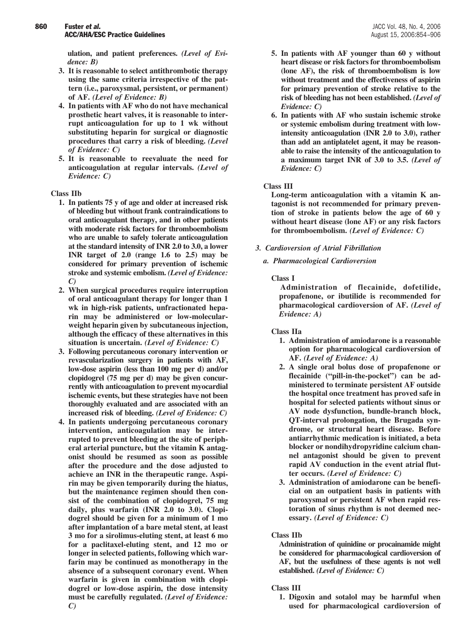**ulation, and patient preferences.** *(Level of Evidence: B)*

- **3. It is reasonable to select antithrombotic therapy using the same criteria irrespective of the pattern (i.e., paroxysmal, persistent, or permanent) of AF.** *(Level of Evidence: B)*
- **4. In patients with AF who do not have mechanical prosthetic heart valves, it is reasonable to interrupt anticoagulation for up to 1 wk without substituting heparin for surgical or diagnostic procedures that carry a risk of bleeding.** *(Level of Evidence: C)*
- **5. It is reasonable to reevaluate the need for anticoagulation at regular intervals.** *(Level of Evidence: C)*

# **Class IIb**

- **1. In patients 75 y of age and older at increased risk of bleeding but without frank contraindications to oral anticoagulant therapy, and in other patients with moderate risk factors for thromboembolism who are unable to safely tolerate anticoagulation at the standard intensity of INR 2.0 to 3.0, a lower INR target of 2.0 (range 1.6 to 2.5) may be considered for primary prevention of ischemic stroke and systemic embolism.** *(Level of Evidence: C)*
- **2. When surgical procedures require interruption of oral anticoagulant therapy for longer than 1 wk in high-risk patients, unfractionated heparin may be administered or low-molecularweight heparin given by subcutaneous injection, although the efficacy of these alternatives in this situation is uncertain.** *(Level of Evidence: C)*
- **3. Following percutaneous coronary intervention or revascularization surgery in patients with AF, low-dose aspirin (less than 100 mg per d) and/or clopidogrel (75 mg per d) may be given concurrently with anticoagulation to prevent myocardial ischemic events, but these strategies have not been thoroughly evaluated and are associated with an increased risk of bleeding.** *(Level of Evidence: C)*
- **4. In patients undergoing percutaneous coronary intervention, anticoagulation may be interrupted to prevent bleeding at the site of peripheral arterial puncture, but the vitamin K antagonist should be resumed as soon as possible after the procedure and the dose adjusted to achieve an INR in the therapeutic range. Aspirin may be given temporarily during the hiatus, but the maintenance regimen should then consist of the combination of clopidogrel, 75 mg daily, plus warfarin (INR 2.0 to 3.0). Clopidogrel should be given for a minimum of 1 mo after implantation of a bare metal stent, at least 3 mo for a sirolimus-eluting stent, at least 6 mo for a paclitaxel-eluting stent, and 12 mo or longer in selected patients, following which warfarin may be continued as monotherapy in the absence of a subsequent coronary event. When warfarin is given in combination with clopidogrel or low-dose aspirin, the dose intensity must be carefully regulated.** *(Level of Evidence: C)*
- **5. In patients with AF younger than 60 y without heart disease or risk factors for thromboembolism (lone AF), the risk of thromboembolism is low without treatment and the effectiveness of aspirin for primary prevention of stroke relative to the risk of bleeding has not been established.** *(Level of Evidence: C)*
- **6. In patients with AF who sustain ischemic stroke or systemic embolism during treatment with lowintensity anticoagulation (INR 2.0 to 3.0), rather than add an antiplatelet agent, it may be reasonable to raise the intensity of the anticoagulation to a maximum target INR of 3.0 to 3.5.** *(Level of Evidence: C)*

# **Class III**

**Long-term anticoagulation with a vitamin K antagonist is not recommended for primary prevention of stroke in patients below the age of 60 y without heart disease (lone AF) or any risk factors for thromboembolism.** *(Level of Evidence: C)*

- *3. Cardioversion of Atrial Fibrillation*
	- *a. Pharmacological Cardioversion*

# **Class I**

**Administration of flecainide, dofetilide, propafenone, or ibutilide is recommended for pharmacological cardioversion of AF.** *(Level of Evidence: A)*

# **Class IIa**

- **1. Administration of amiodarone is a reasonable option for pharmacological cardioversion of AF.** *(Level of Evidence: A)*
- **2. A single oral bolus dose of propafenone or flecainide ("pill-in-the-pocket") can be administered to terminate persistent AF outside the hospital once treatment has proved safe in hospital for selected patients without sinus or AV node dysfunction, bundle-branch block, QT-interval prolongation, the Brugada syndrome, or structural heart disease. Before antiarrhythmic medication is initiated, a beta blocker or nondihydropyridine calcium channel antagonist should be given to prevent rapid AV conduction in the event atrial flutter occurs.** *(Level of Evidence: C)*
- **3. Administration of amiodarone can be beneficial on an outpatient basis in patients with paroxysmal or persistent AF when rapid restoration of sinus rhythm is not deemed necessary.** *(Level of Evidence: C)*

**Class IIb**

**Administration of quinidine or procainamide might be considered for pharmacological cardioversion of AF, but the usefulness of these agents is not well established.** *(Level of Evidence: C)*

**Class III**

**1. Digoxin and sotalol may be harmful when used for pharmacological cardioversion of**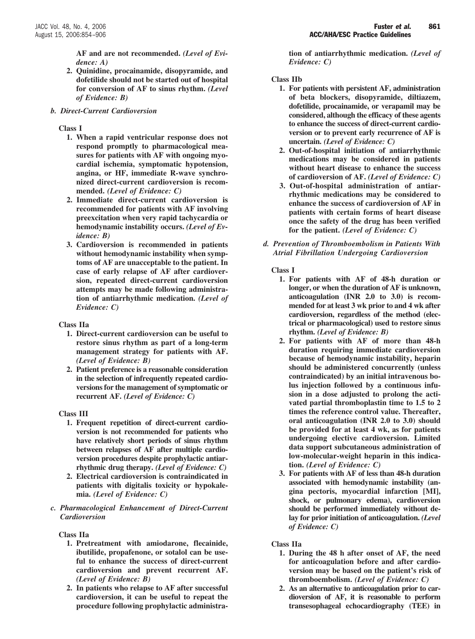**AF and are not recommended.** *(Level of Evidence: A)*

- **2. Quinidine, procainamide, disopyramide, and dofetilide should not be started out of hospital for conversion of AF to sinus rhythm.** *(Level of Evidence: B)*
- *b. Direct-Current Cardioversion*

**Class I**

- **1. When a rapid ventricular response does not respond promptly to pharmacological measures for patients with AF with ongoing myocardial ischemia, symptomatic hypotension, angina, or HF, immediate R-wave synchronized direct-current cardioversion is recommended.** *(Level of Evidence: C)*
- **2. Immediate direct-current cardioversion is recommended for patients with AF involving preexcitation when very rapid tachycardia or hemodynamic instability occurs.** *(Level of Evidence: B)*
- **3. Cardioversion is recommended in patients without hemodynamic instability when symptoms of AF are unacceptable to the patient. In case of early relapse of AF after cardioversion, repeated direct-current cardioversion attempts may be made following administration of antiarrhythmic medication.** *(Level of Evidence: C)*

# **Class IIa**

- **1. Direct-current cardioversion can be useful to restore sinus rhythm as part of a long-term management strategy for patients with AF.** *(Level of Evidence: B)*
- **2. Patient preference is a reasonable consideration in the selection of infrequently repeated cardioversions for the management of symptomatic or recurrent AF.** *(Level of Evidence: C)*

# **Class III**

- **1. Frequent repetition of direct-current cardioversion is not recommended for patients who have relatively short periods of sinus rhythm between relapses of AF after multiple cardioversion procedures despite prophylactic antiarrhythmic drug therapy.** *(Level of Evidence: C)*
- **2. Electrical cardioversion is contraindicated in patients with digitalis toxicity or hypokalemia.** *(Level of Evidence: C)*
- *c. Pharmacological Enhancement of Direct-Current Cardioversion*

#### **Class IIa**

- **1. Pretreatment with amiodarone, flecainide, ibutilide, propafenone, or sotalol can be useful to enhance the success of direct-current cardioversion and prevent recurrent AF.** *(Level of Evidence: B)*
- **2. In patients who relapse to AF after successful cardioversion, it can be useful to repeat the procedure following prophylactic administra-**

**tion of antiarrhythmic medication.** *(Level of Evidence: C)*

**Class IIb**

- **1. For patients with persistent AF, administration of beta blockers, disopyramide, diltiazem, dofetilide, procainamide, or verapamil may be considered, although the efficacy of these agents to enhance the success of direct-current cardioversion or to prevent early recurrence of AF is uncertain.** *(Level of Evidence: C)*
- **2. Out-of-hospital initiation of antiarrhythmic medications may be considered in patients without heart disease to enhance the success of cardioversion of AF.** *(Level of Evidence: C)*
- **3. Out-of-hospital administration of antiarrhythmic medications may be considered to enhance the success of cardioversion of AF in patients with certain forms of heart disease once the safety of the drug has been verified for the patient.** *(Level of Evidence: C)*
- *d. Prevention of Thromboembolism in Patients With Atrial Fibrillation Undergoing Cardioversion*

# **Class I**

- **1. For patients with AF of 48-h duration or longer, or when the duration of AF is unknown, anticoagulation (INR 2.0 to 3.0) is recommended for at least 3 wk prior to and 4 wk after cardioversion, regardless of the method (electrical or pharmacological) used to restore sinus rhythm.** *(Level of Evidence: B)*
- **2. For patients with AF of more than 48-h duration requiring immediate cardioversion because of hemodynamic instability, heparin should be administered concurrently (unless contraindicated) by an initial intravenous bolus injection followed by a continuous infusion in a dose adjusted to prolong the activated partial thromboplastin time to 1.5 to 2 times the reference control value. Thereafter, oral anticoagulation (INR 2.0 to 3.0) should be provided for at least 4 wk, as for patients undergoing elective cardioversion. Limited data support subcutaneous administration of low-molecular-weight heparin in this indication.** *(Level of Evidence: C)*
- **3. For patients with AF of less than 48-h duration associated with hemodynamic instability (angina pectoris, myocardial infarction [MI], shock, or pulmonary edema), cardioversion should be performed immediately without delay for prior initiation of anticoagulation.** *(Level of Evidence: C)*

**Class IIa**

- **1. During the 48 h after onset of AF, the need for anticoagulation before and after cardioversion may be based on the patient's risk of thromboembolism.** *(Level of Evidence: C)*
- **2. As an alternative to anticoagulation prior to cardioversion of AF, it is reasonable to perform transesophageal echocardiography (TEE) in**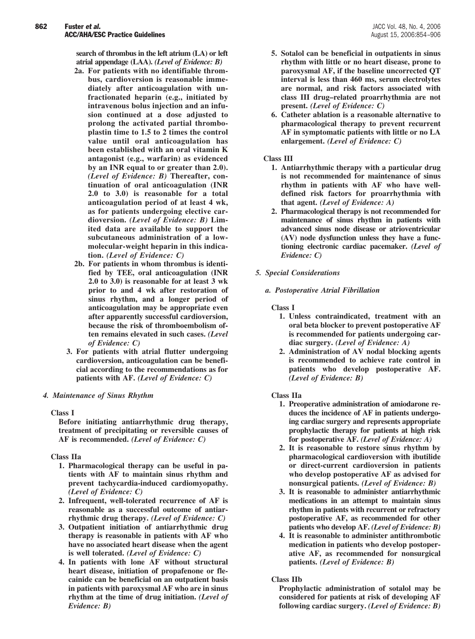#### **862 Fuster** *et al.* JACC Vol. 48, No. 4, 2006 **ACC/AHA/ESC Practice Guidelines** August 15, 2006:854-906

**search of thrombus in the left atrium (LA) or left atrial appendage (LAA).** *(Level of Evidence: B)*

- **2a. For patients with no identifiable thrombus, cardioversion is reasonable immediately after anticoagulation with unfractionated heparin (e.g., initiated by intravenous bolus injection and an infusion continued at a dose adjusted to prolong the activated partial thromboplastin time to 1.5 to 2 times the control value until oral anticoagulation has been established with an oral vitamin K antagonist (e.g., warfarin) as evidenced by an INR equal to or greater than 2.0).** *(Level of Evidence: B)* **Thereafter, continuation of oral anticoagulation (INR 2.0 to 3.0) is reasonable for a total anticoagulation period of at least 4 wk, as for patients undergoing elective cardioversion.** *(Level of Evidence: B)* **Limited data are available to support the subcutaneous administration of a lowmolecular-weight heparin in this indication.** *(Level of Evidence: C)*
- **2b. For patients in whom thrombus is identified by TEE, oral anticoagulation (INR 2.0 to 3.0) is reasonable for at least 3 wk prior to and 4 wk after restoration of sinus rhythm, and a longer period of anticoagulation may be appropriate even after apparently successful cardioversion, because the risk of thromboembolism often remains elevated in such cases.** *(Level of Evidence: C)*
- **3. For patients with atrial flutter undergoing cardioversion, anticoagulation can be beneficial according to the recommendations as for patients with AF.** *(Level of Evidence: C)*

#### *4. Maintenance of Sinus Rhythm*

#### **Class I**

**Before initiating antiarrhythmic drug therapy, treatment of precipitating or reversible causes of AF is recommended.** *(Level of Evidence: C)*

#### **Class IIa**

- **1. Pharmacological therapy can be useful in patients with AF to maintain sinus rhythm and prevent tachycardia-induced cardiomyopathy.** *(Level of Evidence: C)*
- **2. Infrequent, well-tolerated recurrence of AF is reasonable as a successful outcome of antiarrhythmic drug therapy.** *(Level of Evidence: C)*
- **3. Outpatient initiation of antiarrhythmic drug therapy is reasonable in patients with AF who have no associated heart disease when the agent is well tolerated.** *(Level of Evidence: C)*
- **4. In patients with lone AF without structural heart disease, initiation of propafenone or flecainide can be beneficial on an outpatient basis in patients with paroxysmal AF who are in sinus rhythm at the time of drug initiation.** *(Level of Evidence: B)*
- **5. Sotalol can be beneficial in outpatients in sinus rhythm with little or no heart disease, prone to paroxysmal AF, if the baseline uncorrected QT interval is less than 460 ms, serum electrolytes are normal, and risk factors associated with class III drug–related proarrhythmia are not present.** *(Level of Evidence: C)*
- **6. Catheter ablation is a reasonable alternative to pharmacological therapy to prevent recurrent AF in symptomatic patients with little or no LA enlargement.** *(Level of Evidence: C)*

# **Class III**

- **1. Antiarrhythmic therapy with a particular drug is not recommended for maintenance of sinus rhythm in patients with AF who have welldefined risk factors for proarrhythmia with that agent.** *(Level of Evidence: A)*
- **2. Pharmacological therapy is not recommended for maintenance of sinus rhythm in patients with advanced sinus node disease or atrioventricular (AV) node dysfunction unless they have a functioning electronic cardiac pacemaker.** *(Level of Evidence: C)*
- *5. Special Considerations*
	- *a. Postoperative Atrial Fibrillation*

**Class I**

- **1. Unless contraindicated, treatment with an oral beta blocker to prevent postoperative AF is recommended for patients undergoing cardiac surgery.** *(Level of Evidence: A)*
- **2. Administration of AV nodal blocking agents is recommended to achieve rate control in patients who develop postoperative AF.** *(Level of Evidence: B)*

**Class IIa**

- **1. Preoperative administration of amiodarone reduces the incidence of AF in patients undergoing cardiac surgery and represents appropriate prophylactic therapy for patients at high risk for postoperative AF.** *(Level of Evidence: A)*
- **2. It is reasonable to restore sinus rhythm by pharmacological cardioversion with ibutilide or direct-current cardioversion in patients who develop postoperative AF as advised for nonsurgical patients.** *(Level of Evidence: B)*
- **3. It is reasonable to administer antiarrhythmic medications in an attempt to maintain sinus rhythm in patients with recurrent or refractory postoperative AF, as recommended for other patients who develop AF.** *(Level of Evidence: B)*
- **4. It is reasonable to administer antithrombotic medication in patients who develop postoperative AF, as recommended for nonsurgical patients.** *(Level of Evidence: B)*

# **Class IIb**

**Prophylactic administration of sotalol may be considered for patients at risk of developing AF following cardiac surgery.** *(Level of Evidence: B)*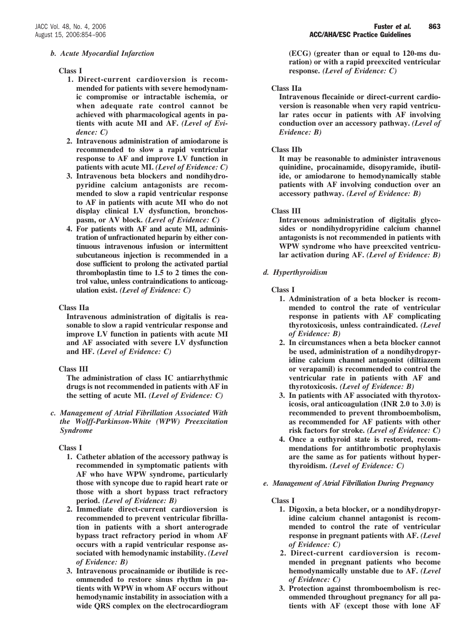# *b. Acute Myocardial Infarction*

# **Class I**

- **1. Direct-current cardioversion is recommended for patients with severe hemodynamic compromise or intractable ischemia, or when adequate rate control cannot be achieved with pharmacological agents in patients with acute MI and AF.** *(Level of Evidence: C)*
- **2. Intravenous administration of amiodarone is recommended to slow a rapid ventricular response to AF and improve LV function in patients with acute MI.** *(Level of Evidence: C)*
- **3. Intravenous beta blockers and nondihydropyridine calcium antagonists are recommended to slow a rapid ventricular response to AF in patients with acute MI who do not display clinical LV dysfunction, bronchospasm, or AV block.** *(Level of Evidence: C)*
- **4. For patients with AF and acute MI, administration of unfractionated heparin by either continuous intravenous infusion or intermittent subcutaneous injection is recommended in a dose sufficient to prolong the activated partial thromboplastin time to 1.5 to 2 times the control value, unless contraindications to anticoagulation exist.** *(Level of Evidence: C)*

# **Class IIa**

**Intravenous administration of digitalis is reasonable to slow a rapid ventricular response and improve LV function in patients with acute MI and AF associated with severe LV dysfunction and HF.** *(Level of Evidence: C)*

# **Class III**

**The administration of class IC antiarrhythmic drugs is not recommended in patients with AF in the setting of acute MI.** *(Level of Evidence: C)*

*c. Management of Atrial Fibrillation Associated With the Wolff-Parkinson-White (WPW) Preexcitation Syndrome*

**Class I**

- **1. Catheter ablation of the accessory pathway is recommended in symptomatic patients with AF who have WPW syndrome, particularly those with syncope due to rapid heart rate or those with a short bypass tract refractory period.** *(Level of Evidence: B)*
- **2. Immediate direct-current cardioversion is recommended to prevent ventricular fibrillation in patients with a short anterograde bypass tract refractory period in whom AF occurs with a rapid ventricular response associated with hemodynamic instability.** *(Level of Evidence: B)*
- **3. Intravenous procainamide or ibutilide is recommended to restore sinus rhythm in patients with WPW in whom AF occurs without hemodynamic instability in association with a wide QRS complex on the electrocardiogram**

**(ECG) (greater than or equal to 120-ms duration) or with a rapid preexcited ventricular response.** *(Level of Evidence: C)*

**Class IIa**

**Intravenous flecainide or direct-current cardioversion is reasonable when very rapid ventricular rates occur in patients with AF involving conduction over an accessory pathway.** *(Level of Evidence: B)*

# **Class IIb**

**It may be reasonable to administer intravenous quinidine, procainamide, disopyramide, ibutilide, or amiodarone to hemodynamically stable patients with AF involving conduction over an accessory pathway.** *(Level of Evidence: B)*

# **Class III**

**Intravenous administration of digitalis glycosides or nondihydropyridine calcium channel antagonists is not recommended in patients with WPW syndrome who have preexcited ventricular activation during AF.** *(Level of Evidence: B)*

# *d. Hyperthyroidism*

# **Class I**

- **1. Administration of a beta blocker is recommended to control the rate of ventricular response in patients with AF complicating thyrotoxicosis, unless contraindicated.** *(Level of Evidence: B)*
- **2. In circumstances when a beta blocker cannot be used, administration of a nondihydropyridine calcium channel antagonist (diltiazem or verapamil) is recommended to control the ventricular rate in patients with AF and thyrotoxicosis.** *(Level of Evidence: B)*
- **3. In patients with AF associated with thyrotoxicosis, oral anticoagulation (INR 2.0 to 3.0) is recommended to prevent thromboembolism, as recommended for AF patients with other risk factors for stroke.** *(Level of Evidence: C)*
- **4. Once a euthyroid state is restored, recommendations for antithrombotic prophylaxis are the same as for patients without hyperthyroidism.** *(Level of Evidence: C)*
- *e. Management of Atrial Fibrillation During Pregnancy*

# **Class I**

- **1. Digoxin, a beta blocker, or a nondihydropyridine calcium channel antagonist is recommended to control the rate of ventricular response in pregnant patients with AF.** *(Level of Evidence: C)*
- **2. Direct-current cardioversion is recommended in pregnant patients who become hemodynamically unstable due to AF.** *(Level of Evidence: C)*
- **3. Protection against thromboembolism is recommended throughout pregnancy for all patients with AF (except those with lone AF**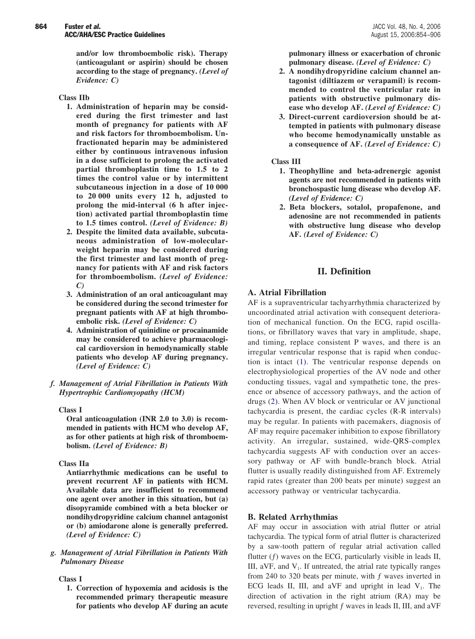**and/or low thromboembolic risk). Therapy (anticoagulant or aspirin) should be chosen according to the stage of pregnancy.** *(Level of Evidence: C)*

**Class IIb**

- **1. Administration of heparin may be considered during the first trimester and last month of pregnancy for patients with AF and risk factors for thromboembolism. Unfractionated heparin may be administered either by continuous intravenous infusion in a dose sufficient to prolong the activated partial thromboplastin time to 1.5 to 2 times the control value or by intermittent subcutaneous injection in a dose of 10 000 to 20 000 units every 12 h, adjusted to prolong the mid-interval (6 h after injection) activated partial thromboplastin time to 1.5 times control.** *(Level of Evidence: B)*
- **2. Despite the limited data available, subcutaneous administration of low-molecularweight heparin may be considered during the first trimester and last month of pregnancy for patients with AF and risk factors for thromboembolism.** *(Level of Evidence: C)*
- **3. Administration of an oral anticoagulant may be considered during the second trimester for pregnant patients with AF at high thromboembolic risk.** *(Level of Evidence: C)*
- **4. Administration of quinidine or procainamide may be considered to achieve pharmacological cardioversion in hemodynamically stable patients who develop AF during pregnancy.** *(Level of Evidence: C)*
- *f. Management of Atrial Fibrillation in Patients With Hypertrophic Cardiomyopathy (HCM)*

# **Class I**

**Oral anticoagulation (INR 2.0 to 3.0) is recommended in patients with HCM who develop AF, as for other patients at high risk of thromboembolism.** *(Level of Evidence: B)*

**Class IIa**

**Antiarrhythmic medications can be useful to prevent recurrent AF in patients with HCM. Available data are insufficient to recommend one agent over another in this situation, but (a) disopyramide combined with a beta blocker or nondihydropyridine calcium channel antagonist or (b) amiodarone alone is generally preferred.** *(Level of Evidence: C)*

*g. Management of Atrial Fibrillation in Patients With Pulmonary Disease*

**Class I**

**1. Correction of hypoxemia and acidosis is the recommended primary therapeutic measure for patients who develop AF during an acute**

**pulmonary illness or exacerbation of chronic pulmonary disease.** *(Level of Evidence: C)*

- **2. A nondihydropyridine calcium channel antagonist (diltiazem or verapamil) is recommended to control the ventricular rate in patients with obstructive pulmonary disease who develop AF.** *(Level of Evidence: C)*
- **3. Direct-current cardioversion should be attempted in patients with pulmonary disease who become hemodynamically unstable as a consequence of AF.** *(Level of Evidence: C)*

# **Class III**

- **1. Theophylline and beta-adrenergic agonist agents are not recommended in patients with bronchospastic lung disease who develop AF.** *(Level of Evidence: C)*
- **2. Beta blockers, sotalol, propafenone, and adenosine are not recommended in patients with obstructive lung disease who develop AF.** *(Level of Evidence: C)*

# **II. Definition**

# **A. Atrial Fibrillation**

AF is a supraventricular tachyarrhythmia characterized by uncoordinated atrial activation with consequent deterioration of mechanical function. On the ECG, rapid oscillations, or fibrillatory waves that vary in amplitude, shape, and timing, replace consistent P waves, and there is an irregular ventricular response that is rapid when conduction is intact [\(1\).](#page-45-0) The ventricular response depends on electrophysiological properties of the AV node and other conducting tissues, vagal and sympathetic tone, the presence or absence of accessory pathways, and the action of drugs [\(2\).](#page-45-0) When AV block or ventricular or AV junctional tachycardia is present, the cardiac cycles (R-R intervals) may be regular. In patients with pacemakers, diagnosis of AF may require pacemaker inhibition to expose fibrillatory activity. An irregular, sustained, wide-QRS-complex tachycardia suggests AF with conduction over an accessory pathway or AF with bundle-branch block. Atrial flutter is usually readily distinguished from AF. Extremely rapid rates (greater than 200 beats per minute) suggest an accessory pathway or ventricular tachycardia.

# **B. Related Arrhythmias**

AF may occur in association with atrial flutter or atrial tachycardia. The typical form of atrial flutter is characterized by a saw-tooth pattern of regular atrial activation called flutter  $(f)$  waves on the ECG, particularly visible in leads II, III, aVF, and  $V<sub>1</sub>$ . If untreated, the atrial rate typically ranges from 240 to 320 beats per minute, with  $f$  waves inverted in ECG leads II, III, and aVF and upright in lead  $V_1$ . The direction of activation in the right atrium (RA) may be reversed, resulting in upright  $f$  waves in leads II, III, and aVF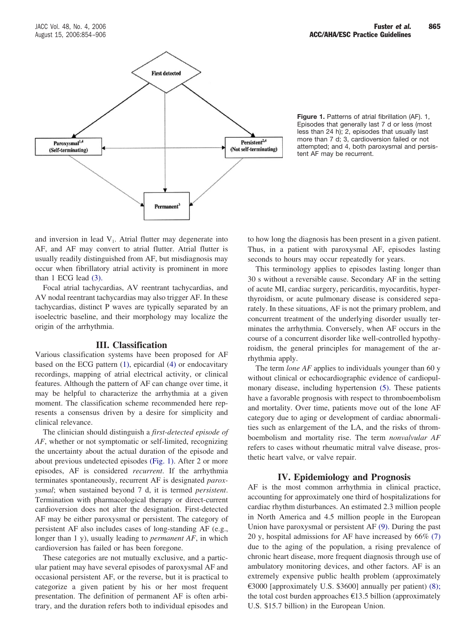

**Figure 1.** Patterns of atrial fibrillation (AF). 1, Episodes that generally last 7 d or less (most less than 24 h); 2, episodes that usually last more than 7 d; 3, cardioversion failed or not attempted; and 4, both paroxysmal and persistent AF may be recurrent.

and inversion in lead  $V_1$ . Atrial flutter may degenerate into AF, and AF may convert to atrial flutter. Atrial flutter is usually readily distinguished from AF, but misdiagnosis may occur when fibrillatory atrial activity is prominent in more than 1 ECG lead [\(3\).](#page-45-0)

Focal atrial tachycardias, AV reentrant tachycardias, and AV nodal reentrant tachycardias may also trigger AF. In these tachycardias, distinct P waves are typically separated by an isoelectric baseline, and their morphology may localize the origin of the arrhythmia.

# **III. Classification**

Various classification systems have been proposed for AF based on the ECG pattern [\(1\),](#page-45-0) epicardial [\(4\)](#page-45-0) or endocavitary recordings, mapping of atrial electrical activity, or clinical features. Although the pattern of AF can change over time, it may be helpful to characterize the arrhythmia at a given moment. The classification scheme recommended here represents a consensus driven by a desire for simplicity and clinical relevance.

The clinician should distinguish a *first-detected episode of AF*, whether or not symptomatic or self-limited, recognizing the uncertainty about the actual duration of the episode and about previous undetected episodes (Fig. 1). After 2 or more episodes, AF is considered *recurrent*. If the arrhythmia terminates spontaneously, recurrent AF is designated *paroxysmal*; when sustained beyond 7 d, it is termed *persistent*. Termination with pharmacological therapy or direct-current cardioversion does not alter the designation. First-detected AF may be either paroxysmal or persistent. The category of persistent AF also includes cases of long-standing AF (e.g., longer than 1 y), usually leading to *permanent AF*, in which cardioversion has failed or has been foregone.

These categories are not mutually exclusive, and a particular patient may have several episodes of paroxysmal AF and occasional persistent AF, or the reverse, but it is practical to categorize a given patient by his or her most frequent presentation. The definition of permanent AF is often arbitrary, and the duration refers both to individual episodes and

to how long the diagnosis has been present in a given patient. Thus, in a patient with paroxysmal AF, episodes lasting seconds to hours may occur repeatedly for years.

This terminology applies to episodes lasting longer than 30 s without a reversible cause. Secondary AF in the setting of acute MI, cardiac surgery, pericarditis, myocarditis, hyperthyroidism, or acute pulmonary disease is considered separately. In these situations, AF is not the primary problem, and concurrent treatment of the underlying disorder usually terminates the arrhythmia. Conversely, when AF occurs in the course of a concurrent disorder like well-controlled hypothyroidism, the general principles for management of the arrhythmia apply.

The term *lone AF* applies to individuals younger than 60 y without clinical or echocardiographic evidence of cardiopulmonary disease, including hypertension [\(5\).](#page-45-0) These patients have a favorable prognosis with respect to thromboembolism and mortality. Over time, patients move out of the lone AF category due to aging or development of cardiac abnormalities such as enlargement of the LA, and the risks of thromboembolism and mortality rise. The term *nonvalvular AF* refers to cases without rheumatic mitral valve disease, prosthetic heart valve, or valve repair.

# **IV. Epidemiology and Prognosis**

AF is the most common arrhythmia in clinical practice, accounting for approximately one third of hospitalizations for cardiac rhythm disturbances. An estimated 2.3 million people in North America and 4.5 million people in the European Union have paroxysmal or persistent AF [\(9\).](#page-45-0) During the past 20 y, hospital admissions for AF have increased by 66% [\(7\)](#page-45-0) due to the aging of the population, a rising prevalence of chronic heart disease, more frequent diagnosis through use of ambulatory monitoring devices, and other factors. AF is an extremely expensive public health problem (approximately €3000 [approximately U.S. \$3600] annually per patient) [\(8\);](#page-45-0) the total cost burden approaches  $£13.5$  billion (approximately U.S. \$15.7 billion) in the European Union.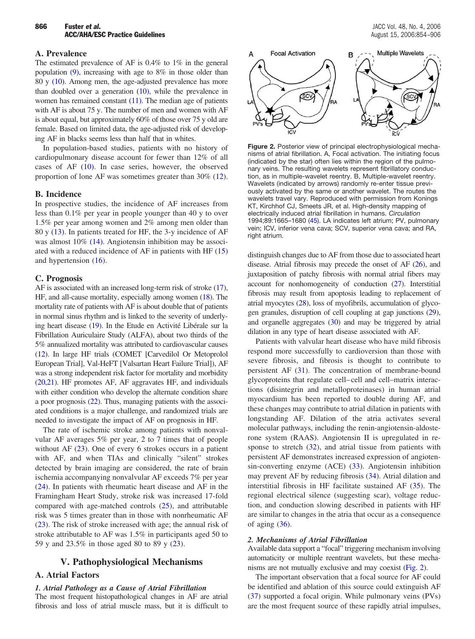#### **A. Prevalence**

The estimated prevalence of AF is 0.4% to 1% in the general population [\(9\),](#page-45-0) increasing with age to 8% in those older than 80 y [\(10\).](#page-45-0) Among men, the age-adjusted prevalence has more than doubled over a generation [\(10\),](#page-45-0) while the prevalence in women has remained constant [\(11\).](#page-45-0) The median age of patients with AF is about 75 y. The number of men and women with AF is about equal, but approximately 60% of those over 75 y old are female. Based on limited data, the age-adjusted risk of developing AF in blacks seems less than half that in whites.

In population-based studies, patients with no history of cardiopulmonary disease account for fewer than 12% of all cases of AF [\(10\).](#page-45-0) In case series, however, the observed proportion of lone AF was sometimes greater than 30% [\(12\).](#page-45-0)

# **B. Incidence**

In prospective studies, the incidence of AF increases from less than 0.1% per year in people younger than 40 y to over 1.5% per year among women and 2% among men older than 80 y [\(13\).](#page-45-0) In patients treated for HF, the 3-y incidence of AF was almost 10% [\(14\).](#page-45-0) Angiotensin inhibition may be associated with a reduced incidence of AF in patients with HF [\(15\)](#page-45-0) and hypertension [\(16\).](#page-45-0)

#### **C. Prognosis**

AF is associated with an increased long-term risk of stroke [\(17\),](#page-45-0) HF, and all-cause mortality, especially among women [\(18\).](#page-45-0) The mortality rate of patients with AF is about double that of patients in normal sinus rhythm and is linked to the severity of underlying heart disease [\(19\).](#page-45-0) In the Etude en Activité Libérale sur la Fibrillation Auriculaire Study (ALFA), about two thirds of the 5% annualized mortality was attributed to cardiovascular causes [\(12\).](#page-45-0) In large HF trials (COMET [Carvedilol Or Metoprolol European Trial], Val-HeFT [Valsartan Heart Failure Trial]), AF was a strong independent risk factor for mortality and morbidity [\(20,21\).](#page-45-0) HF promotes AF, AF aggravates HF, and individuals with either condition who develop the alternate condition share a poor prognosis [\(22\).](#page-45-0) Thus, managing patients with the associated conditions is a major challenge, and randomized trials are needed to investigate the impact of AF on prognosis in HF.

The rate of ischemic stroke among patients with nonvalvular AF averages 5% per year, 2 to 7 times that of people without AF [\(23\).](#page-45-0) One of every 6 strokes occurs in a patient with AF, and when TIAs and clinically "silent" strokes detected by brain imaging are considered, the rate of brain ischemia accompanying nonvalvular AF exceeds 7% per year [\(24\).](#page-45-0) In patients with rheumatic heart disease and AF in the Framingham Heart Study, stroke risk was increased 17-fold compared with age-matched controls [\(25\),](#page-45-0) and attributable risk was 5 times greater than in those with nonrheumatic AF [\(23\).](#page-45-0) The risk of stroke increased with age; the annual risk of stroke attributable to AF was 1.5% in participants aged 50 to 59 y and 23.5% in those aged 80 to 89 y [\(23\).](#page-45-0)

# **V. Pathophysiological Mechanisms**

# **A. Atrial Factors**

# *1. Atrial Pathology as a Cause of Atrial Fibrillation*

The most frequent histopathological changes in AF are atrial fibrosis and loss of atrial muscle mass, but it is difficult to



**Figure 2.** Posterior view of principal electrophysiological mechanisms of atrial fibrillation. A, Focal activation. The initiating focus (indicated by the star) often lies within the region of the pulmonary veins. The resulting wavelets represent fibrillatory conduction, as in multiple-wavelet reentry. B, Multiple-wavelet reentry. Wavelets (indicated by arrows) randomly re-enter tissue previously activated by the same or another wavelet. The routes the wavelets travel vary. Reproduced with permission from Konings KT, Kirchhof CJ, Smeets JR, et al. High-density mapping of electrically induced atrial fibrillation in humans. *Circulation* 1994;89:1665–1680 [\(45\).](#page-45-0) LA indicates left atrium; PV, pulmonary vein; ICV, inferior vena cava; SCV, superior vena cava; and RA, right atrium.

distinguish changes due to AF from those due to associated heart disease. Atrial fibrosis may precede the onset of AF [\(26\),](#page-45-0) and juxtaposition of patchy fibrosis with normal atrial fibers may account for nonhomogeneity of conduction [\(27\).](#page-45-0) Interstitial fibrosis may result from apoptosis leading to replacement of atrial myocytes [\(28\),](#page-45-0) loss of myofibrils, accumulation of glycogen granules, disruption of cell coupling at gap junctions [\(29\),](#page-45-0) and organelle aggregates [\(30\)](#page-45-0) and may be triggered by atrial dilation in any type of heart disease associated with AF.

Patients with valvular heart disease who have mild fibrosis respond more successfully to cardioversion than those with severe fibrosis, and fibrosis is thought to contribute to persistent AF [\(31\).](#page-45-0) The concentration of membrane-bound glycoproteins that regulate cell– cell and cell–matrix interactions (disintegrin and metalloproteinases) in human atrial myocardium has been reported to double during AF, and these changes may contribute to atrial dilation in patients with longstanding AF. Dilation of the atria activates several molecular pathways, including the renin-angiotensin-aldosterone system (RAAS). Angiotensin II is upregulated in response to stretch [\(32\),](#page-45-0) and atrial tissue from patients with persistent AF demonstrates increased expression of angiotensin-converting enzyme (ACE) [\(33\).](#page-45-0) Angiotensin inhibition may prevent AF by reducing fibrosis [\(34\).](#page-45-0) Atrial dilation and interstitial fibrosis in HF facilitate sustained AF [\(35\).](#page-45-0) The regional electrical silence (suggesting scar), voltage reduction, and conduction slowing described in patients with HF are similar to changes in the atria that occur as a consequence of aging [\(36\).](#page-45-0)

#### *2. Mechanisms of Atrial Fibrillation*

Available data support a "focal" triggering mechanism involving automaticity or multiple reentrant wavelets, but these mechanisms are not mutually exclusive and may coexist (Fig. 2).

The important observation that a focal source for AF could be identified and ablation of this source could extinguish AF [\(37\)](#page-45-0) supported a focal origin. While pulmonary veins (PVs) are the most frequent source of these rapidly atrial impulses,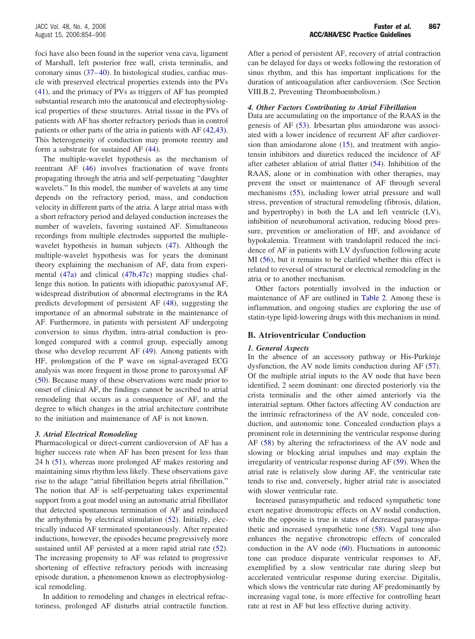foci have also been found in the superior vena cava, ligament of Marshall, left posterior free wall, crista terminalis, and coronary sinus [\(37–40\).](#page-45-0) In histological studies, cardiac muscle with preserved electrical properties extends into the PVs [\(41\),](#page-45-0) and the primacy of PVs as triggers of AF has prompted substantial research into the anatomical and electrophysiological properties of these structures. Atrial tissue in the PVs of patients with AF has shorter refractory periods than in control patients or other parts of the atria in patients with AF [\(42,43\).](#page-45-0) This heterogeneity of conduction may promote reentry and form a substrate for sustained AF [\(44\).](#page-45-0)

The multiple-wavelet hypothesis as the mechanism of reentrant AF [\(46\)](#page-45-0) involves fractionation of wave fronts propagating through the atria and self-perpetuating "daughter wavelets." In this model, the number of wavelets at any time depends on the refractory period, mass, and conduction velocity in different parts of the atria. A large atrial mass with a short refractory period and delayed conduction increases the number of wavelets, favoring sustained AF. Simultaneous recordings from multiple electrodes supported the multiplewavelet hypothesis in human subjects [\(47\).](#page-45-0) Although the multiple-wavelet hypothesis was for years the dominant theory explaining the mechanism of AF, data from experimental [\(47a\)](#page-45-0) and clinical [\(47b,47c\)](#page-45-0) mapping studies challenge this notion. In patients with idiopathic paroxysmal AF, widespread distribution of abnormal electrograms in the RA predicts development of persistent AF [\(48\),](#page-46-0) suggesting the importance of an abnormal substrate in the maintenance of AF. Furthermore, in patients with persistent AF undergoing conversion to sinus rhythm, intra-atrial conduction is prolonged compared with a control group, especially among those who develop recurrent AF [\(49\).](#page-46-0) Among patients with HF, prolongation of the P wave on signal-averaged ECG analysis was more frequent in those prone to paroxysmal AF [\(50\).](#page-46-0) Because many of these observations were made prior to onset of clinical AF, the findings cannot be ascribed to atrial remodeling that occurs as a consequence of AF, and the degree to which changes in the atrial architecture contribute to the initiation and maintenance of AF is not known.

#### *3. Atrial Electrical Remodeling*

Pharmacological or direct-current cardioversion of AF has a higher success rate when AF has been present for less than 24 h [\(51\),](#page-46-0) whereas more prolonged AF makes restoring and maintaining sinus rhythm less likely. These observations gave rise to the adage "atrial fibrillation begets atrial fibrillation." The notion that AF is self-perpetuating takes experimental support from a goat model using an automatic atrial fibrillator that detected spontaneous termination of AF and reinduced the arrhythmia by electrical stimulation [\(52\).](#page-46-0) Initially, electrically induced AF terminated spontaneously. After repeated inductions, however, the episodes became progressively more sustained until AF persisted at a more rapid atrial rate [\(52\).](#page-46-0) The increasing propensity to AF was related to progressive shortening of effective refractory periods with increasing episode duration, a phenomenon known as electrophysiological remodeling.

In addition to remodeling and changes in electrical refractoriness, prolonged AF disturbs atrial contractile function. After a period of persistent AF, recovery of atrial contraction can be delayed for days or weeks following the restoration of sinus rhythm, and this has important implications for the duration of anticoagulation after cardioversion. (See Section VIII.B.2, Preventing Thromboembolism.)

#### *4. Other Factors Contributing to Atrial Fibrillation*

Data are accumulating on the importance of the RAAS in the genesis of AF [\(53\).](#page-46-0) Irbesartan plus amiodarone was associated with a lower incidence of recurrent AF after cardioversion than amiodarone alone [\(15\),](#page-45-0) and treatment with angiotensin inhibitors and diuretics reduced the incidence of AF after catheter ablation of atrial flutter [\(54\).](#page-46-0) Inhibition of the RAAS, alone or in combination with other therapies, may prevent the onset or maintenance of AF through several mechanisms [\(55\),](#page-46-0) including lower atrial pressure and wall stress, prevention of structural remodeling (fibrosis, dilation, and hypertrophy) in both the LA and left ventricle (LV), inhibition of neurohumoral activation, reducing blood pressure, prevention or amelioration of HF, and avoidance of hypokalemia. Treatment with trandolapril reduced the incidence of AF in patients with LV dysfunction following acute MI [\(56\),](#page-46-0) but it remains to be clarified whether this effect is related to reversal of structural or electrical remodeling in the atria or to another mechanism.

Other factors potentially involved in the induction or maintenance of AF are outlined in [Table](#page-14-0) 2. Among these is inflammation, and ongoing studies are exploring the use of statin-type lipid-lowering drugs with this mechanism in mind.

# **B. Atrioventricular Conduction**

#### *1. General Aspects*

In the absence of an accessory pathway or His-Purkinje dysfunction, the AV node limits conduction during AF [\(57\).](#page-46-0) Of the multiple atrial inputs to the AV node that have been identified, 2 seem dominant: one directed posteriorly via the crista terminalis and the other aimed anteriorly via the interatrial septum. Other factors affecting AV conduction are the intrinsic refractoriness of the AV node, concealed conduction, and autonomic tone. Concealed conduction plays a prominent role in determining the ventricular response during AF [\(58\)](#page-46-0) by altering the refractoriness of the AV node and slowing or blocking atrial impulses and may explain the irregularity of ventricular response during AF [\(59\).](#page-46-0) When the atrial rate is relatively slow during AF, the ventricular rate tends to rise and, conversely, higher atrial rate is associated with slower ventricular rate.

Increased parasympathetic and reduced sympathetic tone exert negative dromotropic effects on AV nodal conduction, while the opposite is true in states of decreased parasympathetic and increased sympathetic tone [\(58\).](#page-46-0) Vagal tone also enhances the negative chronotropic effects of concealed conduction in the AV node [\(60\).](#page-46-0) Fluctuations in autonomic tone can produce disparate ventricular responses to AF, exemplified by a slow ventricular rate during sleep but accelerated ventricular response during exercise. Digitalis, which slows the ventricular rate during AF predominantly by increasing vagal tone, is more effective for controlling heart rate at rest in AF but less effective during activity.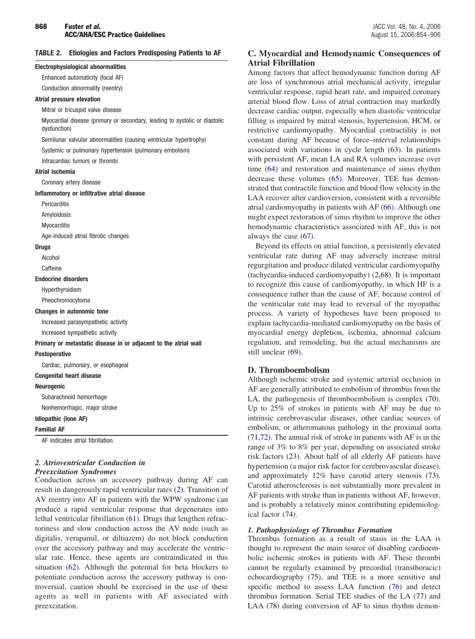#### <span id="page-14-0"></span>**TABLE 2. Etiologies and Factors Predisposing Patients to AF**

#### **Electrophysiological abnormalities**

Enhanced automaticity (focal AF)

Conduction abnormality (reentry)

#### **Atrial pressure elevation**

Mitral or tricuspid valve disease

Myocardial disease (primary or secondary, leading to systolic or diastolic dysfunction)

Semilunar valvular abnormalities (causing ventricular hypertrophy)

Systemic or pulmonary hypertension (pulmonary embolism)

Intracardiac tumors or thrombi

#### **Atrial ischemia**

Coronary artery disease

**Inflammatory or infiltrative atrial disease**

Pericarditis

Amyloidosis

**Myocarditis** 

Age-induced atrial fibrotic changes

#### **Drugs**

Alcohol

Caffeine

#### **Endocrine disorders**

Hyperthyroidism

Pheochromocytoma

#### **Changes in autonomic tone**

Increased parasympathetic activity Increased sympathetic activity

**Primary or metastatic disease in or adjacent to the atrial wall**

**Postoperative**

Cardiac, pulmonary, or esophageal

**Congenital heart disease**

#### **Neurogenic**

Subarachnoid hemorrhage

Nonhemorrhagic, major stroke

# **Idiopathic (lone AF)**

**Familial AF**

AF indicates atrial fibrillation.

# *2. Atrioventricular Conduction in*

#### *Preexcitation Syndromes*

Conduction across an accessory pathway during AF can result in dangerously rapid ventricular rates [\(2\).](#page-45-0) Transition of AV reentry into AF in patients with the WPW syndrome can produce a rapid ventricular response that degenerates into lethal ventricular fibrillation [\(61\).](#page-46-0) Drugs that lengthen refractoriness and slow conduction across the AV node (such as digitalis, verapamil, or diltiazem) do not block conduction over the accessory pathway and may accelerate the ventricular rate. Hence, these agents are contraindicated in this situation [\(62\).](#page-46-0) Although the potential for beta blockers to potentiate conduction across the accessory pathway is controversial, caution should be exercised in the use of these agents as well in patients with AF associated with preexcitation.

# **C. Myocardial and Hemodynamic Consequences of Atrial Fibrillation**

Among factors that affect hemodynamic function during AF are loss of synchronous atrial mechanical activity, irregular ventricular response, rapid heart rate, and impaired coronary arterial blood flow. Loss of atrial contraction may markedly decrease cardiac output, especially when diastolic ventricular filling is impaired by mitral stenosis, hypertension, HCM, or restrictive cardiomyopathy. Myocardial contractility is not constant during AF because of force–interval relationships associated with variations in cycle length [\(63\).](#page-46-0) In patients with persistent AF, mean LA and RA volumes increase over time [\(64\)](#page-46-0) and restoration and maintenance of sinus rhythm decrease these volumes [\(65\).](#page-46-0) Moreover, TEE has demonstrated that contractile function and blood flow velocity in the LAA recover after cardioversion, consistent with a reversible atrial cardiomyopathy in patients with AF [\(66\).](#page-46-0) Although one might expect restoration of sinus rhythm to improve the other hemodynamic characteristics associated with AF, this is not always the case [\(67\).](#page-46-0)

Beyond its effects on atrial function, a persistently elevated ventricular rate during AF may adversely increase mitral regurgitation and produce dilated ventricular cardiomyopathy (tachycardia-induced cardiomyopathy) [\(2,68\).](#page-45-0) It is important to recognize this cause of cardiomyopathy, in which HF is a consequence rather than the cause of AF, because control of the ventricular rate may lead to reversal of the myopathic process. A variety of hypotheses have been proposed to explain tachycardia-mediated cardiomyopathy on the basis of myocardial energy depletion, ischemia, abnormal calcium regulation, and remodeling, but the actual mechanisms are still unclear [\(69\).](#page-46-0)

#### **D. Thromboembolism**

Although ischemic stroke and systemic arterial occlusion in AF are generally attributed to embolism of thrombus from the LA, the pathogenesis of thromboembolism is complex [\(70\).](#page-46-0) Up to 25% of strokes in patients with AF may be due to intrinsic cerebrovascular diseases, other cardiac sources of embolism, or atheromatous pathology in the proximal aorta ([71,72\).](#page-46-0) The annual risk of stroke in patients with AF is in the range of 3% to 8% per year, depending on associated stroke risk factors [\(23\).](#page-45-0) About half of all elderly AF patients have hypertension (a major risk factor for cerebrovascular disease), and approximately 12% have carotid artery stenosis [\(73\).](#page-46-0) Carotid atherosclerosis is not substantially more prevalent in AF patients with stroke than in patients without AF, however, and is probably a relatively minor contributing epidemiological factor [\(74\).](#page-46-0)

#### *1. Pathophysiology of Thrombus Formation*

Thrombus formation as a result of stasis in the LAA is thought to represent the main source of disabling cardioembolic ischemic strokes in patients with AF. These thrombi cannot be regularly examined by precordial (transthoracic) echocardiography [\(75\),](#page-46-0) and TEE is a more sensitive and specific method to assess LAA function [\(76\)](#page-46-0) and detect thrombus formation. Serial TEE studies of the LA [\(77\)](#page-46-0) and LAA [\(78\)](#page-46-0) during conversion of AF to sinus rhythm demon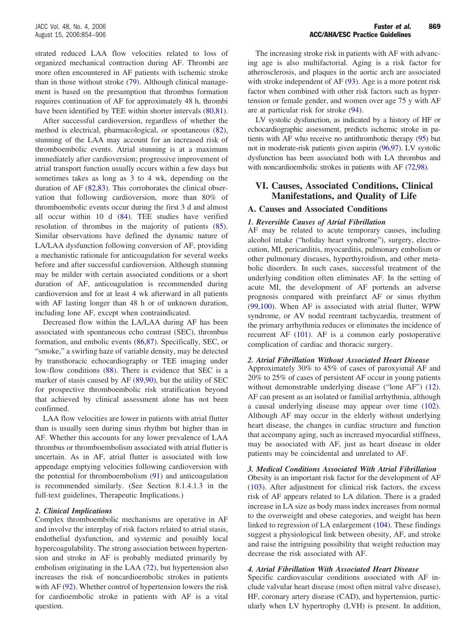strated reduced LAA flow velocities related to loss of organized mechanical contraction during AF. Thrombi are more often encountered in AF patients with ischemic stroke than in those without stroke [\(79\).](#page-46-0) Although clinical management is based on the presumption that thrombus formation requires continuation of AF for approximately 48 h, thrombi have been identified by TEE within shorter intervals [\(80,81\).](#page-46-0)

After successful cardioversion, regardless of whether the method is electrical, pharmacological, or spontaneous [\(82\),](#page-46-0) stunning of the LAA may account for an increased risk of thromboembolic events. Atrial stunning is at a maximum immediately after cardioversion; progressive improvement of atrial transport function usually occurs within a few days but sometimes takes as long as 3 to 4 wk, depending on the duration of AF [\(82,83\).](#page-46-0) This corroborates the clinical observation that following cardioversion, more than 80% of thromboembolic events occur during the first 3 d and almost all occur within 10 d [\(84\).](#page-46-0) TEE studies have verified resolution of thrombus in the majority of patients [\(85\).](#page-46-0) Similar observations have defined the dynamic nature of LA/LAA dysfunction following conversion of AF, providing a mechanistic rationale for anticoagulation for several weeks before and after successful cardioversion. Although stunning may be milder with certain associated conditions or a short duration of AF, anticoagulation is recommended during cardioversion and for at least 4 wk afterward in all patients with AF lasting longer than 48 h or of unknown duration, including lone AF, except when contraindicated.

Decreased flow within the LA/LAA during AF has been associated with spontaneous echo contrast (SEC), thrombus formation, and embolic events [\(86,87\).](#page-46-0) Specifically, SEC, or "smoke," a swirling haze of variable density, may be detected by transthoracic echocardiography or TEE imaging under low-flow conditions [\(88\).](#page-46-0) There is evidence that SEC is a marker of stasis caused by AF [\(89,90\),](#page-46-0) but the utility of SEC for prospective thromboembolic risk stratification beyond that achieved by clinical assessment alone has not been confirmed.

LAA flow velocities are lower in patients with atrial flutter than is usually seen during sinus rhythm but higher than in AF. Whether this accounts for any lower prevalence of LAA thrombus or thromboembolism associated with atrial flutter is uncertain. As in AF, atrial flutter is associated with low appendage emptying velocities following cardioversion with the potential for thromboembolism [\(91\)](#page-46-0) and anticoagulation is recommended similarly. (See Section 8.1.4.1.3 in the full-text guidelines, Therapeutic Implications.)

# *2. Clinical Implications*

Complex thromboembolic mechanisms are operative in AF and involve the interplay of risk factors related to atrial stasis, endothelial dysfunction, and systemic and possibly local hypercoagulability. The strong association between hypertension and stroke in AF is probably mediated primarily by embolism originating in the LAA [\(72\),](#page-46-0) but hypertension also increases the risk of noncardioembolic strokes in patients with AF [\(92\).](#page-46-0) Whether control of hypertension lowers the risk for cardioembolic stroke in patients with AF is a vital question.

The increasing stroke risk in patients with AF with advancing age is also multifactorial. Aging is a risk factor for atherosclerosis, and plaques in the aortic arch are associated with stroke independent of AF [\(93\).](#page-46-0) Age is a more potent risk factor when combined with other risk factors such as hypertension or female gender, and women over age 75 y with AF are at particular risk for stroke [\(94\).](#page-46-0)

LV systolic dysfunction, as indicated by a history of HF or echocardiographic assessment, predicts ischemic stroke in patients with AF who receive no antithrombotic therapy [\(95\)](#page-47-0) but not in moderate-risk patients given aspirin [\(96,97\).](#page-47-0) LV systolic dysfunction has been associated both with LA thrombus and with noncardioembolic strokes in patients with AF [\(72,98\).](#page-46-0)

# **VI. Causes, Associated Conditions, Clinical Manifestations, and Quality of Life**

# **A. Causes and Associated Conditions**

#### *1. Reversible Causes of Atrial Fibrillation*

AF may be related to acute temporary causes, including alcohol intake ("holiday heart syndrome"), surgery, electrocution, MI, pericarditis, myocarditis, pulmonary embolism or other pulmonary diseases, hyperthyroidism, and other metabolic disorders. In such cases, successful treatment of the underlying condition often eliminates AF. In the setting of acute MI, the development of AF portends an adverse prognosis compared with preinfarct AF or sinus rhythm [\(99,100\).](#page-47-0) When AF is associated with atrial flutter, WPW syndrome, or AV nodal reentrant tachycardia, treatment of the primary arrhythmia reduces or eliminates the incidence of recurrent AF [\(101\).](#page-47-0) AF is a common early postoperative complication of cardiac and thoracic surgery.

#### *2. Atrial Fibrillation Without Associated Heart Disease*

Approximately 30% to 45% of cases of paroxysmal AF and 20% to 25% of cases of persistent AF occur in young patients without demonstrable underlying disease ("lone AF") [\(12\).](#page-45-0) AF can present as an isolated or familial arrhythmia, although a causal underlying disease may appear over time [\(102\).](#page-47-0) Although AF may occur in the elderly without underlying heart disease, the changes in cardiac structure and function that accompany aging, such as increased myocardial stiffness, may be associated with AF, just as heart disease in older patients may be coincidental and unrelated to AF.

#### *3. Medical Conditions Associated With Atrial Fibrillation*

Obesity is an important risk factor for the development of AF [\(103\).](#page-47-0) After adjustment for clinical risk factors, the excess risk of AF appears related to LA dilation. There is a graded increase in LA size as body mass index increases from normal to the overweight and obese categories, and weight has been linked to regression of LA enlargement [\(104\).](#page-47-0) These findings suggest a physiological link between obesity, AF, and stroke and raise the intriguing possibility that weight reduction may decrease the risk associated with AF.

# *4. Atrial Fibrillation With Associated Heart Disease*

Specific cardiovascular conditions associated with AF include valvular heart disease (most often mitral valve disease), HF, coronary artery disease (CAD), and hypertension, particularly when LV hypertrophy (LVH) is present. In addition,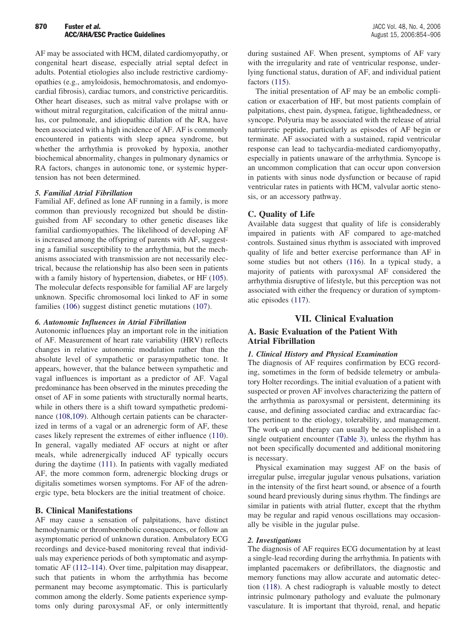AF may be associated with HCM, dilated cardiomyopathy, or congenital heart disease, especially atrial septal defect in adults. Potential etiologies also include restrictive cardiomyopathies (e.g., amyloidosis, hemochromatosis, and endomyocardial fibrosis), cardiac tumors, and constrictive pericarditis. Other heart diseases, such as mitral valve prolapse with or without mitral regurgitation, calcification of the mitral annulus, cor pulmonale, and idiopathic dilation of the RA, have been associated with a high incidence of AF. AF is commonly encountered in patients with sleep apnea syndrome, but whether the arrhythmia is provoked by hypoxia, another biochemical abnormality, changes in pulmonary dynamics or RA factors, changes in autonomic tone, or systemic hypertension has not been determined.

#### *5. Familial Atrial Fibrillation*

Familial AF, defined as lone AF running in a family, is more common than previously recognized but should be distinguished from AF secondary to other genetic diseases like familial cardiomyopathies. The likelihood of developing AF is increased among the offspring of parents with AF, suggesting a familial susceptibility to the arrhythmia, but the mechanisms associated with transmission are not necessarily electrical, because the relationship has also been seen in patients with a family history of hypertension, diabetes, or HF [\(105\).](#page-47-0) The molecular defects responsible for familial AF are largely unknown. Specific chromosomal loci linked to AF in some families [\(106\)](#page-47-0) suggest distinct genetic mutations [\(107\).](#page-47-0)

#### *6. Autonomic Influences in Atrial Fibrillation*

Autonomic influences play an important role in the initiation of AF. Measurement of heart rate variability (HRV) reflects changes in relative autonomic modulation rather than the absolute level of sympathetic or parasympathetic tone. It appears, however, that the balance between sympathetic and vagal influences is important as a predictor of AF. Vagal predominance has been observed in the minutes preceding the onset of AF in some patients with structurally normal hearts, while in others there is a shift toward sympathetic predominance [\(108,109\).](#page-47-0) Although certain patients can be characterized in terms of a vagal or an adrenergic form of AF, these cases likely represent the extremes of either influence [\(110\).](#page-47-0) In general, vagally mediated AF occurs at night or after meals, while adrenergically induced AF typically occurs during the daytime [\(111\).](#page-47-0) In patients with vagally mediated AF, the more common form, adrenergic blocking drugs or digitalis sometimes worsen symptoms. For AF of the adrenergic type, beta blockers are the initial treatment of choice.

# **B. Clinical Manifestations**

AF may cause a sensation of palpitations, have distinct hemodynamic or thromboembolic consequences, or follow an asymptomatic period of unknown duration. Ambulatory ECG recordings and device-based monitoring reveal that individuals may experience periods of both symptomatic and asymptomatic AF [\(112–114\).](#page-47-0) Over time, palpitation may disappear, such that patients in whom the arrhythmia has become permanent may become asymptomatic. This is particularly common among the elderly. Some patients experience symptoms only during paroxysmal AF, or only intermittently during sustained AF. When present, symptoms of AF vary with the irregularity and rate of ventricular response, underlying functional status, duration of AF, and individual patient factors [\(115\).](#page-47-0)

The initial presentation of AF may be an embolic complication or exacerbation of HF, but most patients complain of palpitations, chest pain, dyspnea, fatigue, lightheadedness, or syncope. Polyuria may be associated with the release of atrial natriuretic peptide, particularly as episodes of AF begin or terminate. AF associated with a sustained, rapid ventricular response can lead to tachycardia-mediated cardiomyopathy, especially in patients unaware of the arrhythmia. Syncope is an uncommon complication that can occur upon conversion in patients with sinus node dysfunction or because of rapid ventricular rates in patients with HCM, valvular aortic stenosis, or an accessory pathway.

# **C. Quality of Life**

Available data suggest that quality of life is considerably impaired in patients with AF compared to age-matched controls. Sustained sinus rhythm is associated with improved quality of life and better exercise performance than AF in some studies but not others [\(116\).](#page-47-0) In a typical study, a majority of patients with paroxysmal AF considered the arrhythmia disruptive of lifestyle, but this perception was not associated with either the frequency or duration of symptomatic episodes [\(117\).](#page-47-0)

# **VII. Clinical Evaluation**

# **A. Basic Evaluation of the Patient With Atrial Fibrillation**

# *1. Clinical History and Physical Examination*

The diagnosis of AF requires confirmation by ECG recording, sometimes in the form of bedside telemetry or ambulatory Holter recordings. The initial evaluation of a patient with suspected or proven AF involves characterizing the pattern of the arrhythmia as paroxysmal or persistent, determining its cause, and defining associated cardiac and extracardiac factors pertinent to the etiology, tolerability, and management. The work-up and therapy can usually be accomplished in a single outpatient encounter [\(Table](#page-17-0) 3), unless the rhythm has not been specifically documented and additional monitoring is necessary.

Physical examination may suggest AF on the basis of irregular pulse, irregular jugular venous pulsations, variation in the intensity of the first heart sound, or absence of a fourth sound heard previously during sinus rhythm. The findings are similar in patients with atrial flutter, except that the rhythm may be regular and rapid venous oscillations may occasionally be visible in the jugular pulse.

# *2. Investigations*

The diagnosis of AF requires ECG documentation by at least a single-lead recording during the arrhythmia. In patients with implanted pacemakers or defibrillators, the diagnostic and memory functions may allow accurate and automatic detection [\(118\).](#page-47-0) A chest radiograph is valuable mostly to detect intrinsic pulmonary pathology and evaluate the pulmonary vasculature. It is important that thyroid, renal, and hepatic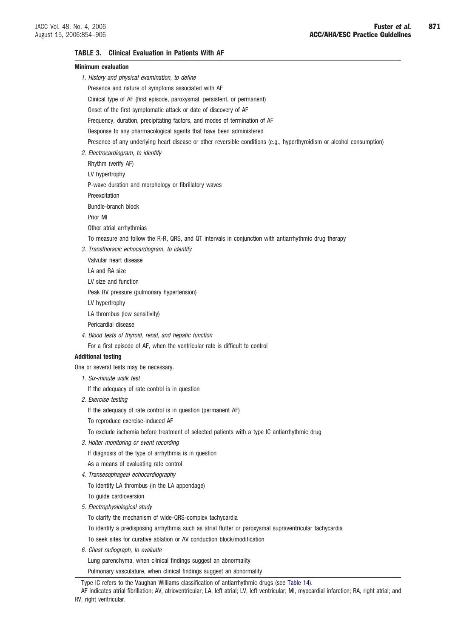# <span id="page-17-0"></span>**TABLE 3. Clinical Evaluation in Patients With AF**

| <b>Minimum evaluation</b>                                                                                              |
|------------------------------------------------------------------------------------------------------------------------|
| 1. History and physical examination, to define                                                                         |
| Presence and nature of symptoms associated with AF                                                                     |
| Clinical type of AF (first episode, paroxysmal, persistent, or permanent)                                              |
| Onset of the first symptomatic attack or date of discovery of AF                                                       |
| Frequency, duration, precipitating factors, and modes of termination of AF                                             |
| Response to any pharmacological agents that have been administered                                                     |
| Presence of any underlying heart disease or other reversible conditions (e.g., hyperthyroidism or alcohol consumption) |
| 2. Electrocardiogram, to identify                                                                                      |
| Rhythm (verify AF)                                                                                                     |
| LV hypertrophy                                                                                                         |
| P-wave duration and morphology or fibrillatory waves                                                                   |
| Preexcitation                                                                                                          |
| Bundle-branch block                                                                                                    |
| Prior MI                                                                                                               |
| Other atrial arrhythmias                                                                                               |
| To measure and follow the R-R, QRS, and QT intervals in conjunction with antiarrhythmic drug therapy                   |
| 3. Transthoracic echocardiogram, to identify                                                                           |
| Valvular heart disease                                                                                                 |
| LA and RA size                                                                                                         |
| LV size and function                                                                                                   |
| Peak RV pressure (pulmonary hypertension)                                                                              |
| LV hypertrophy                                                                                                         |
| LA thrombus (low sensitivity)                                                                                          |
| Pericardial disease                                                                                                    |
| 4. Blood tests of thyroid, renal, and hepatic function                                                                 |
| For a first episode of AF, when the ventricular rate is difficult to control                                           |
| <b>Additional testing</b>                                                                                              |
| One or several tests may be necessary.                                                                                 |
| 1. Six-minute walk test                                                                                                |
| If the adequacy of rate control is in question                                                                         |
| 2. Exercise testing<br>If the adequacy of rate control is in question (permanent AF)                                   |
| To reproduce exercise-induced AF                                                                                       |
| To exclude ischemia before treatment of selected patients with a type IC antiarrhythmic drug                           |
| 3. Holter monitoring or event recording                                                                                |
| If diagnosis of the type of arrhythmia is in question                                                                  |
| As a means of evaluating rate control                                                                                  |
| 4. Transesophageal echocardiography                                                                                    |
| To identify LA thrombus (in the LA appendage)                                                                          |
| To guide cardioversion                                                                                                 |
| 5. Electrophysiological study                                                                                          |
| To clarify the mechanism of wide-QRS-complex tachycardia                                                               |
| To identify a predisposing arrhythmia such as atrial flutter or paroxysmal supraventricular tachycardia                |
| To seek sites for curative ablation or AV conduction block/modification                                                |
| 6. Chest radiograph, to evaluate                                                                                       |
| Lung parenchyma, when clinical findings suggest an abnormality                                                         |
| Pulmonary vasculature, when clinical findings suggest an abnormality                                                   |
| Type IC refers to the Vaughan Williams classification of antiarrhythmic drugs (see Table 14).                          |

AF indicates atrial fibrillation; AV, atrioventricular; LA, left atrial; LV, left ventricular; MI, myocardial infarction; RA, right atrial; and RV, right ventricular.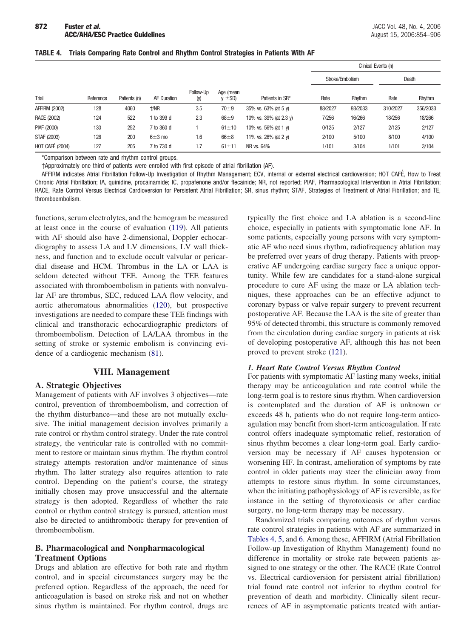#### **TABLE 4. Trials Comparing Rate Control and Rhythm Control Strategies in Patients With AF**

|                        |           |              |             |                  |                         |                        | Clinical Events (n) |         |          |          |
|------------------------|-----------|--------------|-------------|------------------|-------------------------|------------------------|---------------------|---------|----------|----------|
|                        |           |              |             |                  |                         |                        | Stroke/Embolism     |         |          | Death    |
| Trial                  | Reference | Patients (n) | AF Duration | Follow-Up<br>(y) | Age (mean<br>$y \pm SD$ | Patients in SR*        | Rate                | Rhythm  | Rate     | Rhythm   |
| <b>AFFIRM (2002)</b>   | 128       | 4060         | $+$ /NR     | 3.5              | $70 + 9$                | 35% vs. 63% (at 5 y)   | 88/2027             | 93/2033 | 310/2027 | 356/2033 |
| RACE (2002)            | 124       | 522          | 1 to 399 d  | 2.3              | $68+9$                  | 10% vs. 39% (at 2.3 y) | 7/256               | 16/266  | 18/256   | 18/266   |
| PIAF (2000)            | 130       | 252          | 7 to 360 d  |                  | $61 \pm 10$             | 10% vs. 56% (at 1 y)   | 0/125               | 2/127   | 2/125    | 2/127    |
| STAF (2003)            | 126       | 200          | $6\pm3$ mo  | 1.6              | $66\pm8$                | 11% vs. 26% (at 2 y)   | 2/100               | 5/100   | 8/100    | 4/100    |
| <b>HOT CAFÉ (2004)</b> | 127       | 205          | 7 to 730 d  | 1.7              | $61 + 11$               | NR vs. 64%             | 1/101               | 3/104   | 1/101    | 3/104    |

\*Comparison between rate and rhythm control groups.

†Approximately one third of patients were enrolled with first episode of atrial fibrillation (AF).

AFFIRM indicates Atrial Fibrillation Follow-Up Investigation of Rhythm Management; ECV, internal or external electrical cardioversion; HOT CAFÉ, How to Treat Chronic Atrial Fibrillation; IA, quinidine, procainamide; IC, propafenone and/or flecainide; NR, not reported; PIAF, Pharmacological Intervention in Atrial Fibrillation; RACE, Rate Control Versus Electrical Cardioversion for Persistent Atrial Fibrillation; SR, sinus rhythm; STAF, Strategies of Treatment of Atrial Fibrillation; and TE, thromboembolism.

functions, serum electrolytes, and the hemogram be measured at least once in the course of evaluation [\(119\).](#page-47-0) All patients with AF should also have 2-dimensional, Doppler echocardiography to assess LA and LV dimensions, LV wall thickness, and function and to exclude occult valvular or pericardial disease and HCM. Thrombus in the LA or LAA is seldom detected without TEE. Among the TEE features associated with thromboembolism in patients with nonvalvular AF are thrombus, SEC, reduced LAA flow velocity, and aortic atheromatous abnormalities [\(120\),](#page-47-0) but prospective investigations are needed to compare these TEE findings with clinical and transthoracic echocardiographic predictors of thromboembolism. Detection of LA/LAA thrombus in the setting of stroke or systemic embolism is convincing evidence of a cardiogenic mechanism [\(81\).](#page-46-0)

# **VIII. Management**

#### **A. Strategic Objectives**

Management of patients with AF involves 3 objectives—rate control, prevention of thromboembolism, and correction of the rhythm disturbance—and these are not mutually exclusive. The initial management decision involves primarily a rate control or rhythm control strategy. Under the rate control strategy, the ventricular rate is controlled with no commitment to restore or maintain sinus rhythm. The rhythm control strategy attempts restoration and/or maintenance of sinus rhythm. The latter strategy also requires attention to rate control. Depending on the patient's course, the strategy initially chosen may prove unsuccessful and the alternate strategy is then adopted. Regardless of whether the rate control or rhythm control strategy is pursued, attention must also be directed to antithrombotic therapy for prevention of thromboembolism.

# **B. Pharmacological and Nonpharmacological Treatment Options**

Drugs and ablation are effective for both rate and rhythm control, and in special circumstances surgery may be the preferred option. Regardless of the approach, the need for anticoagulation is based on stroke risk and not on whether sinus rhythm is maintained. For rhythm control, drugs are typically the first choice and LA ablation is a second-line choice, especially in patients with symptomatic lone AF. In some patients, especially young persons with very symptomatic AF who need sinus rhythm, radiofrequency ablation may be preferred over years of drug therapy. Patients with preoperative AF undergoing cardiac surgery face a unique opportunity. While few are candidates for a stand-alone surgical procedure to cure AF using the maze or LA ablation techniques, these approaches can be an effective adjunct to coronary bypass or valve repair surgery to prevent recurrent postoperative AF. Because the LAA is the site of greater than 95% of detected thrombi, this structure is commonly removed from the circulation during cardiac surgery in patients at risk of developing postoperative AF, although this has not been proved to prevent stroke [\(121\).](#page-47-0)

#### *1. Heart Rate Control Versus Rhythm Control*

For patients with symptomatic AF lasting many weeks, initial therapy may be anticoagulation and rate control while the long-term goal is to restore sinus rhythm. When cardioversion is contemplated and the duration of AF is unknown or exceeds 48 h, patients who do not require long-term anticoagulation may benefit from short-term anticoagulation. If rate control offers inadequate symptomatic relief, restoration of sinus rhythm becomes a clear long-term goal. Early cardioversion may be necessary if AF causes hypotension or worsening HF. In contrast, amelioration of symptoms by rate control in older patients may steer the clinician away from attempts to restore sinus rhythm. In some circumstances, when the initiating pathophysiology of AF is reversible, as for instance in the setting of thyrotoxicosis or after cardiac surgery, no long-term therapy may be necessary.

Randomized trials comparing outcomes of rhythm versus rate control strategies in patients with AF are summarized in Tables 4, [5,](#page-19-0) and [6.](#page-19-0) Among these, AFFIRM (Atrial Fibrillation Follow-up Investigation of Rhythm Management) found no difference in mortality or stroke rate between patients assigned to one strategy or the other. The RACE (Rate Control vs. Electrical cardioversion for persistent atrial fibrillation) trial found rate control not inferior to rhythm control for prevention of death and morbidity. Clinically silent recurrences of AF in asymptomatic patients treated with antiar-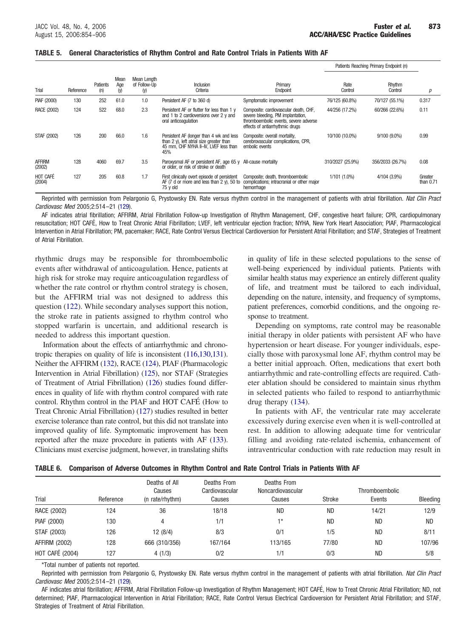#### <span id="page-19-0"></span>**TABLE 5. General Characteristics of Rhythm Control and Rate Control Trials in Patients With AF**

|                         |           |                 |                    |                                    |                                                                                                                                      |                                                                                                                                                        |                  | Patients Reaching Primary Endpoint (n) |                        |
|-------------------------|-----------|-----------------|--------------------|------------------------------------|--------------------------------------------------------------------------------------------------------------------------------------|--------------------------------------------------------------------------------------------------------------------------------------------------------|------------------|----------------------------------------|------------------------|
| Trial                   | Reference | Patients<br>(n) | Mean<br>Age<br>(y) | Mean Length<br>of Follow-Up<br>(y) | <b>Inclusion</b><br>Criteria                                                                                                         | Primary<br>Endpoint                                                                                                                                    | Rate<br>Control  | Rhythm<br>Control                      | р                      |
| PIAF (2000)             | 130       | 252             | 61.0               | 1.0                                | Persistent AF (7 to 360 d)                                                                                                           | Symptomatic improvement                                                                                                                                | 76/125 (60.8%)   | 70/127 (55.1%)                         | 0.317                  |
| RACE (2002)             | 124       | 522             | 68.0               | 2.3                                | Persistent AF or flutter for less than 1 y<br>and 1 to 2 cardioversions over 2 y and<br>oral anticoaqulation                         | Composite: cardiovascular death, CHF,<br>severe bleeding, PM implantation,<br>thromboembolic events, severe adverse<br>effects of antiarrhythmic drugs | 44/256 (17.2%)   | 60/266 (22.6%)                         | 0.11                   |
| STAF (2002)             | 126       | 200             | 66.0               | 1.6                                | Persistent AF (longer than 4 wk and less<br>than 2 y), left atrial size greater than<br>45 mm. CHF NYHA II-IV. LVEF less than<br>45% | Composite: overall mortality,<br>cerebrovascular complications, CPR,<br>embolic events                                                                 | 10/100 (10.0%)   | $9/100(9.0\%)$                         | 0.99                   |
| <b>AFFIRM</b><br>(2002) | 128       | 4060            | 69.7               | 3.5                                | Paroxysmal AF or persistent AF, age 65 y<br>or older, or risk of stroke or death                                                     | All-cause mortality                                                                                                                                    | 310/2027 (25.9%) | 356/2033 (26.7%)                       | 0.08                   |
| HOT CAFÉ<br>(2004)      | 127       | 205             | 60.8               | 1.7                                | First clinically overt episode of persistent<br>AF (7 d or more and less than 2 y), 50 to<br>75 y old                                | Composite; death, thromboembolic<br>complications: intracranial or other major<br>hemorrhage                                                           | 1/101 (1.0%)     | 4/104 (3.9%)                           | Greater<br>than $0.71$ |

Reprinted with permission from Pelargonio G, Prystowsky EN. Rate versus rhythm control in the management of patients with atrial fibrillation. *Nat Clin Pract Cardiovasc Med* 2005;2:514–21 [\(129\).](#page-47-0)

AF indicates atrial fibrillation; AFFIRM, Atrial Fibrillation Follow-up Investigation of Rhythm Management, CHF, congestive heart failure; CPR, cardiopulmonary resuscitation; HOT CAFE, How to Treat Chronic Atrial Fibrillation; LVEF, left ventricular ejection fraction; NYHA, New York Heart Association; PIAF, Pharmacological Intervention in Atrial Fibrillation; PM, pacemaker; RACE, Rate Control Versus Electrical Cardioversion for Persistent Atrial Fibrillation; and STAF, Strategies of Treatment of Atrial Fibrillation.

rhythmic drugs may be responsible for thromboembolic events after withdrawal of anticoagulation. Hence, patients at high risk for stroke may require anticoagulation regardless of whether the rate control or rhythm control strategy is chosen, but the AFFIRM trial was not designed to address this question [\(122\).](#page-47-0) While secondary analyses support this notion, the stroke rate in patients assigned to rhythm control who stopped warfarin is uncertain, and additional research is needed to address this important question.

Information about the effects of antiarrhythmic and chronotropic therapies on quality of life is inconsistent [\(116,130,131\).](#page-47-0) Neither the AFFIRM [\(132\),](#page-47-0) RACE [\(124\),](#page-47-0) PIAF (Pharmacologic Intervention in Atrial Fibrillation) [\(125\),](#page-47-0) nor STAF (Strategies of Treatment of Atrial Fibrillation) [\(126\)](#page-47-0) studies found differences in quality of life with rhythm control compared with rate control. Rhythm control in the PIAF and HOT CAFÉ (How to Treat Chronic Atrial Fibrillation) [\(127\)](#page-47-0) studies resulted in better exercise tolerance than rate control, but this did not translate into improved quality of life. Symptomatic improvement has been reported after the maze procedure in patients with AF [\(133\).](#page-47-0) Clinicians must exercise judgment, however, in translating shifts

in quality of life in these selected populations to the sense of well-being experienced by individual patients. Patients with similar health status may experience an entirely different quality of life, and treatment must be tailored to each individual, depending on the nature, intensity, and frequency of symptoms, patient preferences, comorbid conditions, and the ongoing response to treatment.

Depending on symptoms, rate control may be reasonable initial therapy in older patients with persistent AF who have hypertension or heart disease. For younger individuals, especially those with paroxysmal lone AF, rhythm control may be a better initial approach. Often, medications that exert both antiarrhythmic and rate-controlling effects are required. Catheter ablation should be considered to maintain sinus rhythm in selected patients who failed to respond to antiarrhythmic drug therapy [\(134\).](#page-47-0)

In patients with AF, the ventricular rate may accelerate excessively during exercise even when it is well-controlled at rest. In addition to allowing adequate time for ventricular filling and avoiding rate-related ischemia, enhancement of intraventricular conduction with rate reduction may result in

| TABLE 6. Comparison of Adverse Outcomes in Rhythm Control and Rate Control Trials in Patients With AF |  |  |
|-------------------------------------------------------------------------------------------------------|--|--|
|                                                                                                       |  |  |

| Trial                  | Reference | Deaths of All<br>Causes<br>(n rate/rhythm) | Deaths From<br>Cardiovascular<br>Causes | Deaths From<br>Noncardiovascular<br>Causes | <b>Stroke</b> | Thromboembolic<br>Events | Bleeding  |
|------------------------|-----------|--------------------------------------------|-----------------------------------------|--------------------------------------------|---------------|--------------------------|-----------|
| RACE (2002)            | 124       | 36                                         | 18/18                                   | <b>ND</b>                                  | <b>ND</b>     | 14/21                    | 12/9      |
| PIAF (2000)            | 130       | 4                                          | 1/1                                     | $+*$                                       | <b>ND</b>     | <b>ND</b>                | <b>ND</b> |
| STAF (2003)            | 126       | 12(8/4)                                    | 8/3                                     | 0/1                                        | 1/5           | <b>ND</b>                | 8/11      |
| <b>AFFIRM (2002)</b>   | 128       | 666 (310/356)                              | 167/164                                 | 113/165                                    | 77/80         | <b>ND</b>                | 107/96    |
| <b>HOT CAFÉ (2004)</b> | 127       | 4(1/3)                                     | 0/2                                     | 1/1                                        | 0/3           | <b>ND</b>                | 5/8       |

\*Total number of patients not reported.

Reprinted with permission from Pelargonio G, Prystowsky EN. Rate versus rhythm control in the management of patients with atrial fibrillation. *Nat Clin Pract Cardiovasc Med* 2005;2:514–21 [\(129\).](#page-47-0)

AF indicates atrial fibrillation; AFFIRM, Atrial Fibrillation Follow-up Investigation of Rhythm Management; HOT CAFÉ, How to Treat Chronic Atrial Fibrillation; ND, not determined; PIAF, Pharmacological Intervention in Atrial Fibrillation; RACE, Rate Control Versus Electrical Cardioversion for Persistent Atrial Fibrillation; and STAF, Strategies of Treatment of Atrial Fibrillation.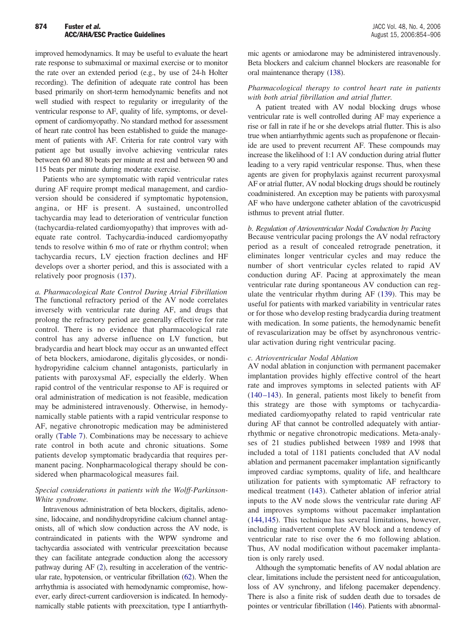improved hemodynamics. It may be useful to evaluate the heart rate response to submaximal or maximal exercise or to monitor the rate over an extended period (e.g., by use of 24-h Holter recording). The definition of adequate rate control has been based primarily on short-term hemodynamic benefits and not well studied with respect to regularity or irregularity of the ventricular response to AF, quality of life, symptoms, or development of cardiomyopathy. No standard method for assessment of heart rate control has been established to guide the management of patients with AF. Criteria for rate control vary with patient age but usually involve achieving ventricular rates between 60 and 80 beats per minute at rest and between 90 and 115 beats per minute during moderate exercise.

Patients who are symptomatic with rapid ventricular rates during AF require prompt medical management, and cardioversion should be considered if symptomatic hypotension, angina, or HF is present. A sustained, uncontrolled tachycardia may lead to deterioration of ventricular function (tachycardia-related cardiomyopathy) that improves with adequate rate control. Tachycardia-induced cardiomyopathy tends to resolve within 6 mo of rate or rhythm control; when tachycardia recurs, LV ejection fraction declines and HF develops over a shorter period, and this is associated with a relatively poor prognosis [\(137\).](#page-47-0)

*a. Pharmacological Rate Control During Atrial Fibrillation* The functional refractory period of the AV node correlates inversely with ventricular rate during AF, and drugs that prolong the refractory period are generally effective for rate control. There is no evidence that pharmacological rate control has any adverse influence on LV function, but bradycardia and heart block may occur as an unwanted effect of beta blockers, amiodarone, digitalis glycosides, or nondihydropyridine calcium channel antagonists, particularly in patients with paroxysmal AF, especially the elderly. When rapid control of the ventricular response to AF is required or oral administration of medication is not feasible, medication may be administered intravenously. Otherwise, in hemodynamically stable patients with a rapid ventricular response to AF, negative chronotropic medication may be administered orally [\(Table](#page-21-0) 7). Combinations may be necessary to achieve rate control in both acute and chronic situations. Some patients develop symptomatic bradycardia that requires permanent pacing. Nonpharmacological therapy should be considered when pharmacological measures fail.

# *Special considerations in patients with the Wolff-Parkinson-White syndrome.*

Intravenous administration of beta blockers, digitalis, adenosine, lidocaine, and nondihydropyridine calcium channel antagonists, all of which slow conduction across the AV node, is contraindicated in patients with the WPW syndrome and tachycardia associated with ventricular preexcitation because they can facilitate antegrade conduction along the accessory pathway during AF [\(2\),](#page-45-0) resulting in acceleration of the ventricular rate, hypotension, or ventricular fibrillation [\(62\).](#page-46-0) When the arrhythmia is associated with hemodynamic compromise, however, early direct-current cardioversion is indicated. In hemodynamically stable patients with preexcitation, type I antiarrhythmic agents or amiodarone may be administered intravenously. Beta blockers and calcium channel blockers are reasonable for oral maintenance therapy [\(138\).](#page-47-0)

# *Pharmacological therapy to control heart rate in patients with both atrial fibrillation and atrial flutter.*

A patient treated with AV nodal blocking drugs whose ventricular rate is well controlled during AF may experience a rise or fall in rate if he or she develops atrial flutter. This is also true when antiarrhythmic agents such as propafenone or flecainide are used to prevent recurrent AF. These compounds may increase the likelihood of 1:1 AV conduction during atrial flutter leading to a very rapid ventricular response. Thus, when these agents are given for prophylaxis against recurrent paroxysmal AF or atrial flutter, AV nodal blocking drugs should be routinely coadministered. An exception may be patients with paroxysmal AF who have undergone catheter ablation of the cavotricuspid isthmus to prevent atrial flutter.

# *b. Regulation of Atrioventricular Nodal Conduction by Pacing*

Because ventricular pacing prolongs the AV nodal refractory period as a result of concealed retrograde penetration, it eliminates longer ventricular cycles and may reduce the number of short ventricular cycles related to rapid AV conduction during AF. Pacing at approximately the mean ventricular rate during spontaneous AV conduction can regulate the ventricular rhythm during AF [\(139\).](#page-47-0) This may be useful for patients with marked variability in ventricular rates or for those who develop resting bradycardia during treatment with medication. In some patients, the hemodynamic benefit of revascularization may be offset by asynchronous ventricular activation during right ventricular pacing.

# *c. Atrioventricular Nodal Ablation*

AV nodal ablation in conjunction with permanent pacemaker implantation provides highly effective control of the heart rate and improves symptoms in selected patients with AF [\(140–143\).](#page-47-0) In general, patients most likely to benefit from this strategy are those with symptoms or tachycardiamediated cardiomyopathy related to rapid ventricular rate during AF that cannot be controlled adequately with antiarrhythmic or negative chronotropic medications. Meta-analyses of 21 studies published between 1989 and 1998 that included a total of 1181 patients concluded that AV nodal ablation and permanent pacemaker implantation significantly improved cardiac symptoms, quality of life, and healthcare utilization for patients with symptomatic AF refractory to medical treatment [\(143\).](#page-48-0) Catheter ablation of inferior atrial inputs to the AV node slows the ventricular rate during AF and improves symptoms without pacemaker implantation [\(144,145\).](#page-48-0) This technique has several limitations, however, including inadvertent complete AV block and a tendency of ventricular rate to rise over the 6 mo following ablation. Thus, AV nodal modification without pacemaker implantation is only rarely used.

Although the symptomatic benefits of AV nodal ablation are clear, limitations include the persistent need for anticoagulation, loss of AV synchrony, and lifelong pacemaker dependency. There is also a finite risk of sudden death due to torsades de pointes or ventricular fibrillation [\(146\).](#page-48-0) Patients with abnormal-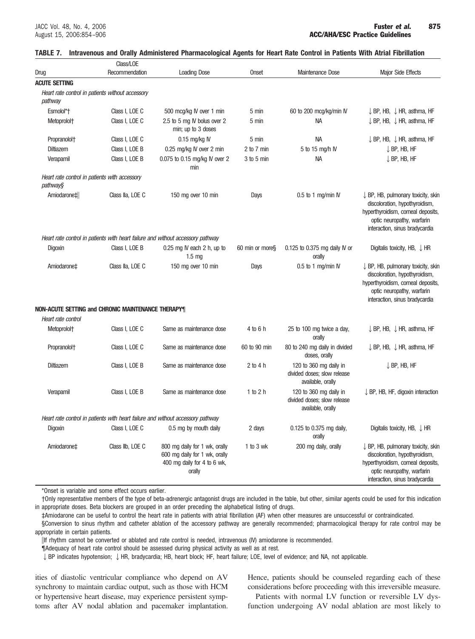#### <span id="page-21-0"></span>**TABLE 7. Intravenous and Orally Administered Pharmacological Agents for Heart Rate Control in Patients With Atrial Fibrillation**

|                                                             | Class/LOE        |                                                                                                         |                 |                                                                            |                                                                                                                                                                                       |
|-------------------------------------------------------------|------------------|---------------------------------------------------------------------------------------------------------|-----------------|----------------------------------------------------------------------------|---------------------------------------------------------------------------------------------------------------------------------------------------------------------------------------|
| Drug                                                        | Recommendation   | <b>Loading Dose</b>                                                                                     | Onset           | Maintenance Dose                                                           | <b>Major Side Effects</b>                                                                                                                                                             |
| <b>ACUTE SETTING</b>                                        |                  |                                                                                                         |                 |                                                                            |                                                                                                                                                                                       |
| Heart rate control in patients without accessory<br>pathway |                  |                                                                                                         |                 |                                                                            |                                                                                                                                                                                       |
| Esmolol*+                                                   | Class I, LOE C   | 500 mcg/kg IV over 1 min                                                                                | 5 min           | 60 to 200 mcg/kg/min IV                                                    | $\downarrow$ BP, HB, $\downarrow$ HR, asthma, HF                                                                                                                                      |
| Metoprolol <sup>+</sup>                                     | Class I, LOE C   | 2.5 to 5 mg IV bolus over 2<br>min: up to 3 doses                                                       | 5 min           | <b>NA</b>                                                                  | $\downarrow$ BP, HB, $\downarrow$ HR, asthma, HF                                                                                                                                      |
| Propranolol <sup>+</sup>                                    | Class I, LOE C   | $0.15$ mg/kg IV                                                                                         | 5 min           | <b>NA</b>                                                                  | $\downarrow$ BP, HB, $\downarrow$ HR, asthma, HF                                                                                                                                      |
| <b>Diltiazem</b>                                            | Class I, LOE B   | 0.25 mg/kg IV over 2 min                                                                                | 2 to 7 min      | 5 to 15 mg/h N                                                             | $\downarrow$ BP, HB, HF                                                                                                                                                               |
| Verapamil                                                   | Class I, LOE B   | 0.075 to 0.15 mg/kg N over 2<br>min                                                                     | $3$ to $5$ min  | <b>NA</b>                                                                  | $\downarrow$ BP, HB, HF                                                                                                                                                               |
| Heart rate control in patients with accessory<br>pathway§   |                  |                                                                                                         |                 |                                                                            |                                                                                                                                                                                       |
| Amiodarone‡                                                 | Class IIa, LOE C | 150 mg over 10 min                                                                                      | Days            | 0.5 to 1 mg/min IV                                                         | $\downarrow$ BP, HB, pulmonary toxicity, skin<br>discoloration, hypothyroidism,<br>hyperthyroidism, corneal deposits,<br>optic neuropathy, warfarin<br>interaction, sinus bradycardia |
|                                                             |                  | Heart rate control in patients with heart failure and without accessory pathway                         |                 |                                                                            |                                                                                                                                                                                       |
| Digoxin                                                     | Class I, LOE B   | 0.25 mg IV each $2 h$ , up to<br>1.5 <sub>mq</sub>                                                      | 60 min or mores | $0.125$ to 0.375 mg daily IV or<br>orally                                  | Digitalis toxicity, HB, $\downarrow$ HR                                                                                                                                               |
| Amiodarone‡                                                 | Class IIa, LOE C | 150 mg over 10 min                                                                                      | Days            | $0.5$ to 1 mg/min IV                                                       | ↓ BP, HB, pulmonary toxicity, skin<br>discoloration, hypothyroidism,<br>hyperthyroidism, corneal deposits,<br>optic neuropathy, warfarin<br>interaction, sinus bradycardia            |
| NON-ACUTE SETTING and CHRONIC MAINTENANCE THERAPY¶          |                  |                                                                                                         |                 |                                                                            |                                                                                                                                                                                       |
| Heart rate control                                          |                  |                                                                                                         |                 |                                                                            |                                                                                                                                                                                       |
| Metoprolol <sup>+</sup>                                     | Class I, LOE C   | Same as maintenance dose                                                                                | 4 to 6 h        | 25 to 100 mg twice a day,<br>orally                                        | $\downarrow$ BP, HB, $\downarrow$ HR, asthma, HF                                                                                                                                      |
| Propranolol <sup>+</sup>                                    | Class I, LOE C   | Same as maintenance dose                                                                                | 60 to 90 min    | 80 to 240 mg daily in divided<br>doses, orally                             | $\downarrow$ BP, HB, $\downarrow$ HR, asthma, HF                                                                                                                                      |
| <b>Diltiazem</b>                                            | Class I, LOE B   | Same as maintenance dose                                                                                | $2$ to $4$ h    | 120 to 360 mg daily in<br>divided doses; slow release<br>available, orally | $\downarrow$ BP, HB, HF                                                                                                                                                               |
| Verapamil                                                   | Class I, LOE B   | Same as maintenance dose                                                                                | 1 to 2 h        | 120 to 360 mg daily in<br>divided doses: slow release<br>available, orally | $\downarrow$ BP, HB, HF, digoxin interaction                                                                                                                                          |
|                                                             |                  | Heart rate control in patients with heart failure and without accessory pathway                         |                 |                                                                            |                                                                                                                                                                                       |
| Digoxin                                                     | Class I, LOE C   | 0.5 mg by mouth daily                                                                                   | 2 days          | 0.125 to 0.375 mg daily,<br>orally                                         | Digitalis toxicity, HB, $\downarrow$ HR                                                                                                                                               |
| Amiodarone <sup>+</sup>                                     | Class IIb, LOE C | 800 mg daily for 1 wk, orally<br>600 mg daily for 1 wk, orally<br>400 mg daily for 4 to 6 wk,<br>orally | $1$ to $3$ wk   | 200 mg daily, orally                                                       | J BP, HB, pulmonary toxicity, skin<br>discoloration, hypothyroidism,<br>hyperthyroidism, corneal deposits,<br>optic neuropathy, warfarin<br>interaction, sinus bradycardia            |

\*Onset is variable and some effect occurs earlier.

†Only representative members of the type of beta-adrenergic antagonist drugs are included in the table, but other, similar agents could be used for this indication in appropriate doses. Beta blockers are grouped in an order preceding the alphabetical listing of drugs.

‡Amiodarone can be useful to control the heart rate in patients with atrial fibrillation (AF) when other measures are unsuccessful or contraindicated.

§Conversion to sinus rhythm and catheter ablation of the accessory pathway are generally recommended; pharmacological therapy for rate control may be appropriate in certain patients.

If rhythm cannot be converted or ablated and rate control is needed, intravenous (IV) amiodarone is recommended.

¶Adequacy of heart rate control should be assessed during physical activity as well as at rest.

2BP indicates hypotension; 2HR, bradycardia; HB, heart block; HF, heart failure; LOE, level of evidence; and NA, not applicable.

ities of diastolic ventricular compliance who depend on AV synchrony to maintain cardiac output, such as those with HCM or hypertensive heart disease, may experience persistent symptoms after AV nodal ablation and pacemaker implantation.

Hence, patients should be counseled regarding each of these considerations before proceeding with this irreversible measure.

Patients with normal LV function or reversible LV dysfunction undergoing AV nodal ablation are most likely to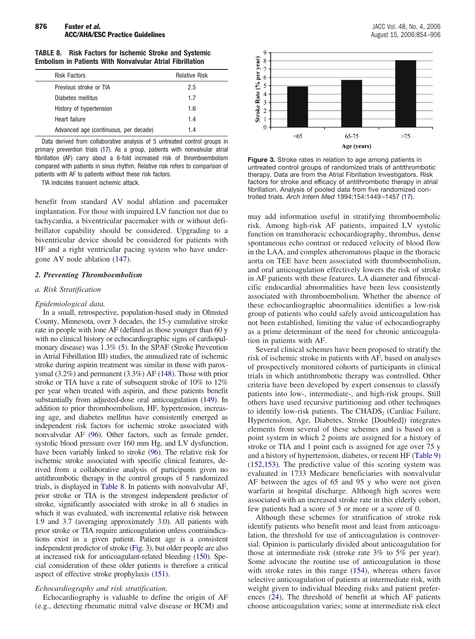**TABLE 8. Risk Factors for Ischemic Stroke and Systemic Embolism in Patients With Nonvalvular Atrial Fibrillation**

| <b>Risk Factors</b>                   | <b>Relative Risk</b> |
|---------------------------------------|----------------------|
| Previous stroke or TIA                | 2.5                  |
| Diabetes mellitus                     | 1.7                  |
| History of hypertension               | 1.6                  |
| Heart failure                         | 1.4                  |
| Advanced age (continuous, per decade) | 1.4                  |

Data derived from collaborative analysis of 5 untreated control groups in primary prevention trials [\(17\).](#page-45-0) As a group, patients with nonvalvular atrial fibrillation (AF) carry about a 6-fold increased risk of thromboembolism compared with patients in sinus rhythm. Relative risk refers to comparison of patients with AF to patients without these risk factors.

TIA indicates transient ischemic attack.

benefit from standard AV nodal ablation and pacemaker implantation. For those with impaired LV function not due to tachycardia, a biventricular pacemaker with or without defibrillator capability should be considered. Upgrading to a biventricular device should be considered for patients with HF and a right ventricular pacing system who have undergone AV node ablation [\(147\).](#page-48-0)

#### *2. Preventing Thromboembolism*

#### *a. Risk Stratification*

#### *Epidemiological data.*

In a small, retrospective, population-based study in Olmsted County, Minnesota, over 3 decades, the 15-y cumulative stroke rate in people with lone AF (defined as those younger than 60 y with no clinical history or echocardiographic signs of cardiopulmonary disease) was 1.3% [\(5\).](#page-45-0) In the SPAF (Stroke Prevention in Atrial Fibrillation III) studies, the annualized rate of ischemic stroke during aspirin treatment was similar in those with paroxysmal (3.2%) and permanent (3.3%) AF [\(148\).](#page-48-0) Those with prior stroke or TIA have a rate of subsequent stroke of 10% to 12% per year when treated with aspirin, and these patients benefit substantially from adjusted-dose oral anticoagulation [\(149\).](#page-48-0) In addition to prior thromboembolism, HF, hypertension, increasing age, and diabetes mellitus have consistently emerged as independent risk factors for ischemic stroke associated with nonvalvular AF [\(96\).](#page-47-0) Other factors, such as female gender, systolic blood pressure over 160 mm Hg, and LV dysfunction, have been variably linked to stroke [\(96\).](#page-47-0) The relative risk for ischemic stroke associated with specific clinical features, derived from a collaborative analysis of participants given no antithrombotic therapy in the control groups of 5 randomized trials, is displayed in Table 8. In patients with nonvalvular AF, prior stroke or TIA is the strongest independent predictor of stroke, significantly associated with stroke in all 6 studies in which it was evaluated, with incremental relative risk between 1.9 and 3.7 (averaging approximately 3.0). All patients with prior stroke or TIA require anticoagulation unless contraindications exist in a given patient. Patient age is a consistent independent predictor of stroke (Fig. 3), but older people are also at increased risk for anticoagulant-related bleeding [\(150\).](#page-48-0) Special consideration of these older patients is therefore a critical aspect of effective stroke prophylaxis [\(151\).](#page-48-0)

#### *Echocardiography and risk stratification.*

Echocardiography is valuable to define the origin of AF (e.g., detecting rheumatic mitral valve disease or HCM) and



**Figure 3.** Stroke rates in relation to age among patients in untreated control groups of randomized trials of antithrombotic therapy. Data are from the Atrial Fibrillation Investigators. Risk factors for stroke and efficacy of antithrombotic therapy in atrial fibrillation. Analysis of pooled data from five randomized controlled trials. *Arch Intern Med* 1994;154:1449–1457 [\(17\).](#page-45-0)

may add information useful in stratifying thromboembolic risk. Among high-risk AF patients, impaired LV systolic function on transthoracic echocardiography, thrombus, dense spontaneous echo contrast or reduced velocity of blood flow in the LAA, and complex atheromatous plaque in the thoracic aorta on TEE have been associated with thromboembolism, and oral anticoagulation effectively lowers the risk of stroke in AF patients with these features. LA diameter and fibrocalcific endocardial abnormalities have been less consistently associated with thromboembolism. Whether the absence of these echocardiographic abnormalities identifies a low-risk group of patients who could safely avoid anticoagulation has not been established, limiting the value of echocardiography as a prime determinant of the need for chronic anticoagulation in patients with AF.

Several clinical schemes have been proposed to stratify the risk of ischemic stroke in patients with AF, based on analyses of prospectively monitored cohorts of participants in clinical trials in which antithrombotic therapy was controlled. Other criteria have been developed by expert consensus to classify patients into low-, intermediate-, and high-risk groups. Still others have used recursive partitioning and other techniques to identify low-risk patients. The CHADS<sub>2</sub> (Cardiac Failure, Hypertension, Age, Diabetes, Stroke [Doubled]) integrates elements from several of these schemes and is based on a point system in which 2 points are assigned for a history of stroke or TIA and 1 point each is assigned for age over 75 y and a history of hypertension, diabetes, or recent HF [\(Table](#page-23-0) 9) [\(152,153\).](#page-48-0) The predictive value of this scoring system was evaluated in 1733 Medicare beneficiaries with nonvalvular AF between the ages of 65 and 95 y who were not given warfarin at hospital discharge. Although high scores were associated with an increased stroke rate in this elderly cohort, few patients had a score of 5 or more or a score of 0.

Although these schemes for stratification of stroke risk identify patients who benefit most and least from anticoagulation, the threshold for use of anticoagulation is controversial. Opinion is particularly divided about anticoagulation for those at intermediate risk (stroke rate 3% to 5% per year). Some advocate the routine use of anticoagulation in those with stroke rates in this range [\(154\),](#page-48-0) whereas others favor selective anticoagulation of patients at intermediate risk, with weight given to individual bleeding risks and patient preferences [\(24\),](#page-45-0) The threshold of benefit at which AF patients choose anticoagulation varies; some at intermediate risk elect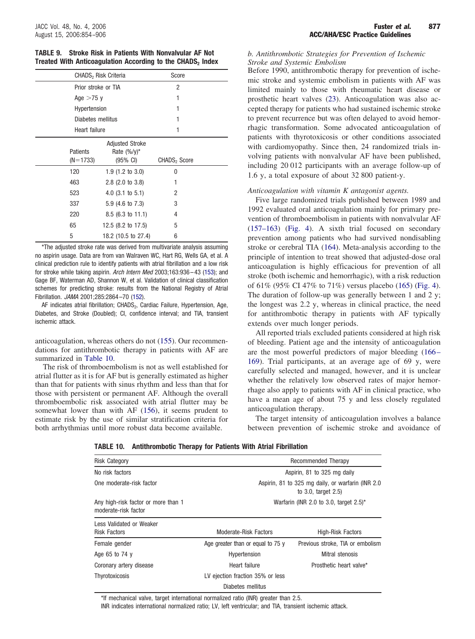#### <span id="page-23-0"></span>**TABLE 9. Stroke Risk in Patients With Nonvalvular AF Not Treated With Anticoagulation According to the CHADS<sub>2</sub> Index**

|                     | CHADS <sub>2</sub> Risk Criteria | Score                    |  |
|---------------------|----------------------------------|--------------------------|--|
| Prior stroke or TIA |                                  | 2                        |  |
| Age $>75$ y         |                                  | 1                        |  |
| Hypertension        |                                  |                          |  |
| Diabetes mellitus   |                                  |                          |  |
| Heart failure       | 1                                |                          |  |
|                     | <b>Adjusted Stroke</b>           |                          |  |
| Patients            | Rate $(\frac{9}{6})(y)^*$        |                          |  |
| $(N=1733)$          | $(95% \text{ Cl})$               | CHADS <sub>2</sub> Score |  |
| 120                 | $1.9$ (1.2 to 3.0)               | 0                        |  |
| 463                 | $2.8$ (2.0 to 3.8)               | 1                        |  |
| 523                 | 4.0 $(3.1 \text{ to } 5.1)$      | 2                        |  |
| 337                 | 5.9 $(4.6 \text{ to } 7.3)$      | 3                        |  |
| 220                 | $8.5$ (6.3 to 11.1)              | 4                        |  |
|                     |                                  |                          |  |

\*The adjusted stroke rate was derived from multivariate analysis assuming no aspirin usage. Data are from van Walraven WC, Hart RG, Wells GA, et al. A clinical prediction rule to identify patients with atrial fibrillation and a low risk for stroke while taking aspirin. *Arch Intern Med* 2003;163:936–43 [\(153\);](#page-48-0) and Gage BF, Waterman AD, Shannon W, et al. Validation of clinical classification schemes for predicting stroke: results from the National Registry of Atrial Fibrillation. *JAMA* 2001;285:2864–70 [\(152\).](#page-48-0)

5 18.2 (10.5 to 27.4) 6

AF indicates atrial fibrillation; CHADS<sub>2</sub>, Cardiac Failure, Hypertension, Age, Diabetes, and Stroke (Doubled); CI, confidence interval; and TIA, transient ischemic attack.

anticoagulation, whereas others do not [\(155\).](#page-48-0) Our recommendations for antithrombotic therapy in patients with AF are summarized in Table 10.

The risk of thromboembolism is not as well established for atrial flutter as it is for AF but is generally estimated as higher than that for patients with sinus rhythm and less than that for those with persistent or permanent AF. Although the overall thromboembolic risk associated with atrial flutter may be somewhat lower than with AF [\(156\),](#page-48-0) it seems prudent to estimate risk by the use of similar stratification criteria for both arrhythmias until more robust data become available.

# *b. Antithrombotic Strategies for Prevention of Ischemic Stroke and Systemic Embolism*

Before 1990, antithrombotic therapy for prevention of ischemic stroke and systemic embolism in patients with AF was limited mainly to those with rheumatic heart disease or prosthetic heart valves [\(23\).](#page-45-0) Anticoagulation was also accepted therapy for patients who had sustained ischemic stroke to prevent recurrence but was often delayed to avoid hemorrhagic transformation. Some advocated anticoagulation of patients with thyrotoxicosis or other conditions associated with cardiomyopathy. Since then, 24 randomized trials involving patients with nonvalvular AF have been published, including 20 012 participants with an average follow-up of 1.6 y, a total exposure of about 32 800 patient-y.

#### *Anticoagulation with vitamin K antagonist agents.*

Five large randomized trials published between 1989 and 1992 evaluated oral anticoagulation mainly for primary prevention of thromboembolism in patients with nonvalvular AF [\(157–163\)](#page-48-0) [\(Fig.](#page-24-0) 4). A sixth trial focused on secondary prevention among patients who had survived nondisabling stroke or cerebral TIA [\(164\).](#page-48-0) Meta-analysis according to the principle of intention to treat showed that adjusted-dose oral anticoagulation is highly efficacious for prevention of all stroke (both ischemic and hemorrhagic), with a risk reduction of 61% (95% CI 47% to 71%) versus placebo [\(165\)](#page-48-0) [\(Fig.](#page-24-0) 4). The duration of follow-up was generally between 1 and 2 y; the longest was 2.2 y, whereas in clinical practice, the need for antithrombotic therapy in patients with AF typically extends over much longer periods.

All reported trials excluded patients considered at high risk of bleeding. Patient age and the intensity of anticoagulation are the most powerful predictors of major bleeding [\(166](#page-48-0)– [169\).](#page-48-0) Trial participants, at an average age of 69 y, were carefully selected and managed, however, and it is unclear whether the relatively low observed rates of major hemorrhage also apply to patients with AF in clinical practice, who have a mean age of about 75 y and less closely regulated anticoagulation therapy.

The target intensity of anticoagulation involves a balance between prevention of ischemic stroke and avoidance of

**TABLE 10. Antithrombotic Therapy for Patients With Atrial Fibrillation**

| <b>Risk Category</b>                                        | Recommended Therapy                                                             |                                  |  |  |  |
|-------------------------------------------------------------|---------------------------------------------------------------------------------|----------------------------------|--|--|--|
| No risk factors                                             | Aspirin, 81 to 325 mg daily                                                     |                                  |  |  |  |
| One moderate-risk factor                                    | Aspirin, 81 to 325 mg daily, or warfarin (INR 2.0)<br>to $3.0$ , target $2.5$ ) |                                  |  |  |  |
| Any high-risk factor or more than 1<br>moderate-risk factor | Warfarin (INR 2.0 to 3.0, target $2.5$ )*                                       |                                  |  |  |  |
| Less Validated or Weaker<br><b>Risk Factors</b>             | Moderate-Risk Factors                                                           | <b>High-Risk Factors</b>         |  |  |  |
| Female gender                                               | Age greater than or equal to $75y$                                              | Previous stroke, TIA or embolism |  |  |  |
| Age 65 to 74 y                                              | Hypertension                                                                    | Mitral stenosis                  |  |  |  |
| Coronary artery disease                                     | Heart failure                                                                   | Prosthetic heart valve*          |  |  |  |
| Thyrotoxicosis                                              | LV ejection fraction 35% or less                                                |                                  |  |  |  |
|                                                             | Diabetes mellitus                                                               |                                  |  |  |  |

\*If mechanical valve, target international normalized ratio (INR) greater than 2.5.

INR indicates international normalized ratio; LV, left ventricular; and TIA, transient ischemic attack.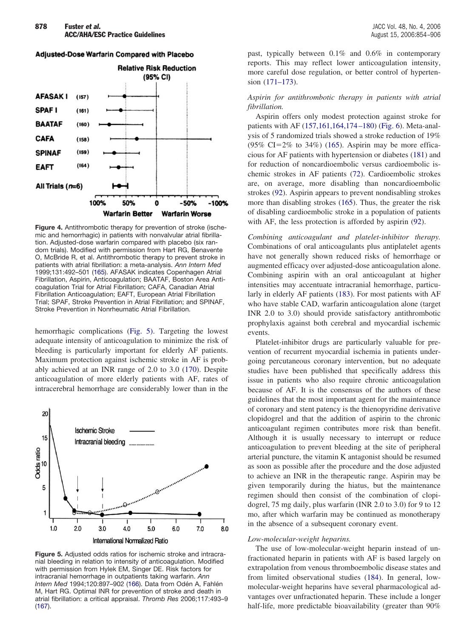<span id="page-24-0"></span>



**Figure 4.** Antithrombotic therapy for prevention of stroke (ischemic and hemorrhagic) in patients with nonvalvular atrial fibrillation. Adjusted-dose warfarin compared with placebo (six random trials). Modified with permission from Hart RG, Benavente O, McBride R, et al. Antithrombotic therapy to prevent stroke in patients with atrial fibrillation: a meta-analysis. *Ann Intern Med* 1999;131:492–501 [\(165\).](#page-48-0) AFASAK indicates Copenhagen Atrial Fibrillation, Aspirin, Anticoagulation; BAATAF, Boston Area Anticoagulation Trial for Atrial Fibrillation; CAFA, Canadian Atrial Fibrillation Anticoagulation; EAFT, European Atrial Fibrillation Trial; SPAF, Stroke Prevention in Atrial Fibrillation; and SPINAF, Stroke Prevention in Nonrheumatic Atrial Fibrillation.

hemorrhagic complications (Fig. 5). Targeting the lowest adequate intensity of anticoagulation to minimize the risk of bleeding is particularly important for elderly AF patients. Maximum protection against ischemic stroke in AF is probably achieved at an INR range of 2.0 to 3.0 [\(170\).](#page-48-0) Despite anticoagulation of more elderly patients with AF, rates of intracerebral hemorrhage are considerably lower than in the



**Figure 5.** Adjusted odds ratios for ischemic stroke and intracranial bleeding in relation to intensity of anticoagulation. Modified with permission from Hylek EM, Singer DE. Risk factors for intracranial hemorrhage in outpatients taking warfarin. *Ann Intern Med* 1994;120:897–902 [\(166\).](#page-48-0) Data from Odén A, Fahlén M, Hart RG. Optimal INR for prevention of stroke and death in atrial fibrillation: a critical appraisal. *Thromb Res* 2006;117:493–9 [\(167\).](#page-48-0)

past, typically between 0.1% and 0.6% in contemporary reports. This may reflect lower anticoagulation intensity, more careful dose regulation, or better control of hypertension [\(171–173\).](#page-48-0)

#### *Aspirin for antithrombotic therapy in patients with atrial fibrillation.*

Aspirin offers only modest protection against stroke for patients with AF [\(157,161,164,174–180\)](#page-48-0) [\(Fig.](#page-27-0) 6). Meta-analysis of 5 randomized trials showed a stroke reduction of 19% (95% CI=2% to 34%) [\(165\).](#page-48-0) Aspirin may be more efficacious for AF patients with hypertension or diabetes [\(181\)](#page-48-0) and for reduction of noncardioembolic versus cardioembolic ischemic strokes in AF patients [\(72\).](#page-46-0) Cardioembolic strokes are, on average, more disabling than noncardioembolic strokes [\(92\).](#page-46-0) Aspirin appears to prevent nondisabling strokes more than disabling strokes [\(165\).](#page-48-0) Thus, the greater the risk of disabling cardioembolic stroke in a population of patients with AF, the less protection is afforded by aspirin [\(92\).](#page-46-0)

*Combining anticoagulant and platelet-inhibitor therapy.* Combinations of oral anticoagulants plus antiplatelet agents have not generally shown reduced risks of hemorrhage or augmented efficacy over adjusted-dose anticoagulation alone. Combining aspirin with an oral anticoagulant at higher intensities may accentuate intracranial hemorrhage, particularly in elderly AF patients [\(183\).](#page-48-0) For most patients with AF who have stable CAD, warfarin anticoagulation alone (target INR 2.0 to 3.0) should provide satisfactory antithrombotic prophylaxis against both cerebral and myocardial ischemic events.

Platelet-inhibitor drugs are particularly valuable for prevention of recurrent myocardial ischemia in patients undergoing percutaneous coronary intervention, but no adequate studies have been published that specifically address this issue in patients who also require chronic anticoagulation because of AF. It is the consensus of the authors of these guidelines that the most important agent for the maintenance of coronary and stent patency is the thienopyridine derivative clopidogrel and that the addition of aspirin to the chronic anticoagulant regimen contributes more risk than benefit. Although it is usually necessary to interrupt or reduce anticoagulation to prevent bleeding at the site of peripheral arterial puncture, the vitamin K antagonist should be resumed as soon as possible after the procedure and the dose adjusted to achieve an INR in the therapeutic range. Aspirin may be given temporarily during the hiatus, but the maintenance regimen should then consist of the combination of clopidogrel, 75 mg daily, plus warfarin (INR 2.0 to 3.0) for 9 to 12 mo, after which warfarin may be continued as monotherapy in the absence of a subsequent coronary event.

#### *Low-molecular-weight heparins.*

The use of low-molecular-weight heparin instead of unfractionated heparin in patients with AF is based largely on extrapolation from venous thromboembolic disease states and from limited observational studies [\(184\).](#page-48-0) In general, lowmolecular-weight heparins have several pharmacological advantages over unfractionated heparin. These include a longer half-life, more predictable bioavailability (greater than 90%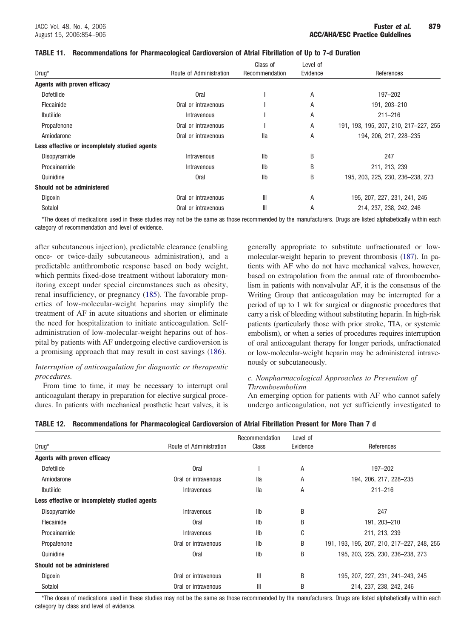<span id="page-25-0"></span>

|  |  |  | TABLE 11. Recommendations for Pharmacological Cardioversion of Atrial Fibrillation of Up to 7-d Duration |  |  |
|--|--|--|----------------------------------------------------------------------------------------------------------|--|--|
|--|--|--|----------------------------------------------------------------------------------------------------------|--|--|

|                                               |                         | Class of        | Level of |                                       |
|-----------------------------------------------|-------------------------|-----------------|----------|---------------------------------------|
| Drug*                                         | Route of Administration | Recommendation  | Evidence | References                            |
| Agents with proven efficacy                   |                         |                 |          |                                       |
| <b>Dofetilide</b>                             | Oral                    |                 | Α        | 197-202                               |
| Flecainide                                    | Oral or intravenous     |                 | Α        | 191, 203-210                          |
| Ibutilide                                     | Intravenous             |                 | Α        | $211 - 216$                           |
| Propafenone                                   | Oral or intravenous     |                 | Α        | 191, 193, 195, 207, 210, 217-227, 255 |
| Amiodarone                                    | Oral or intravenous     | <b>Ila</b>      | Α        | 194, 206, 217, 228-235                |
| Less effective or incompletely studied agents |                         |                 |          |                                       |
| Disopyramide                                  | Intravenous             | I <sub>II</sub> | B        | 247                                   |
| Procainamide                                  | Intravenous             | llb             | B        | 211, 213, 239                         |
| Quinidine                                     | Oral                    | llb             | B        | 195, 203, 225, 230, 236-238, 273      |
| Should not be administered                    |                         |                 |          |                                       |
| Digoxin                                       | Oral or intravenous     | Ш               | Α        | 195, 207, 227, 231, 241, 245          |
| Sotalol                                       | Oral or intravenous     | Ш               | Α        | 214, 237, 238, 242, 246               |

\*The doses of medications used in these studies may not be the same as those recommended by the manufacturers. Drugs are listed alphabetically within each category of recommendation and level of evidence.

after subcutaneous injection), predictable clearance (enabling once- or twice-daily subcutaneous administration), and a predictable antithrombotic response based on body weight, which permits fixed-dose treatment without laboratory monitoring except under special circumstances such as obesity, renal insufficiency, or pregnancy [\(185\).](#page-48-0) The favorable properties of low-molecular-weight heparins may simplify the treatment of AF in acute situations and shorten or eliminate the need for hospitalization to initiate anticoagulation. Selfadministration of low-molecular-weight heparins out of hospital by patients with AF undergoing elective cardioversion is a promising approach that may result in cost savings [\(186\).](#page-48-0)

# *Interruption of anticoagulation for diagnostic or therapeutic procedures.*

From time to time, it may be necessary to interrupt oral anticoagulant therapy in preparation for elective surgical procedures. In patients with mechanical prosthetic heart valves, it is

generally appropriate to substitute unfractionated or lowmolecular-weight heparin to prevent thrombosis [\(187\).](#page-48-0) In patients with AF who do not have mechanical valves, however, based on extrapolation from the annual rate of thromboembolism in patients with nonvalvular AF, it is the consensus of the Writing Group that anticoagulation may be interrupted for a period of up to 1 wk for surgical or diagnostic procedures that carry a risk of bleeding without substituting heparin. In high-risk patients (particularly those with prior stroke, TIA, or systemic embolism), or when a series of procedures requires interruption of oral anticoagulant therapy for longer periods, unfractionated or low-molecular-weight heparin may be administered intravenously or subcutaneously.

#### *c. Nonpharmacological Approaches to Prevention of Thromboembolism*

An emerging option for patients with AF who cannot safely undergo anticoagulation, not yet sufficiently investigated to

|                                               |                         | Recommendation | Level of |                                            |
|-----------------------------------------------|-------------------------|----------------|----------|--------------------------------------------|
| Drug*                                         | Route of Administration | Class          | Evidence | References                                 |
| Agents with proven efficacy                   |                         |                |          |                                            |
| <b>Dofetilide</b>                             | <b>Oral</b>             |                | Α        | 197-202                                    |
| Amiodarone                                    | Oral or intravenous     | lla            | Α        | 194, 206, 217, 228-235                     |
| Ibutilide                                     | Intravenous             | lla            | A        | $211 - 216$                                |
| Less effective or incompletely studied agents |                         |                |          |                                            |
| Disopyramide                                  | Intravenous             | I <sub>1</sub> | B        | 247                                        |
| Flecainide                                    | <b>Oral</b>             | I <sub>1</sub> | B        | 191, 203-210                               |
| Procainamide                                  | Intravenous             | <b>IIb</b>     | C        | 211, 213, 239                              |
| Propafenone                                   | Oral or intravenous     | Ilb            | B        | 191, 193, 195, 207, 210, 217-227, 248, 255 |
| Quinidine                                     | <b>Oral</b>             | Ilb            | B        | 195, 203, 225, 230, 236-238, 273           |
| Should not be administered                    |                         |                |          |                                            |
| Digoxin                                       | Oral or intravenous     | Ш              | B        | 195, 207, 227, 231, 241-243, 245           |
| Sotalol                                       | Oral or intravenous     | Ш              | B        | 214, 237, 238, 242, 246                    |

\*The doses of medications used in these studies may not be the same as those recommended by the manufacturers. Drugs are listed alphabetically within each category by class and level of evidence.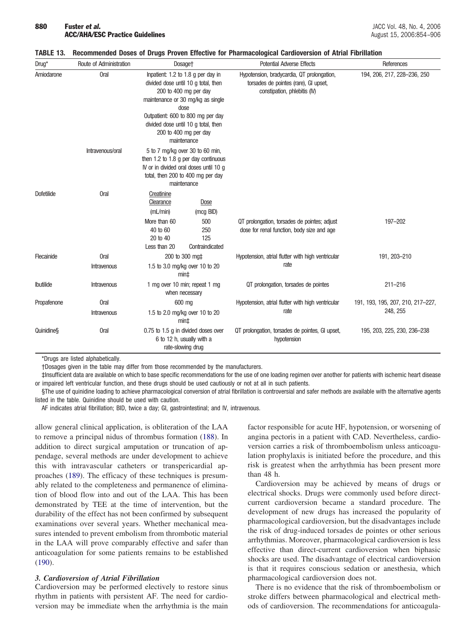#### <span id="page-26-0"></span>**TABLE 13. Recommended Doses of Drugs Proven Effective for Pharmacological Cardioversion of Atrial Fibrillation**

| Drug*                     | Route of Administration           |                                                      | Dosage <sup>+</sup>                                                                                                                                                                                                                                                 | <b>Potential Adverse Effects</b>                                                                                    | References                                    |  |
|---------------------------|-----------------------------------|------------------------------------------------------|---------------------------------------------------------------------------------------------------------------------------------------------------------------------------------------------------------------------------------------------------------------------|---------------------------------------------------------------------------------------------------------------------|-----------------------------------------------|--|
| <b>Oral</b><br>Amiodarone |                                   |                                                      | Inpatient: 1.2 to 1.8 g per day in<br>divided dose until 10 g total, then<br>200 to 400 mg per day<br>maintenance or 30 mg/kg as single<br>dose<br>Outpatient: 600 to 800 mg per day<br>divided dose until 10 g total, then<br>200 to 400 mg per day<br>maintenance | Hypotension, bradycardia, QT prolongation,<br>torsades de pointes (rare), GI upset,<br>constipation, phlebitis (IV) | 194, 206, 217, 228-236, 250                   |  |
|                           | Intravenous/oral                  |                                                      | 5 to 7 mg/kg over 30 to 60 min,<br>then $1.2$ to $1.8$ g per day continuous<br>IV or in divided oral doses until 10 g<br>total, then 200 to 400 mg per day<br>maintenance                                                                                           |                                                                                                                     |                                               |  |
| <b>Dofetilide</b>         | <b>Oral</b>                       | Creatinine<br>Clearance<br>(mL/min)                  | Dose<br>(mcg BID)                                                                                                                                                                                                                                                   |                                                                                                                     |                                               |  |
|                           |                                   | More than 60<br>40 to 60<br>20 to 40<br>Less than 20 | 500<br>250<br>125<br>Contraindicated                                                                                                                                                                                                                                | QT prolongation, torsades de pointes; adjust<br>dose for renal function, body size and age                          | 197-202                                       |  |
| Flecainide                | Oral<br><b>Intravenous</b>        |                                                      | 200 to 300 mg ±<br>1.5 to 3.0 mg/kg over 10 to 20<br>$min+$                                                                                                                                                                                                         | Hypotension, atrial flutter with high ventricular<br>rate                                                           | 191, 203-210                                  |  |
| Ibutilide                 | Intravenous                       |                                                      | 1 mg over 10 min; repeat 1 mg<br>when necessary                                                                                                                                                                                                                     | QT prolongation, torsades de pointes                                                                                | $211 - 216$                                   |  |
| Propafenone               | <b>Oral</b><br><b>Intravenous</b> |                                                      | 600 mg<br>1.5 to 2.0 mg/kg over 10 to 20<br>$min+$                                                                                                                                                                                                                  | Hypotension, atrial flutter with high ventricular<br>rate                                                           | 191, 193, 195, 207, 210, 217-227,<br>248, 255 |  |
| Quinidine <sub>S</sub>    | <b>Oral</b>                       |                                                      | 0.75 to 1.5 g in divided doses over<br>6 to 12 h, usually with a<br>rate-slowing drug                                                                                                                                                                               | QT prolongation, torsades de pointes, GI upset,<br>hypotension                                                      | 195, 203, 225, 230, 236-238                   |  |

\*Drugs are listed alphabetically.

†Dosages given in the table may differ from those recommended by the manufacturers.

‡Insufficient data are available on which to base specific recommendations for the use of one loading regimen over another for patients with ischemic heart disease or impaired left ventricular function, and these drugs should be used cautiously or not at all in such patients.

§The use of quinidine loading to achieve pharmacological conversion of atrial fibrillation is controversial and safer methods are available with the alternative agents listed in the table. Quinidine should be used with caution.

AF indicates atrial fibrillation; BID, twice a day; GI, gastrointestinal; and IV, intravenous.

allow general clinical application, is obliteration of the LAA to remove a principal nidus of thrombus formation [\(188\).](#page-48-0) In addition to direct surgical amputation or truncation of appendage, several methods are under development to achieve this with intravascular catheters or transpericardial approaches [\(189\).](#page-48-0) The efficacy of these techniques is presumably related to the completeness and permanence of elimination of blood flow into and out of the LAA. This has been demonstrated by TEE at the time of intervention, but the durability of the effect has not been confirmed by subsequent examinations over several years. Whether mechanical measures intended to prevent embolism from thrombotic material in the LAA will prove comparably effective and safer than anticoagulation for some patients remains to be established [\(190\).](#page-49-0)

#### *3. Cardioversion of Atrial Fibrillation*

Cardioversion may be performed electively to restore sinus rhythm in patients with persistent AF. The need for cardioversion may be immediate when the arrhythmia is the main

factor responsible for acute HF, hypotension, or worsening of angina pectoris in a patient with CAD. Nevertheless, cardioversion carries a risk of thromboembolism unless anticoagulation prophylaxis is initiated before the procedure, and this risk is greatest when the arrhythmia has been present more than 48 h.

Cardioversion may be achieved by means of drugs or electrical shocks. Drugs were commonly used before directcurrent cardioversion became a standard procedure. The development of new drugs has increased the popularity of pharmacological cardioversion, but the disadvantages include the risk of drug-induced torsades de pointes or other serious arrhythmias. Moreover, pharmacological cardioversion is less effective than direct-current cardioversion when biphasic shocks are used. The disadvantage of electrical cardioversion is that it requires conscious sedation or anesthesia, which pharmacological cardioversion does not.

There is no evidence that the risk of thromboembolism or stroke differs between pharmacological and electrical methods of cardioversion. The recommendations for anticoagula-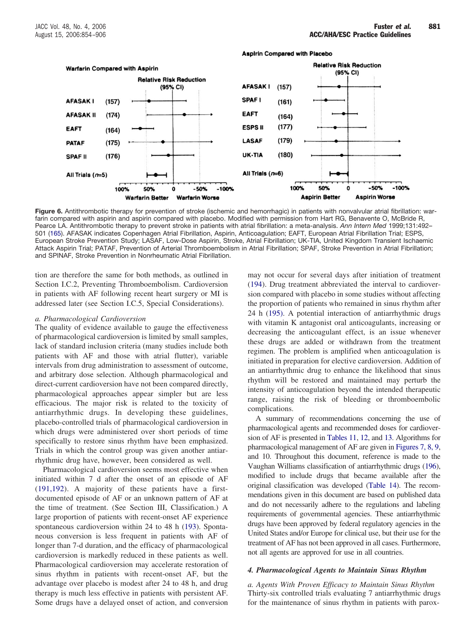<span id="page-27-0"></span>

**Figure 6.** Antithrombotic therapy for prevention of stroke (ischemic and hemorrhagic) in patients with nonvalvular atrial fibrillation: warfarin compared with aspirin and aspirin compared with placebo. Modified with permission from Hart RG, Benavente O, McBride R, Pearce LA. Antithrombotic therapy to prevent stroke in patients with atrial fibrillation: a meta-analysis. *Ann Intern Med* 1999;131:492– 501 [\(165\).](#page-48-0) AFASAK indicates Copenhagen Atrial Fibrillation, Aspirin, Anticoagulation; EAFT, European Atrial Fibrillation Trial; ESPS, European Stroke Prevention Study; LASAF, Low-Dose Aspirin, Stroke, Atrial Fibrillation; UK-TIA, United Kingdom Transient Ischaemic Attack Aspirin Trial; PATAF, Prevention of Arterial Thromboembolism in Atrial Fibrillation; SPAF, Stroke Prevention in Atrial Fibrillation; and SPINAF, Stroke Prevention in Nonrheumatic Atrial Fibrillation.

tion are therefore the same for both methods, as outlined in Section I.C.2, Preventing Thromboembolism. Cardioversion in patients with AF following recent heart surgery or MI is addressed later (see Section I.C.5, Special Considerations).

#### *a. Pharmacological Cardioversion*

The quality of evidence available to gauge the effectiveness of pharmacological cardioversion is limited by small samples, lack of standard inclusion criteria (many studies include both patients with AF and those with atrial flutter), variable intervals from drug administration to assessment of outcome, and arbitrary dose selection. Although pharmacological and direct-current cardioversion have not been compared directly, pharmacological approaches appear simpler but are less efficacious. The major risk is related to the toxicity of antiarrhythmic drugs. In developing these guidelines, placebo-controlled trials of pharmacological cardioversion in which drugs were administered over short periods of time specifically to restore sinus rhythm have been emphasized. Trials in which the control group was given another antiarrhythmic drug have, however, been considered as well.

Pharmacological cardioversion seems most effective when initiated within 7 d after the onset of an episode of AF [\(191,192\).](#page-49-0) A majority of these patients have a firstdocumented episode of AF or an unknown pattern of AF at the time of treatment. (See Section III, Classification.) A large proportion of patients with recent-onset AF experience spontaneous cardioversion within 24 to 48 h [\(193\).](#page-49-0) Spontaneous conversion is less frequent in patients with AF of longer than 7-d duration, and the efficacy of pharmacological cardioversion is markedly reduced in these patients as well. Pharmacological cardioversion may accelerate restoration of sinus rhythm in patients with recent-onset AF, but the advantage over placebo is modest after 24 to 48 h, and drug therapy is much less effective in patients with persistent AF. Some drugs have a delayed onset of action, and conversion

may not occur for several days after initiation of treatment [\(194\).](#page-49-0) Drug treatment abbreviated the interval to cardioversion compared with placebo in some studies without affecting the proportion of patients who remained in sinus rhythm after 24 h [\(195\).](#page-49-0) A potential interaction of antiarrhythmic drugs with vitamin K antagonist oral anticoagulants, increasing or decreasing the anticoagulant effect, is an issue whenever these drugs are added or withdrawn from the treatment regimen. The problem is amplified when anticoagulation is initiated in preparation for elective cardioversion. Addition of an antiarrhythmic drug to enhance the likelihood that sinus rhythm will be restored and maintained may perturb the intensity of anticoagulation beyond the intended therapeutic range, raising the risk of bleeding or thromboembolic complications.

A summary of recommendations concerning the use of pharmacological agents and recommended doses for cardioversion of AF is presented in [Tables](#page-25-0) 11, [12,](#page-25-0) and [13.](#page-26-0) Algorithms for pharmacological management of AF are given in [Figures](#page-28-0) 7, [8,](#page-29-0) [9,](#page-29-0) and 10. Throughout this document, reference is made to the Vaughan Williams classification of antiarrhythmic drugs [\(196\),](#page-49-0) modified to include drugs that became available after the original classification was developed [\(Table](#page-28-0) 14). The recommendations given in this document are based on published data and do not necessarily adhere to the regulations and labeling requirements of governmental agencies. These antiarrhythmic drugs have been approved by federal regulatory agencies in the United States and/or Europe for clinical use, but their use for the treatment of AF has not been approved in all cases. Furthermore, not all agents are approved for use in all countries.

#### *4. Pharmacological Agents to Maintain Sinus Rhythm*

*a. Agents With Proven Efficacy to Maintain Sinus Rhythm* Thirty-six controlled trials evaluating 7 antiarrhythmic drugs for the maintenance of sinus rhythm in patients with parox-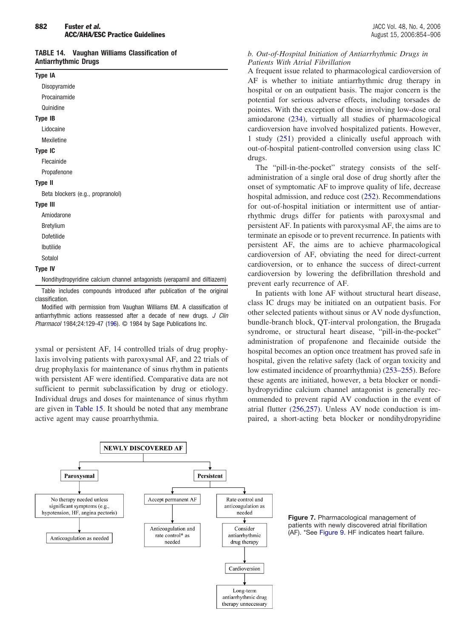<span id="page-28-0"></span>

| TABLE 14.                   |  | Vaughan Williams Classification of |  |
|-----------------------------|--|------------------------------------|--|
| <b>Antiarrhythmic Drugs</b> |  |                                    |  |

**Antiarrhythmic Drugs Type IA** Disopyramide Procainamide Quinidine **Type IB** Lidocaine Mexiletine **Type IC** Flecainide Propafenone **Type II** Beta blockers (e.g., propranolol) **Type III** Amiodarone Bretylium Dofetilide Ibutilide Sotalol **Type IV**

Nondihydropyridine calcium channel antagonists (verapamil and diltiazem)

Table includes compounds introduced after publication of the original classification.

Modified with permission from Vaughan Williams EM. A classification of antiarrhythmic actions reassessed after a decade of new drugs. *J Clin Pharmacol* 1984;24:129-47 [\(196\).](#page-49-0) © 1984 by Sage Publications Inc.

ysmal or persistent AF, 14 controlled trials of drug prophylaxis involving patients with paroxysmal AF, and 22 trials of drug prophylaxis for maintenance of sinus rhythm in patients with persistent AF were identified. Comparative data are not sufficient to permit subclassification by drug or etiology. Individual drugs and doses for maintenance of sinus rhythm are given in [Table](#page-30-0) 15. It should be noted that any membrane active agent may cause proarrhythmia.

#### *b. Out-of-Hospital Initiation of Antiarrhythmic Drugs in Patients With Atrial Fibrillation*

A frequent issue related to pharmacological cardioversion of AF is whether to initiate antiarrhythmic drug therapy in hospital or on an outpatient basis. The major concern is the potential for serious adverse effects, including torsades de pointes. With the exception of those involving low-dose oral amiodarone [\(234\),](#page-49-0) virtually all studies of pharmacological cardioversion have involved hospitalized patients. However, 1 study [\(251\)](#page-50-0) provided a clinically useful approach with out-of-hospital patient-controlled conversion using class IC drugs.

The "pill-in-the-pocket" strategy consists of the selfadministration of a single oral dose of drug shortly after the onset of symptomatic AF to improve quality of life, decrease hospital admission, and reduce cost [\(252\).](#page-50-0) Recommendations for out-of-hospital initiation or intermittent use of antiarrhythmic drugs differ for patients with paroxysmal and persistent AF. In patients with paroxysmal AF, the aims are to terminate an episode or to prevent recurrence. In patients with persistent AF, the aims are to achieve pharmacological cardioversion of AF, obviating the need for direct-current cardioversion, or to enhance the success of direct-current cardioversion by lowering the defibrillation threshold and prevent early recurrence of AF.

In patients with lone AF without structural heart disease, class IC drugs may be initiated on an outpatient basis. For other selected patients without sinus or AV node dysfunction, bundle-branch block, QT-interval prolongation, the Brugada syndrome, or structural heart disease, "pill-in-the-pocket" administration of propafenone and flecainide outside the hospital becomes an option once treatment has proved safe in hospital, given the relative safety (lack of organ toxicity and low estimated incidence of proarrhythmia) [\(253–255\).](#page-50-0) Before these agents are initiated, however, a beta blocker or nondihydropyridine calcium channel antagonist is generally recommended to prevent rapid AV conduction in the event of atrial flutter [\(256,257\).](#page-50-0) Unless AV node conduction is impaired, a short-acting beta blocker or nondihydropyridine



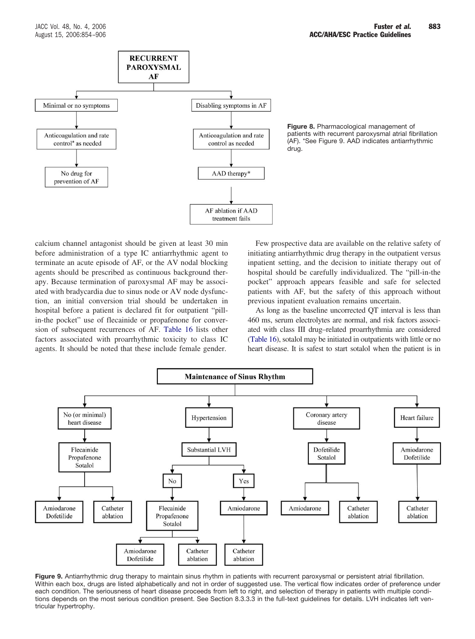<span id="page-29-0"></span>

**Figure 8.** Pharmacological management of patients with recurrent paroxysmal atrial fibrillation (AF). \*See Figure 9. AAD indicates antiarrhythmic drug.

calcium channel antagonist should be given at least 30 min before administration of a type IC antiarrhythmic agent to terminate an acute episode of AF, or the AV nodal blocking agents should be prescribed as continuous background therapy. Because termination of paroxysmal AF may be associated with bradycardia due to sinus node or AV node dysfunction, an initial conversion trial should be undertaken in hospital before a patient is declared fit for outpatient "pillin-the pocket" use of flecainide or propafenone for conversion of subsequent recurrences of AF. [Table](#page-31-0) 16 lists other factors associated with proarrhythmic toxicity to class IC agents. It should be noted that these include female gender.

Few prospective data are available on the relative safety of initiating antiarrhythmic drug therapy in the outpatient versus inpatient setting, and the decision to initiate therapy out of hospital should be carefully individualized. The "pill-in-the pocket" approach appears feasible and safe for selected patients with AF, but the safety of this approach without previous inpatient evaluation remains uncertain.

As long as the baseline uncorrected QT interval is less than 460 ms, serum electrolytes are normal, and risk factors associated with class III drug–related proarrhythmia are considered [\(Table](#page-31-0) 16), sotalol may be initiated in outpatients with little or no heart disease. It is safest to start sotalol when the patient is in



**Figure 9.** Antiarrhythmic drug therapy to maintain sinus rhythm in patients with recurrent paroxysmal or persistent atrial fibrillation. Within each box, drugs are listed alphabetically and not in order of suggested use. The vertical flow indicates order of preference under each condition. The seriousness of heart disease proceeds from left to right, and selection of therapy in patients with multiple conditions depends on the most serious condition present. See Section 8.3.3.3 in the full-text guidelines for details. LVH indicates left ventricular hypertrophy.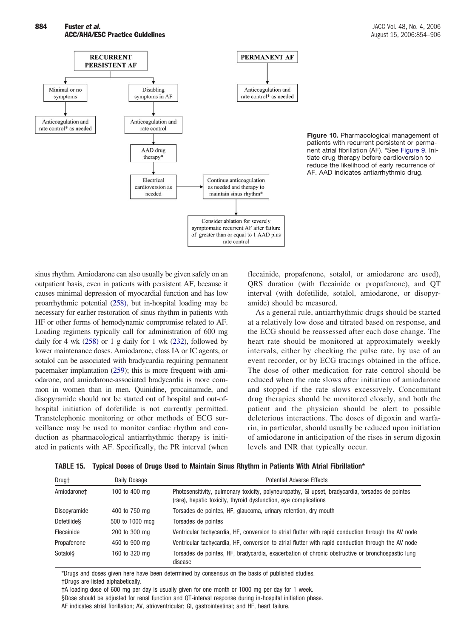<span id="page-30-0"></span>

**Figure 10.** Pharmacological management of patients with recurrent persistent or permanent atrial fibrillation (AF). \*See [Figure](#page-29-0) 9. Initiate drug therapy before cardioversion to reduce the likelihood of early recurrence of AF. AAD indicates antiarrhythmic drug.

sinus rhythm. Amiodarone can also usually be given safely on an outpatient basis, even in patients with persistent AF, because it causes minimal depression of myocardial function and has low proarrhythmic potential [\(258\),](#page-50-0) but in-hospital loading may be necessary for earlier restoration of sinus rhythm in patients with HF or other forms of hemodynamic compromise related to AF. Loading regimens typically call for administration of 600 mg daily for 4 wk [\(258\)](#page-50-0) or 1 g daily for 1 wk [\(232\),](#page-49-0) followed by lower maintenance doses. Amiodarone, class IA or IC agents, or sotalol can be associated with bradycardia requiring permanent pacemaker implantation [\(259\);](#page-50-0) this is more frequent with amiodarone, and amiodarone-associated bradycardia is more common in women than in men. Quinidine, procainamide, and disopyramide should not be started out of hospital and out-ofhospital initiation of dofetilide is not currently permitted. Transtelephonic monitoring or other methods of ECG surveillance may be used to monitor cardiac rhythm and conduction as pharmacological antiarrhythmic therapy is initiated in patients with AF. Specifically, the PR interval (when flecainide, propafenone, sotalol, or amiodarone are used), QRS duration (with flecainide or propafenone), and QT interval (with dofetilide, sotalol, amiodarone, or disopyramide) should be measured.

As a general rule, antiarrhythmic drugs should be started at a relatively low dose and titrated based on response, and the ECG should be reassessed after each dose change. The heart rate should be monitored at approximately weekly intervals, either by checking the pulse rate, by use of an event recorder, or by ECG tracings obtained in the office. The dose of other medication for rate control should be reduced when the rate slows after initiation of amiodarone and stopped if the rate slows excessively. Concomitant drug therapies should be monitored closely, and both the patient and the physician should be alert to possible deleterious interactions. The doses of digoxin and warfarin, in particular, should usually be reduced upon initiation of amiodarone in anticipation of the rises in serum digoxin levels and INR that typically occur.

**TABLE 15. Typical Doses of Drugs Used to Maintain Sinus Rhythm in Patients With Atrial Fibrillation\***

| Drugt        | Daily Dosage    | <b>Potential Adverse Effects</b>                                                                                                                                     |
|--------------|-----------------|----------------------------------------------------------------------------------------------------------------------------------------------------------------------|
| Amiodarone‡  | 100 to 400 mg   | Photosensitivity, pulmonary toxicity, polyneuropathy, GI upset, bradycardia, torsades de pointes<br>(rare), hepatic toxicity, thyroid dysfunction, eye complications |
| Disopyramide | 400 to 750 mg   | Torsades de pointes, HF, glaucoma, urinary retention, dry mouth                                                                                                      |
| Dofetilide   | 500 to 1000 mcg | Torsades de pointes                                                                                                                                                  |
| Flecainide   | 200 to 300 mg   | Ventricular tachycardia, HF, conversion to atrial flutter with rapid conduction through the AV node                                                                  |
| Propafenone  | 450 to 900 mg   | Ventricular tachycardia, HF, conversion to atrial flutter with rapid conduction through the AV node                                                                  |
| Sotalol§     | 160 to 320 mg   | Torsades de pointes, HF, bradycardia, exacerbation of chronic obstructive or bronchospastic lung<br>disease                                                          |

\*Drugs and doses given here have been determined by consensus on the basis of published studies.

†Drugs are listed alphabetically.

‡A loading dose of 600 mg per day is usually given for one month or 1000 mg per day for 1 week.

§Dose should be adjusted for renal function and QT-interval response during in-hospital initiation phase.

AF indicates atrial fibrillation; AV, atrioventricular; GI, gastrointestinal; and HF, heart failure.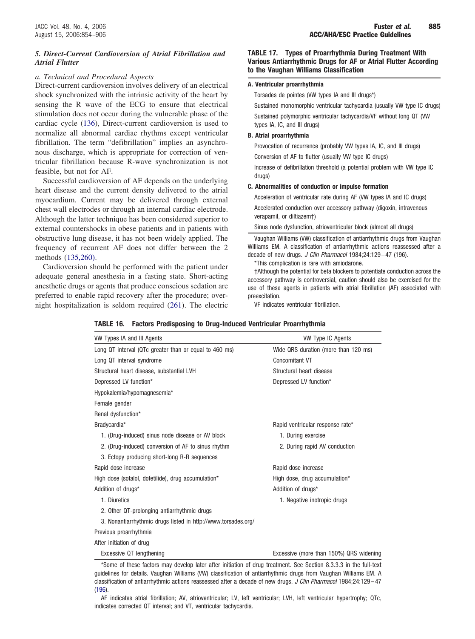# <span id="page-31-0"></span>*5. Direct-Current Cardioversion of Atrial Fibrillation and Atrial Flutter*

#### *a. Technical and Procedural Aspects*

Direct-current cardioversion involves delivery of an electrical shock synchronized with the intrinsic activity of the heart by sensing the R wave of the ECG to ensure that electrical stimulation does not occur during the vulnerable phase of the cardiac cycle [\(136\),](#page-47-0) Direct-current cardioversion is used to normalize all abnormal cardiac rhythms except ventricular fibrillation. The term "defibrillation" implies an asynchronous discharge, which is appropriate for correction of ventricular fibrillation because R-wave synchronization is not feasible, but not for AF.

Successful cardioversion of AF depends on the underlying heart disease and the current density delivered to the atrial myocardium. Current may be delivered through external chest wall electrodes or through an internal cardiac electrode. Although the latter technique has been considered superior to external countershocks in obese patients and in patients with obstructive lung disease, it has not been widely applied. The frequency of recurrent AF does not differ between the 2 methods [\(135,260\).](#page-47-0)

Cardioversion should be performed with the patient under adequate general anesthesia in a fasting state. Short-acting anesthetic drugs or agents that produce conscious sedation are preferred to enable rapid recovery after the procedure; overnight hospitalization is seldom required [\(261\).](#page-50-0) The electric

#### **TABLE 17. Types of Proarrhythmia During Treatment With Various Antiarrhythmic Drugs for AF or Atrial Flutter According to the Vaughan Williams Classification**

#### **A. Ventricular proarrhythmia**

Torsades de pointes (VW types IA and III drugs\*)

Sustained monomorphic ventricular tachycardia (usually VW type IC drugs) Sustained polymorphic ventricular tachycardia/VF without long QT (VW types IA, IC, and III drugs)

#### **B. Atrial proarrhythmia**

Provocation of recurrence (probably VW types IA, IC, and III drugs) Conversion of AF to flutter (usually VW type IC drugs)

Increase of defibrillation threshold (a potential problem with VW type IC drugs)

#### **C. Abnormalities of conduction or impulse formation**

Acceleration of ventricular rate during AF (VW types IA and IC drugs) Accelerated conduction over accessory pathway (digoxin, intravenous verapamil, or diltiazem†)

Sinus node dysfunction, atrioventricular block (almost all drugs)

Vaughan Williams (VW) classification of antiarrhythmic drugs from Vaughan Williams EM. A classification of antiarrhythmic actions reassessed after a decade of new drugs. *J Clin Pharmacol* 1984;24:129 – 47 (196).

\*This complication is rare with amiodarone.

†Although the potential for beta blockers to potentiate conduction across the accessory pathway is controversial, caution should also be exercised for the use of these agents in patients with atrial fibrillation (AF) associated with preexcitation.

VF indicates ventricular fibrillation.

| VW Types IA and III Agents                                    | <b>VW Type IC Agents</b>                |
|---------------------------------------------------------------|-----------------------------------------|
| Long QT interval (QTc greater than or equal to 460 ms)        | Wide QRS duration (more than 120 ms)    |
| Long QT interval syndrome                                     | Concomitant VT                          |
| Structural heart disease, substantial LVH                     | Structural heart disease                |
| Depressed LV function*                                        | Depressed LV function*                  |
| Hypokalemia/hypomagnesemia*                                   |                                         |
| Female gender                                                 |                                         |
| Renal dysfunction*                                            |                                         |
| Bradycardia*                                                  | Rapid ventricular response rate*        |
| 1. (Drug-induced) sinus node disease or AV block              | 1. During exercise                      |
| 2. (Drug-induced) conversion of AF to sinus rhythm            | 2. During rapid AV conduction           |
| 3. Ectopy producing short-long R-R sequences                  |                                         |
| Rapid dose increase                                           | Rapid dose increase                     |
| High dose (sotalol, dofetilide), drug accumulation*           | High dose, drug accumulation*           |
| Addition of drugs*                                            | Addition of drugs*                      |
| 1. Diuretics                                                  | 1. Negative inotropic drugs             |
| 2. Other QT-prolonging antiarrhythmic drugs                   |                                         |
| 3. Nonantiarrhythmic drugs listed in http://www.torsades.org/ |                                         |
| Previous proarrhythmia                                        |                                         |
| After initiation of drug                                      |                                         |
| Excessive QT lengthening                                      | Excessive (more than 150%) QRS widening |

#### **TABLE 16. Factors Predisposing to Drug-Induced Ventricular Proarrhythmia**

\*Some of these factors may develop later after initiation of drug treatment. See Section 8.3.3.3 in the full-text guidelines for details. Vaughan Williams (VW) classification of antiarrhythmic drugs from Vaughan Williams EM. A classification of antiarrhythmic actions reassessed after a decade of new drugs. *J Clin Pharmacol* 1984;24:129 – 47  $(196)$ 

AF indicates atrial fibrillation; AV, atrioventricular; LV, left ventricular; LVH, left ventricular hypertrophy; QTc, indicates corrected QT interval; and VT, ventricular tachycardia.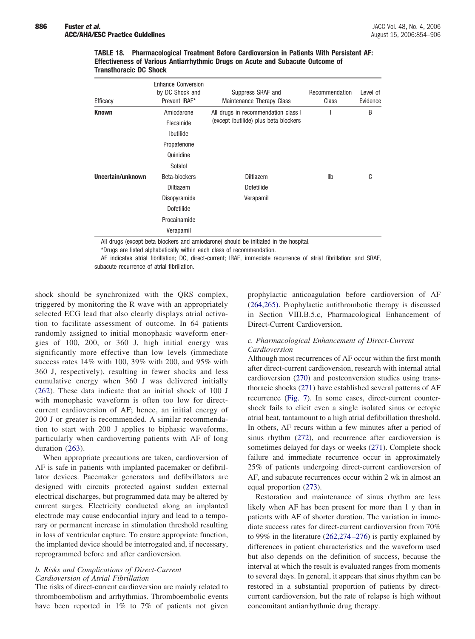| Efficacy          | <b>Enhance Conversion</b><br>by DC Shock and<br>Prevent IRAF* | Suppress SRAF and<br><b>Maintenance Therapy Class</b> | Recommendation<br>Class | Level of<br>Evidence |
|-------------------|---------------------------------------------------------------|-------------------------------------------------------|-------------------------|----------------------|
| <b>Known</b>      | Amiodarone                                                    | All drugs in recommendation class I                   |                         | B                    |
|                   | Flecainide                                                    | (except ibutilide) plus beta blockers                 |                         |                      |
|                   | Ibutilide                                                     |                                                       |                         |                      |
|                   | Propafenone                                                   |                                                       |                         |                      |
|                   | Quinidine                                                     |                                                       |                         |                      |
|                   | Sotalol                                                       |                                                       |                         |                      |
| Uncertain/unknown | Beta-blockers                                                 | <b>Diltiazem</b>                                      | IIb                     | C                    |
|                   | Diltiazem                                                     | Dofetilide                                            |                         |                      |
|                   | Disopyramide                                                  | Verapamil                                             |                         |                      |
|                   | Dofetilide                                                    |                                                       |                         |                      |
|                   | Procainamide                                                  |                                                       |                         |                      |
|                   | Verapamil                                                     |                                                       |                         |                      |

<span id="page-32-0"></span>**TABLE 18. Pharmacological Treatment Before Cardioversion in Patients With Persistent AF: Effectiveness of Various Antiarrhythmic Drugs on Acute and Subacute Outcome of Transthoracic DC Shock**

All drugs (except beta blockers and amiodarone) should be initiated in the hospital.

\*Drugs are listed alphabetically within each class of recommendation.

AF indicates atrial fibrillation; DC, direct-current; IRAF, immediate recurrence of atrial fibrillation; and SRAF, subacute recurrence of atrial fibrillation.

shock should be synchronized with the QRS complex, triggered by monitoring the R wave with an appropriately selected ECG lead that also clearly displays atrial activation to facilitate assessment of outcome. In 64 patients randomly assigned to initial monophasic waveform energies of 100, 200, or 360 J, high initial energy was significantly more effective than low levels (immediate success rates 14% with 100, 39% with 200, and 95% with 360 J, respectively), resulting in fewer shocks and less cumulative energy when 360 J was delivered initially [\(262\).](#page-50-0) These data indicate that an initial shock of 100 J with monophasic waveform is often too low for directcurrent cardioversion of AF; hence, an initial energy of 200 J or greater is recommended. A similar recommendation to start with 200 J applies to biphasic waveforms, particularly when cardioverting patients with AF of long duration [\(263\).](#page-50-0)

When appropriate precautions are taken, cardioversion of AF is safe in patients with implanted pacemaker or defibrillator devices. Pacemaker generators and defibrillators are designed with circuits protected against sudden external electrical discharges, but programmed data may be altered by current surges. Electricity conducted along an implanted electrode may cause endocardial injury and lead to a temporary or permanent increase in stimulation threshold resulting in loss of ventricular capture. To ensure appropriate function, the implanted device should be interrogated and, if necessary, reprogrammed before and after cardioversion.

#### *b. Risks and Complications of Direct-Current Cardioversion of Atrial Fibrillation*

The risks of direct-current cardioversion are mainly related to thromboembolism and arrhythmias. Thromboembolic events have been reported in 1% to 7% of patients not given prophylactic anticoagulation before cardioversion of AF [\(264,265\).](#page-50-0) Prophylactic antithrombotic therapy is discussed in Section VIII.B.5.c, Pharmacological Enhancement of Direct-Current Cardioversion.

# *c. Pharmacological Enhancement of Direct-Current Cardioversion*

Although most recurrences of AF occur within the first month after direct-current cardioversion, research with internal atrial cardioversion [\(270\)](#page-50-0) and postconversion studies using transthoracic shocks [\(271\)](#page-50-0) have established several patterns of AF recurrence [\(Fig.](#page-28-0) 7). In some cases, direct-current countershock fails to elicit even a single isolated sinus or ectopic atrial beat, tantamount to a high atrial defibrillation threshold. In others, AF recurs within a few minutes after a period of sinus rhythm [\(272\),](#page-50-0) and recurrence after cardioversion is sometimes delayed for days or weeks [\(271\).](#page-50-0) Complete shock failure and immediate recurrence occur in approximately 25% of patients undergoing direct-current cardioversion of AF, and subacute recurrences occur within 2 wk in almost an equal proportion [\(273\).](#page-50-0)

Restoration and maintenance of sinus rhythm are less likely when AF has been present for more than 1 y than in patients with AF of shorter duration. The variation in immediate success rates for direct-current cardioversion from 70% to 99% in the literature [\(262,274–276\)](#page-50-0) is partly explained by differences in patient characteristics and the waveform used but also depends on the definition of success, because the interval at which the result is evaluated ranges from moments to several days. In general, it appears that sinus rhythm can be restored in a substantial proportion of patients by directcurrent cardioversion, but the rate of relapse is high without concomitant antiarrhythmic drug therapy.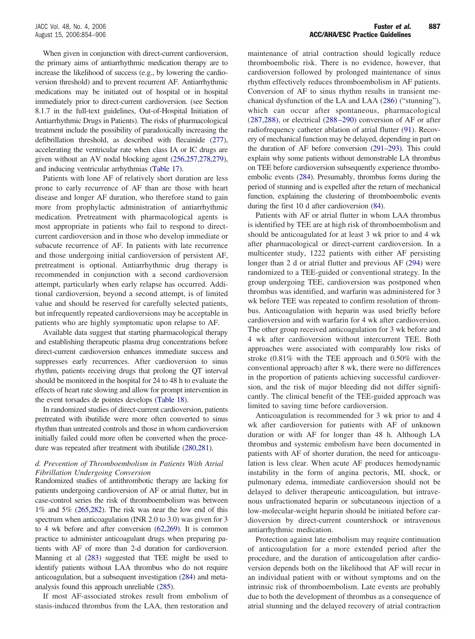When given in conjunction with direct-current cardioversion, the primary aims of antiarrhythmic medication therapy are to increase the likelihood of success (e.g., by lowering the cardioversion threshold) and to prevent recurrent AF. Antiarrhythmic medications may be initiated out of hospital or in hospital immediately prior to direct-current cardioversion. (see Section 8.1.7 in the full-text guidelines, Out-of-Hospital Initiation of Antiarrhythmic Drugs in Patients). The risks of pharmacological treatment include the possibility of paradoxically increasing the defibrillation threshold, as described with flecainide [\(277\),](#page-50-0) accelerating the ventricular rate when class IA or IC drugs are given without an AV nodal blocking agent [\(256,257,278,279\),](#page-50-0) and inducing ventricular arrhythmias [\(Table](#page-31-0) 17).

Patients with lone AF of relatively short duration are less prone to early recurrence of AF than are those with heart disease and longer AF duration, who therefore stand to gain more from prophylactic administration of antiarrhythmic medication. Pretreatment with pharmacological agents is most appropriate in patients who fail to respond to directcurrent cardioversion and in those who develop immediate or subacute recurrence of AF. In patients with late recurrence and those undergoing initial cardioversion of persistent AF, pretreatment is optional. Antiarrhythmic drug therapy is recommended in conjunction with a second cardioversion attempt, particularly when early relapse has occurred. Additional cardioversion, beyond a second attempt, is of limited value and should be reserved for carefully selected patients, but infrequently repeated cardioversions may be acceptable in patients who are highly symptomatic upon relapse to AF.

Available data suggest that starting pharmacological therapy and establishing therapeutic plasma drug concentrations before direct-current cardioversion enhances immediate success and suppresses early recurrences. After cardioversion to sinus rhythm, patients receiving drugs that prolong the QT interval should be monitored in the hospital for 24 to 48 h to evaluate the effects of heart rate slowing and allow for prompt intervention in the event torsades de pointes develops [\(Table](#page-32-0) 18).

In randomized studies of direct-current cardioversion, patients pretreated with ibutilide were more often converted to sinus rhythm than untreated controls and those in whom cardioversion initially failed could more often be converted when the procedure was repeated after treatment with ibutilide [\(280,281\).](#page-50-0)

# *d. Prevention of Thromboembolism in Patients With Atrial Fibrillation Undergoing Conversion*

Randomized studies of antithrombotic therapy are lacking for patients undergoing cardioversion of AF or atrial flutter, but in case-control series the risk of thromboembolism was between 1% and 5% [\(265,282\).](#page-50-0) The risk was near the low end of this spectrum when anticoagulation (INR 2.0 to 3.0) was given for 3 to 4 wk before and after conversion [\(62,269\).](#page-46-0) It is common practice to administer anticoagulant drugs when preparing patients with AF of more than 2-d duration for cardioversion. Manning et al [\(283\)](#page-50-0) suggested that TEE might be used to identify patients without LAA thrombus who do not require anticoagulation, but a subsequent investigation [\(284\)](#page-50-0) and metaanalysis found this approach unreliable [\(285\).](#page-50-0)

If most AF-associated strokes result from embolism of stasis-induced thrombus from the LAA, then restoration and maintenance of atrial contraction should logically reduce thromboembolic risk. There is no evidence, however, that cardioversion followed by prolonged maintenance of sinus rhythm effectively reduces thromboembolism in AF patients. Conversion of AF to sinus rhythm results in transient mechanical dysfunction of the LA and LAA [\(286\)](#page-51-0) ("stunning"), which can occur after spontaneous, pharmacological [\(287,288\),](#page-51-0) or electrical [\(288–290\)](#page-51-0) conversion of AF or after radiofrequency catheter ablation of atrial flutter [\(91\).](#page-46-0) Recovery of mechanical function may be delayed, depending in part on the duration of AF before conversion [\(291–293\).](#page-51-0) This could explain why some patients without demonstrable LA thrombus on TEE before cardioversion subsequently experience thromboembolic events [\(284\).](#page-50-0) Presumably, thrombus forms during the period of stunning and is expelled after the return of mechanical function, explaining the clustering of thromboembolic events during the first 10 d after cardioversion [\(84\).](#page-46-0)

Patients with AF or atrial flutter in whom LAA thrombus is identified by TEE are at high risk of thromboembolism and should be anticoagulated for at least 3 wk prior to and 4 wk after pharmacological or direct-current cardioversion. In a multicenter study, 1222 patients with either AF persisting longer than 2 d or atrial flutter and previous AF [\(294\)](#page-51-0) were randomized to a TEE-guided or conventional strategy. In the group undergoing TEE, cardioversion was postponed when thrombus was identified, and warfarin was administered for 3 wk before TEE was repeated to confirm resolution of thrombus. Anticoagulation with heparin was used briefly before cardioversion and with warfarin for 4 wk after cardioversion. The other group received anticoagulation for 3 wk before and 4 wk after cardioversion without intercurrent TEE. Both approaches were associated with comparably low risks of stroke (0.81% with the TEE approach and 0.50% with the conventional approach) after 8 wk, there were no differences in the proportion of patients achieving successful cardioversion, and the risk of major bleeding did not differ significantly. The clinical benefit of the TEE-guided approach was limited to saving time before cardioversion.

Anticoagulation is recommended for 3 wk prior to and 4 wk after cardioversion for patients with AF of unknown duration or with AF for longer than 48 h. Although LA thrombus and systemic embolism have been documented in patients with AF of shorter duration, the need for anticoagulation is less clear. When acute AF produces hemodynamic instability in the form of angina pectoris, MI, shock, or pulmonary edema, immediate cardioversion should not be delayed to deliver therapeutic anticoagulation, but intravenous unfractionated heparin or subcutaneous injection of a low-molecular-weight heparin should be initiated before cardioversion by direct-current countershock or intravenous antiarrhythmic medication.

Protection against late embolism may require continuation of anticoagulation for a more extended period after the procedure, and the duration of anticoagulation after cardioversion depends both on the likelihood that AF will recur in an individual patient with or without symptoms and on the intrinsic risk of thromboembolism. Late events are probably due to both the development of thrombus as a consequence of atrial stunning and the delayed recovery of atrial contraction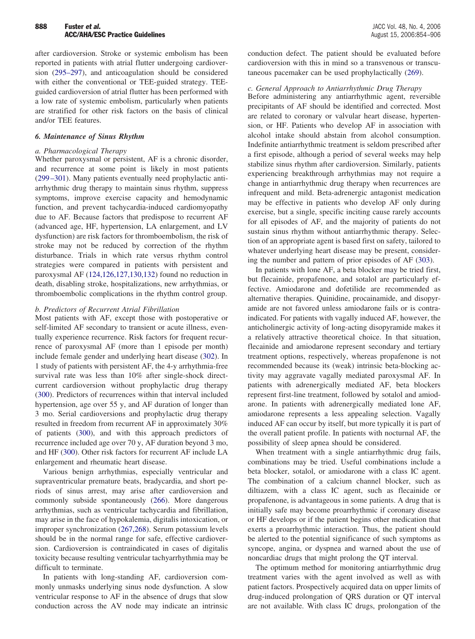after cardioversion. Stroke or systemic embolism has been reported in patients with atrial flutter undergoing cardioversion [\(295–297\),](#page-51-0) and anticoagulation should be considered with either the conventional or TEE-guided strategy. TEEguided cardioversion of atrial flutter has been performed with a low rate of systemic embolism, particularly when patients are stratified for other risk factors on the basis of clinical and/or TEE features.

#### *6. Maintenance of Sinus Rhythm*

#### *a. Pharmacological Therapy*

Whether paroxysmal or persistent, AF is a chronic disorder, and recurrence at some point is likely in most patients [\(299–301\).](#page-51-0) Many patients eventually need prophylactic antiarrhythmic drug therapy to maintain sinus rhythm, suppress symptoms, improve exercise capacity and hemodynamic function, and prevent tachycardia-induced cardiomyopathy due to AF. Because factors that predispose to recurrent AF (advanced age, HF, hypertension, LA enlargement, and LV dysfunction) are risk factors for thromboembolism, the risk of stroke may not be reduced by correction of the rhythm disturbance. Trials in which rate versus rhythm control strategies were compared in patients with persistent and paroxysmal AF [\(124,126,127,130,132\)](#page-47-0) found no reduction in death, disabling stroke, hospitalizations, new arrhythmias, or thromboembolic complications in the rhythm control group.

#### *b. Predictors of Recurrent Atrial Fibrillation*

Most patients with AF, except those with postoperative or self-limited AF secondary to transient or acute illness, eventually experience recurrence. Risk factors for frequent recurrence of paroxysmal AF (more than 1 episode per month) include female gender and underlying heart disease [\(302\).](#page-51-0) In 1 study of patients with persistent AF, the 4-y arrhythmia-free survival rate was less than 10% after single-shock directcurrent cardioversion without prophylactic drug therapy [\(300\).](#page-51-0) Predictors of recurrences within that interval included hypertension, age over 55 y, and AF duration of longer than 3 mo. Serial cardioversions and prophylactic drug therapy resulted in freedom from recurrent AF in approximately 30% of patients [\(300\),](#page-51-0) and with this approach predictors of recurrence included age over 70 y, AF duration beyond 3 mo, and HF [\(300\).](#page-51-0) Other risk factors for recurrent AF include LA enlargement and rheumatic heart disease.

Various benign arrhythmias, especially ventricular and supraventricular premature beats, bradycardia, and short periods of sinus arrest, may arise after cardioversion and commonly subside spontaneously [\(266\).](#page-50-0) More dangerous arrhythmias, such as ventricular tachycardia and fibrillation, may arise in the face of hypokalemia, digitalis intoxication, or improper synchronization [\(267,268\).](#page-50-0) Serum potassium levels should be in the normal range for safe, effective cardioversion. Cardioversion is contraindicated in cases of digitalis toxicity because resulting ventricular tachyarrhythmia may be difficult to terminate.

In patients with long-standing AF, cardioversion commonly unmasks underlying sinus node dysfunction. A slow ventricular response to AF in the absence of drugs that slow conduction across the AV node may indicate an intrinsic conduction defect. The patient should be evaluated before cardioversion with this in mind so a transvenous or transcutaneous pacemaker can be used prophylactically [\(269\).](#page-50-0)

#### *c. General Approach to Antiarrhythmic Drug Therapy*

Before administering any antiarrhythmic agent, reversible precipitants of AF should be identified and corrected. Most are related to coronary or valvular heart disease, hypertension, or HF. Patients who develop AF in association with alcohol intake should abstain from alcohol consumption. Indefinite antiarrhythmic treatment is seldom prescribed after a first episode, although a period of several weeks may help stabilize sinus rhythm after cardioversion. Similarly, patients experiencing breakthrough arrhythmias may not require a change in antiarrhythmic drug therapy when recurrences are infrequent and mild. Beta-adrenergic antagonist medication may be effective in patients who develop AF only during exercise, but a single, specific inciting cause rarely accounts for all episodes of AF, and the majority of patients do not sustain sinus rhythm without antiarrhythmic therapy. Selection of an appropriate agent is based first on safety, tailored to whatever underlying heart disease may be present, considering the number and pattern of prior episodes of AF [\(303\).](#page-51-0)

In patients with lone AF, a beta blocker may be tried first, but flecainide, propafenone, and sotalol are particularly effective. Amiodarone and dofetilide are recommended as alternative therapies. Quinidine, procainamide, and disopyramide are not favored unless amiodarone fails or is contraindicated. For patients with vagally induced AF, however, the anticholinergic activity of long-acting disopyramide makes it a relatively attractive theoretical choice. In that situation, flecainide and amiodarone represent secondary and tertiary treatment options, respectively, whereas propafenone is not recommended because its (weak) intrinsic beta-blocking activity may aggravate vagally mediated paroxysmal AF. In patients with adrenergically mediated AF, beta blockers represent first-line treatment, followed by sotalol and amiodarone. In patients with adrenergically mediated lone AF, amiodarone represents a less appealing selection. Vagally induced AF can occur by itself, but more typically it is part of the overall patient profile. In patients with nocturnal AF, the possibility of sleep apnea should be considered.

When treatment with a single antiarrhythmic drug fails, combinations may be tried. Useful combinations include a beta blocker, sotalol, or amiodarone with a class IC agent. The combination of a calcium channel blocker, such as diltiazem, with a class IC agent, such as flecainide or propafenone, is advantageous in some patients. A drug that is initially safe may become proarrhythmic if coronary disease or HF develops or if the patient begins other medication that exerts a proarrhythmic interaction. Thus, the patient should be alerted to the potential significance of such symptoms as syncope, angina, or dyspnea and warned about the use of noncardiac drugs that might prolong the QT interval.

The optimum method for monitoring antiarrhythmic drug treatment varies with the agent involved as well as with patient factors. Prospectively acquired data on upper limits of drug-induced prolongation of QRS duration or QT interval are not available. With class IC drugs, prolongation of the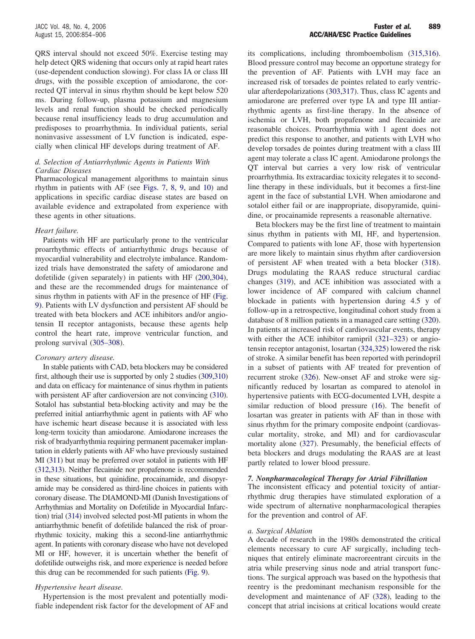QRS interval should not exceed 50%. Exercise testing may help detect QRS widening that occurs only at rapid heart rates (use-dependent conduction slowing). For class IA or class III drugs, with the possible exception of amiodarone, the corrected QT interval in sinus rhythm should be kept below 520 ms. During follow-up, plasma potassium and magnesium levels and renal function should be checked periodically because renal insufficiency leads to drug accumulation and predisposes to proarrhythmia. In individual patients, serial noninvasive assessment of LV function is indicated, especially when clinical HF develops during treatment of AF.

# *d. Selection of Antiarrhythmic Agents in Patients With Cardiac Diseases*

Pharmacological management algorithms to maintain sinus rhythm in patients with AF (see [Figs.](#page-28-0) 7, [8,](#page-29-0) [9,](#page-29-0) and [10\)](#page-30-0) and applications in specific cardiac disease states are based on available evidence and extrapolated from experience with these agents in other situations.

#### *Heart failure.*

Patients with HF are particularly prone to the ventricular proarrhythmic effects of antiarrhythmic drugs because of myocardial vulnerability and electrolyte imbalance. Randomized trials have demonstrated the safety of amiodarone and dofetilide (given separately) in patients with HF [\(200,304\),](#page-49-0) and these are the recommended drugs for maintenance of sinus rhythm in patients with AF in the presence of HF [\(Fig.](#page-29-0) [9\).](#page-29-0) Patients with LV dysfunction and persistent AF should be treated with beta blockers and ACE inhibitors and/or angiotensin II receptor antagonists, because these agents help control the heart rate, improve ventricular function, and prolong survival [\(305–308\).](#page-51-0)

#### *Coronary artery disease.*

In stable patients with CAD, beta blockers may be considered first, although their use is supported by only 2 studies [\(309,310\)](#page-51-0) and data on efficacy for maintenance of sinus rhythm in patients with persistent AF after cardioversion are not convincing [\(310\).](#page-51-0) Sotalol has substantial beta-blocking activity and may be the preferred initial antiarrhythmic agent in patients with AF who have ischemic heart disease because it is associated with less long-term toxicity than amiodarone. Amiodarone increases the risk of bradyarrhythmia requiring permanent pacemaker implantation in elderly patients with AF who have previously sustained MI [\(311\)](#page-51-0) but may be preferred over sotalol in patients with HF [\(312,313\).](#page-51-0) Neither flecainide nor propafenone is recommended in these situations, but quinidine, procainamide, and disopyramide may be considered as third-line choices in patients with coronary disease. The DIAMOND-MI (Danish Investigations of Arrhythmias and Mortality on Dofetilide in Myocardial Infarction) trial [\(314\)](#page-51-0) involved selected post-MI patients in whom the antiarrhythmic benefit of dofetilide balanced the risk of proarrhythmic toxicity, making this a second-line antiarrhythmic agent. In patients with coronary disease who have not developed MI or HF, however, it is uncertain whether the benefit of dofetilide outweighs risk, and more experience is needed before this drug can be recommended for such patients [\(Fig.](#page-29-0) 9).

#### *Hypertensive heart disease.*

Hypertension is the most prevalent and potentially modifiable independent risk factor for the development of AF and its complications, including thromboembolism [\(315,316\).](#page-51-0) Blood pressure control may become an opportune strategy for the prevention of AF. Patients with LVH may face an increased risk of torsades de pointes related to early ventricular afterdepolarizations [\(303,317\).](#page-51-0) Thus, class IC agents and amiodarone are preferred over type IA and type III antiarrhythmic agents as first-line therapy. In the absence of ischemia or LVH, both propafenone and flecainide are reasonable choices. Proarrhythmia with 1 agent does not predict this response to another, and patients with LVH who develop torsades de pointes during treatment with a class III agent may tolerate a class IC agent. Amiodarone prolongs the QT interval but carries a very low risk of ventricular proarrhythmia. Its extracardiac toxicity relegates it to secondline therapy in these individuals, but it becomes a first-line agent in the face of substantial LVH. When amiodarone and sotalol either fail or are inappropriate, disopyramide, quinidine, or procainamide represents a reasonable alternative.

Beta blockers may be the first line of treatment to maintain sinus rhythm in patients with MI, HF, and hypertension. Compared to patients with lone AF, those with hypertension are more likely to maintain sinus rhythm after cardioversion of persistent AF when treated with a beta blocker [\(318\).](#page-51-0) Drugs modulating the RAAS reduce structural cardiac changes [\(319\),](#page-51-0) and ACE inhibition was associated with a lower incidence of AF compared with calcium channel blockade in patients with hypertension during 4.5 y of follow-up in a retrospective, longitudinal cohort study from a database of 8 million patients in a managed care setting [\(320\).](#page-51-0) In patients at increased risk of cardiovascular events, therapy with either the ACE inhibitor ramipril [\(321–323\)](#page-51-0) or angiotensin receptor antagonist, losartan [\(324,325\)](#page-51-0) lowered the risk of stroke. A similar benefit has been reported with perindopril in a subset of patients with AF treated for prevention of recurrent stroke [\(326\).](#page-51-0) New-onset AF and stroke were significantly reduced by losartan as compared to atenolol in hypertensive patients with ECG-documented LVH, despite a similar reduction of blood pressure [\(16\).](#page-45-0) The benefit of losartan was greater in patients with AF than in those with sinus rhythm for the primary composite endpoint (cardiovascular mortality, stroke, and MI) and for cardiovascular mortality alone [\(327\).](#page-51-0) Presumably, the beneficial effects of beta blockers and drugs modulating the RAAS are at least partly related to lower blood pressure.

#### *7. Nonpharmacological Therapy for Atrial Fibrillation*

The inconsistent efficacy and potential toxicity of antiarrhythmic drug therapies have stimulated exploration of a wide spectrum of alternative nonpharmacological therapies for the prevention and control of AF.

#### *a. Surgical Ablation*

A decade of research in the 1980s demonstrated the critical elements necessary to cure AF surgically, including techniques that entirely eliminate macroreentrant circuits in the atria while preserving sinus node and atrial transport functions. The surgical approach was based on the hypothesis that reentry is the predominant mechanism responsible for the development and maintenance of AF [\(328\),](#page-51-0) leading to the concept that atrial incisions at critical locations would create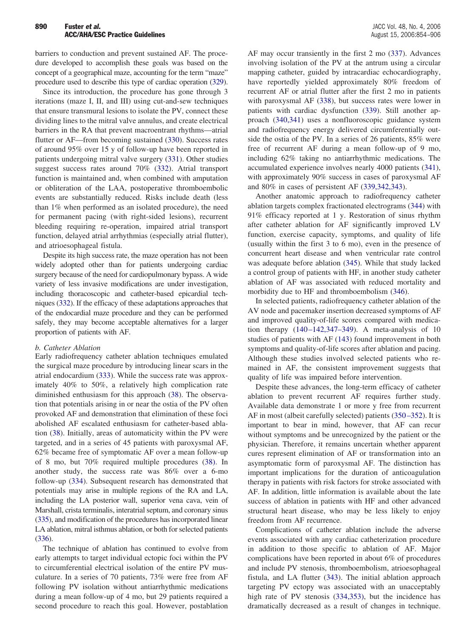barriers to conduction and prevent sustained AF. The procedure developed to accomplish these goals was based on the concept of a geographical maze, accounting for the term "maze" procedure used to describe this type of cardiac operation [\(329\).](#page-52-0)

Since its introduction, the procedure has gone through 3 iterations (maze I, II, and III) using cut-and-sew techniques that ensure transmural lesions to isolate the PV, connect these dividing lines to the mitral valve annulus, and create electrical barriers in the RA that prevent macroentrant rhythms—atrial flutter or AF—from becoming sustained [\(330\).](#page-52-0) Success rates of around 95% over 15 y of follow-up have been reported in patients undergoing mitral valve surgery [\(331\).](#page-52-0) Other studies suggest success rates around 70% [\(332\).](#page-52-0) Atrial transport function is maintained and, when combined with amputation or obliteration of the LAA, postoperative thromboembolic events are substantially reduced. Risks include death (less than 1% when performed as an isolated procedure), the need for permanent pacing (with right-sided lesions), recurrent bleeding requiring re-operation, impaired atrial transport function, delayed atrial arrhythmias (especially atrial flutter), and atrioesophageal fistula.

Despite its high success rate, the maze operation has not been widely adopted other than for patients undergoing cardiac surgery because of the need for cardiopulmonary bypass. A wide variety of less invasive modifications are under investigation, including thoracoscopic and catheter-based epicardial techniques [\(332\).](#page-52-0) If the efficacy of these adaptations approaches that of the endocardial maze procedure and they can be performed safely, they may become acceptable alternatives for a larger proportion of patients with AF.

#### *b. Catheter Ablation*

Early radiofrequency catheter ablation techniques emulated the surgical maze procedure by introducing linear scars in the atrial endocardium [\(333\).](#page-52-0) While the success rate was approximately 40% to 50%, a relatively high complication rate diminished enthusiasm for this approach [\(38\).](#page-45-0) The observation that potentials arising in or near the ostia of the PV often provoked AF and demonstration that elimination of these foci abolished AF escalated enthusiasm for catheter-based ablation [\(38\).](#page-45-0) Initially, areas of automaticity within the PV were targeted, and in a series of 45 patients with paroxysmal AF, 62% became free of symptomatic AF over a mean follow-up of 8 mo, but 70% required multiple procedures [\(38\).](#page-45-0) In another study, the success rate was 86% over a 6-mo follow-up [\(334\).](#page-52-0) Subsequent research has demonstrated that potentials may arise in multiple regions of the RA and LA, including the LA posterior wall, superior vena cava, vein of Marshall, crista terminalis, interatrial septum, and coronary sinus [\(335\),](#page-52-0) and modification of the procedures hasincorporated linear LA ablation, mitral isthmus ablation, or both for selected patients [\(336\).](#page-52-0)

The technique of ablation has continued to evolve from early attempts to target individual ectopic foci within the PV to circumferential electrical isolation of the entire PV musculature. In a series of 70 patients, 73% were free from AF following PV isolation without antiarrhythmic medications during a mean follow-up of 4 mo, but 29 patients required a second procedure to reach this goal. However, postablation

AF may occur transiently in the first 2 mo [\(337\).](#page-52-0) Advances involving isolation of the PV at the antrum using a circular mapping catheter, guided by intracardiac echocardiography, have reportedly yielded approximately 80% freedom of recurrent AF or atrial flutter after the first 2 mo in patients with paroxysmal AF [\(338\),](#page-52-0) but success rates were lower in patients with cardiac dysfunction [\(339\).](#page-52-0) Still another approach [\(340,341\)](#page-52-0) uses a nonfluoroscopic guidance system and radiofrequency energy delivered circumferentially outside the ostia of the PV. In a series of 26 patients, 85% were free of recurrent AF during a mean follow-up of 9 mo, including 62% taking no antiarrhythmic medications. The accumulated experience involves nearly 4000 patients [\(341\),](#page-52-0) with approximately 90% success in cases of paroxysmal AF and 80% in cases of persistent AF [\(339,342,343\).](#page-52-0)

Another anatomic approach to radiofrequency catheter ablation targets complex fractionated electrograms [\(344\)](#page-52-0) with 91% efficacy reported at 1 y. Restoration of sinus rhythm after catheter ablation for AF significantly improved LV function, exercise capacity, symptoms, and quality of life (usually within the first 3 to 6 mo), even in the presence of concurrent heart disease and when ventricular rate control was adequate before ablation [\(345\).](#page-52-0) While that study lacked a control group of patients with HF, in another study catheter ablation of AF was associated with reduced mortality and morbidity due to HF and thromboembolism [\(346\).](#page-52-0)

In selected patients, radiofrequency catheter ablation of the AV node and pacemaker insertion decreased symptoms of AF and improved quality-of-life scores compared with medication therapy  $(140-142,347-349)$ . A meta-analysis of 10 studies of patients with AF [\(143\)](#page-48-0) found improvement in both symptoms and quality-of-life scores after ablation and pacing. Although these studies involved selected patients who remained in AF, the consistent improvement suggests that quality of life was impaired before intervention.

Despite these advances, the long-term efficacy of catheter ablation to prevent recurrent AF requires further study. Available data demonstrate 1 or more y free from recurrent AF in most (albeit carefully selected) patients [\(350–352\).](#page-52-0) It is important to bear in mind, however, that AF can recur without symptoms and be unrecognized by the patient or the physician. Therefore, it remains uncertain whether apparent cures represent elimination of AF or transformation into an asymptomatic form of paroxysmal AF. The distinction has important implications for the duration of anticoagulation therapy in patients with risk factors for stroke associated with AF. In addition, little information is available about the late success of ablation in patients with HF and other advanced structural heart disease, who may be less likely to enjoy freedom from AF recurrence.

Complications of catheter ablation include the adverse events associated with any cardiac catheterization procedure in addition to those specific to ablation of AF. Major complications have been reported in about 6% of procedures and include PV stenosis, thromboembolism, atrioesophageal fistula, and LA flutter [\(343\).](#page-52-0) The initial ablation approach targeting PV ectopy was associated with an unacceptably high rate of PV stenosis [\(334,353\),](#page-52-0) but the incidence has dramatically decreased as a result of changes in technique.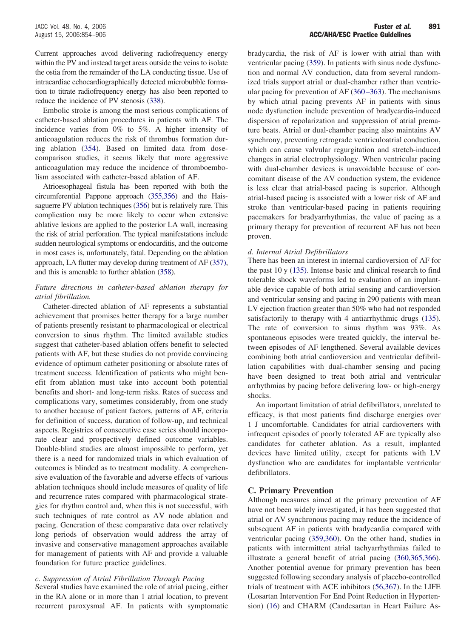Current approaches avoid delivering radiofrequency energy within the PV and instead target areas outside the veins to isolate the ostia from the remainder of the LA conducting tissue. Use of intracardiac echocardiographically detected microbubble formation to titrate radiofrequency energy has also been reported to reduce the incidence of PV stenosis [\(338\).](#page-52-0)

Embolic stroke is among the most serious complications of catheter-based ablation procedures in patients with AF. The incidence varies from 0% to 5%. A higher intensity of anticoagulation reduces the risk of thrombus formation during ablation [\(354\).](#page-52-0) Based on limited data from dosecomparison studies, it seems likely that more aggressive anticoagulation may reduce the incidence of thromboembolism associated with catheter-based ablation of AF.

Atrioesophageal fistula has been reported with both the circumferential Pappone approach [\(355,356\)](#page-52-0) and the Haissaguerre PV ablation techniques [\(356\)](#page-52-0) but is relatively rare. This complication may be more likely to occur when extensive ablative lesions are applied to the posterior LA wall, increasing the risk of atrial perforation. The typical manifestations include sudden neurological symptoms or endocarditis, and the outcome in most cases is, unfortunately, fatal. Depending on the ablation approach, LA flutter may develop during treatment of AF [\(357\),](#page-52-0) and this is amenable to further ablation [\(358\)](#page-52-0).

# *Future directions in catheter-based ablation therapy for atrial fibrillation.*

Catheter-directed ablation of AF represents a substantial achievement that promises better therapy for a large number of patients presently resistant to pharmacological or electrical conversion to sinus rhythm. The limited available studies suggest that catheter-based ablation offers benefit to selected patients with AF, but these studies do not provide convincing evidence of optimum catheter positioning or absolute rates of treatment success. Identification of patients who might benefit from ablation must take into account both potential benefits and short- and long-term risks. Rates of success and complications vary, sometimes considerably, from one study to another because of patient factors, patterns of AF, criteria for definition of success, duration of follow-up, and technical aspects. Registries of consecutive case series should incorporate clear and prospectively defined outcome variables. Double-blind studies are almost impossible to perform, yet there is a need for randomized trials in which evaluation of outcomes is blinded as to treatment modality. A comprehensive evaluation of the favorable and adverse effects of various ablation techniques should include measures of quality of life and recurrence rates compared with pharmacological strategies for rhythm control and, when this is not successful, with such techniques of rate control as AV node ablation and pacing. Generation of these comparative data over relatively long periods of observation would address the array of invasive and conservative management approaches available for management of patients with AF and provide a valuable foundation for future practice guidelines.

#### *c. Suppression of Atrial Fibrillation Through Pacing*

Several studies have examined the role of atrial pacing, either in the RA alone or in more than 1 atrial location, to prevent recurrent paroxysmal AF. In patients with symptomatic bradycardia, the risk of AF is lower with atrial than with ventricular pacing [\(359\).](#page-52-0) In patients with sinus node dysfunction and normal AV conduction, data from several randomized trials support atrial or dual-chamber rather than ventricular pacing for prevention of AF [\(360–363\).](#page-52-0) The mechanisms by which atrial pacing prevents AF in patients with sinus node dysfunction include prevention of bradycardia-induced dispersion of repolarization and suppression of atrial premature beats. Atrial or dual-chamber pacing also maintains AV synchrony, preventing retrograde ventriculoatrial conduction, which can cause valvular regurgitation and stretch-induced changes in atrial electrophysiology. When ventricular pacing with dual-chamber devices is unavoidable because of concomitant disease of the AV conduction system, the evidence is less clear that atrial-based pacing is superior. Although atrial-based pacing is associated with a lower risk of AF and stroke than ventricular-based pacing in patients requiring pacemakers for bradyarrhythmias, the value of pacing as a primary therapy for prevention of recurrent AF has not been proven.

#### *d. Internal Atrial Defibrillators*

There has been an interest in internal cardioversion of AF for the past 10 y [\(135\).](#page-47-0) Intense basic and clinical research to find tolerable shock waveforms led to evaluation of an implantable device capable of both atrial sensing and cardioversion and ventricular sensing and pacing in 290 patients with mean LV ejection fraction greater than 50% who had not responded satisfactorily to therapy with 4 antiarrhythmic drugs [\(135\).](#page-47-0) The rate of conversion to sinus rhythm was 93%. As spontaneous episodes were treated quickly, the interval between episodes of AF lengthened. Several available devices combining both atrial cardioversion and ventricular defibrillation capabilities with dual-chamber sensing and pacing have been designed to treat both atrial and ventricular arrhythmias by pacing before delivering low- or high-energy shocks.

An important limitation of atrial defibrillators, unrelated to efficacy, is that most patients find discharge energies over 1 J uncomfortable. Candidates for atrial cardioverters with infrequent episodes of poorly tolerated AF are typically also candidates for catheter ablation. As a result, implanted devices have limited utility, except for patients with LV dysfunction who are candidates for implantable ventricular defibrillators.

# **C. Primary Prevention**

Although measures aimed at the primary prevention of AF have not been widely investigated, it has been suggested that atrial or AV synchronous pacing may reduce the incidence of subsequent AF in patients with bradycardia compared with ventricular pacing [\(359,360\).](#page-52-0) On the other hand, studies in patients with intermittent atrial tachyarrhythmias failed to illustrate a general benefit of atrial pacing [\(360,365,366\).](#page-52-0) Another potential avenue for primary prevention has been suggested following secondary analysis of placebo-controlled trials of treatment with ACE inhibitors [\(56,367\).](#page-46-0) In the LIFE (Losartan Intervention For End Point Reduction in Hypertension) [\(16\)](#page-45-0) and CHARM (Candesartan in Heart Failure As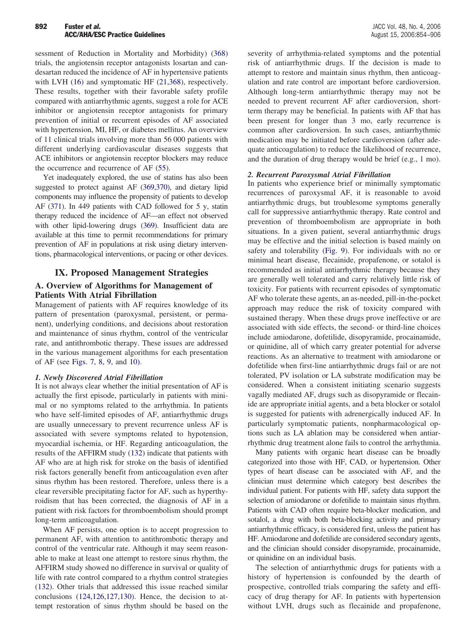sessment of Reduction in Mortality and Morbidity) [\(368\)](#page-52-0) trials, the angiotensin receptor antagonists losartan and candesartan reduced the incidence of AF in hypertensive patients with LVH [\(16\)](#page-45-0) and symptomatic HF [\(21,368\),](#page-45-0) respectively. These results, together with their favorable safety profile compared with antiarrhythmic agents, suggest a role for ACE inhibitor or angiotensin receptor antagonists for primary prevention of initial or recurrent episodes of AF associated with hypertension, MI, HF, or diabetes mellitus. An overview of 11 clinical trials involving more than 56 000 patients with different underlying cardiovascular diseases suggests that ACE inhibitors or angiotensin receptor blockers may reduce the occurrence and recurrence of AF [\(55\).](#page-46-0)

Yet inadequately explored, the use of statins has also been suggested to protect against AF [\(369,370\),](#page-52-0) and dietary lipid components may influence the propensity of patients to develop AF [\(371\).](#page-52-0) In 449 patients with CAD followed for 5 y, statin therapy reduced the incidence of AF—an effect not observed with other lipid-lowering drugs [\(369\).](#page-52-0) Insufficient data are available at this time to permit recommendations for primary prevention of AF in populations at risk using dietary interventions, pharmacological interventions, or pacing or other devices.

# **IX. Proposed Management Strategies**

# **A. Overview of Algorithms for Management of Patients With Atrial Fibrillation**

Management of patients with AF requires knowledge of its pattern of presentation (paroxysmal, persistent, or permanent), underlying conditions, and decisions about restoration and maintenance of sinus rhythm, control of the ventricular rate, and antithrombotic therapy. These issues are addressed in the various management algorithms for each presentation of AF (see [Figs.](#page-28-0) 7, [8,](#page-29-0) [9,](#page-29-0) and [10\).](#page-30-0)

# *1. Newly Discovered Atrial Fibrillation*

It is not always clear whether the initial presentation of AF is actually the first episode, particularly in patients with minimal or no symptoms related to the arrhythmia. In patients who have self-limited episodes of AF, antiarrhythmic drugs are usually unnecessary to prevent recurrence unless AF is associated with severe symptoms related to hypotension, myocardial ischemia, or HF. Regarding anticoagulation, the results of the AFFIRM study [\(132\)](#page-47-0) indicate that patients with AF who are at high risk for stroke on the basis of identified risk factors generally benefit from anticoagulation even after sinus rhythm has been restored. Therefore, unless there is a clear reversible precipitating factor for AF, such as hyperthyroidism that has been corrected, the diagnosis of AF in a patient with risk factors for thromboembolism should prompt long-term anticoagulation.

When AF persists, one option is to accept progression to permanent AF, with attention to antithrombotic therapy and control of the ventricular rate. Although it may seem reasonable to make at least one attempt to restore sinus rhythm, the AFFIRM study showed no difference in survival or quality of life with rate control compared to a rhythm control strategies [\(132\).](#page-47-0) Other trials that addressed this issue reached similar conclusions [\(124,126,127,130\).](#page-47-0) Hence, the decision to attempt restoration of sinus rhythm should be based on the

severity of arrhythmia-related symptoms and the potential risk of antiarrhythmic drugs. If the decision is made to attempt to restore and maintain sinus rhythm, then anticoagulation and rate control are important before cardioversion. Although long-term antiarrhythmic therapy may not be needed to prevent recurrent AF after cardioversion, shortterm therapy may be beneficial. In patients with AF that has been present for longer than 3 mo, early recurrence is common after cardioversion. In such cases, antiarrhythmic medication may be initiated before cardioversion (after adequate anticoagulation) to reduce the likelihood of recurrence, and the duration of drug therapy would be brief (e.g., 1 mo).

# *2. Recurrent Paroxysmal Atrial Fibrillation*

In patients who experience brief or minimally symptomatic recurrences of paroxysmal AF, it is reasonable to avoid antiarrhythmic drugs, but troublesome symptoms generally call for suppressive antiarrhythmic therapy. Rate control and prevention of thromboembolism are appropriate in both situations. In a given patient, several antiarrhythmic drugs may be effective and the initial selection is based mainly on safety and tolerability [\(Fig.](#page-29-0) 9). For individuals with no or minimal heart disease, flecainide, propafenone, or sotalol is recommended as initial antiarrhythmic therapy because they are generally well tolerated and carry relatively little risk of toxicity. For patients with recurrent episodes of symptomatic AF who tolerate these agents, an as-needed, pill-in-the-pocket approach may reduce the risk of toxicity compared with sustained therapy. When these drugs prove ineffective or are associated with side effects, the second- or third-line choices include amiodarone, dofetilide, disopyramide, procainamide, or quinidine, all of which carry greater potential for adverse reactions. As an alternative to treatment with amiodarone or dofetilide when first-line antiarrhythmic drugs fail or are not tolerated, PV isolation or LA substrate modification may be considered. When a consistent initiating scenario suggests vagally mediated AF, drugs such as disopyramide or flecainide are appropriate initial agents, and a beta blocker or sotalol is suggested for patients with adrenergically induced AF. In particularly symptomatic patients, nonpharmacological options such as LA ablation may be considered when antiarrhythmic drug treatment alone fails to control the arrhythmia.

Many patients with organic heart disease can be broadly categorized into those with HF, CAD, or hypertension. Other types of heart disease can be associated with AF, and the clinician must determine which category best describes the individual patient. For patients with HF, safety data support the selection of amiodarone or dofetilide to maintain sinus rhythm. Patients with CAD often require beta-blocker medication, and sotalol, a drug with both beta-blocking activity and primary antiarrhythmic efficacy, is considered first, unless the patient has HF. Amiodarone and dofetilide are considered secondary agents, and the clinician should consider disopyramide, procainamide, or quinidine on an individual basis.

The selection of antiarrhythmic drugs for patients with a history of hypertension is confounded by the dearth of prospective, controlled trials comparing the safety and efficacy of drug therapy for AF. In patients with hypertension without LVH, drugs such as flecainide and propafenone,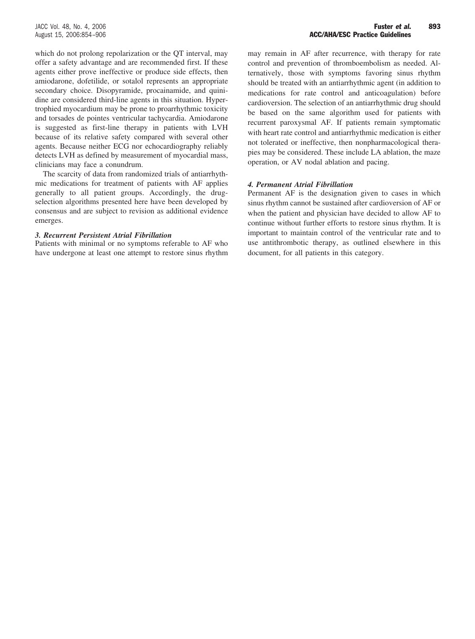which do not prolong repolarization or the QT interval, may offer a safety advantage and are recommended first. If these agents either prove ineffective or produce side effects, then amiodarone, dofetilide, or sotalol represents an appropriate secondary choice. Disopyramide, procainamide, and quinidine are considered third-line agents in this situation. Hypertrophied myocardium may be prone to proarrhythmic toxicity and torsades de pointes ventricular tachycardia. Amiodarone is suggested as first-line therapy in patients with LVH because of its relative safety compared with several other agents. Because neither ECG nor echocardiography reliably detects LVH as defined by measurement of myocardial mass, clinicians may face a conundrum.

The scarcity of data from randomized trials of antiarrhythmic medications for treatment of patients with AF applies generally to all patient groups. Accordingly, the drugselection algorithms presented here have been developed by consensus and are subject to revision as additional evidence emerges.

#### *3. Recurrent Persistent Atrial Fibrillation*

Patients with minimal or no symptoms referable to AF who have undergone at least one attempt to restore sinus rhythm

may remain in AF after recurrence, with therapy for rate control and prevention of thromboembolism as needed. Alternatively, those with symptoms favoring sinus rhythm should be treated with an antiarrhythmic agent (in addition to medications for rate control and anticoagulation) before cardioversion. The selection of an antiarrhythmic drug should be based on the same algorithm used for patients with recurrent paroxysmal AF. If patients remain symptomatic with heart rate control and antiarrhythmic medication is either not tolerated or ineffective, then nonpharmacological therapies may be considered. These include LA ablation, the maze operation, or AV nodal ablation and pacing.

#### *4. Permanent Atrial Fibrillation*

Permanent AF is the designation given to cases in which sinus rhythm cannot be sustained after cardioversion of AF or when the patient and physician have decided to allow AF to continue without further efforts to restore sinus rhythm. It is important to maintain control of the ventricular rate and to use antithrombotic therapy, as outlined elsewhere in this document, for all patients in this category.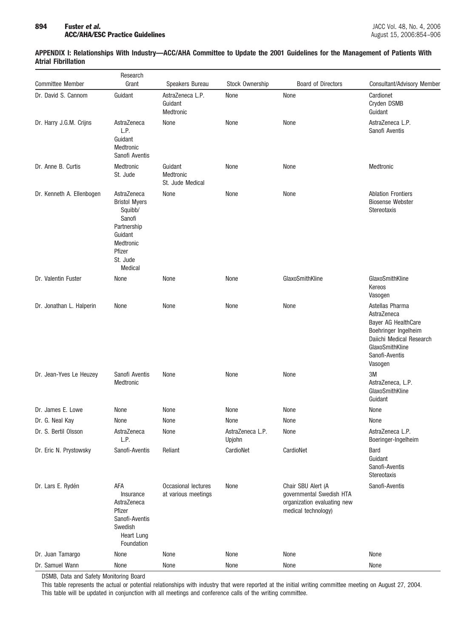# <span id="page-40-0"></span>**APPENDIX I: Relationships With Industry—ACC/AHA Committee to Update the 2001 Guidelines for the Management of Patients With Atrial Fibrillation**

|                           | Research                                                                                                                         |                                            |                            |                                                                                                      |                                                                                                                                                           |
|---------------------------|----------------------------------------------------------------------------------------------------------------------------------|--------------------------------------------|----------------------------|------------------------------------------------------------------------------------------------------|-----------------------------------------------------------------------------------------------------------------------------------------------------------|
| <b>Committee Member</b>   | Grant                                                                                                                            | Speakers Bureau                            | Stock Ownership            | <b>Board of Directors</b>                                                                            | Consultant/Advisory Member                                                                                                                                |
| Dr. David S. Cannom       | Guidant                                                                                                                          | AstraZeneca L.P.<br>Guidant<br>Medtronic   | None                       | None                                                                                                 | Cardionet<br>Cryden DSMB<br>Guidant                                                                                                                       |
| Dr. Harry J.G.M. Crijns   | AstraZeneca<br>L.P.<br>Guidant<br>Medtronic<br>Sanofi Aventis                                                                    | None                                       | None                       | None                                                                                                 | AstraZeneca L.P.<br>Sanofi Aventis                                                                                                                        |
| Dr. Anne B. Curtis        | Medtronic<br>St. Jude                                                                                                            | Guidant<br>Medtronic<br>St. Jude Medical   | None                       | None                                                                                                 | Medtronic                                                                                                                                                 |
| Dr. Kenneth A. Ellenbogen | AstraZeneca<br><b>Bristol Myers</b><br>Squibb/<br>Sanofi<br>Partnership<br>Guidant<br>Medtronic<br>Pfizer<br>St. Jude<br>Medical | None                                       | None                       | None                                                                                                 | <b>Ablation Frontiers</b><br><b>Biosense Webster</b><br>Stereotaxis                                                                                       |
| Dr. Valentin Fuster       | None                                                                                                                             | None                                       | None                       | GlaxoSmithKline                                                                                      | GlaxoSmithKline<br>Kereos<br>Vasogen                                                                                                                      |
| Dr. Jonathan L. Halperin  | None                                                                                                                             | None                                       | None                       | None                                                                                                 | Astellas Pharma<br>AstraZeneca<br>Bayer AG HealthCare<br>Boehringer Ingelheim<br>Daiichi Medical Research<br>GlaxoSmithKline<br>Sanofi-Aventis<br>Vasogen |
| Dr. Jean-Yves Le Heuzey   | Sanofi Aventis<br>Medtronic                                                                                                      | None                                       | None                       | None                                                                                                 | 3M<br>AstraZeneca, L.P.<br>GlaxoSmithKline<br>Guidant                                                                                                     |
| Dr. James E. Lowe         | None                                                                                                                             | None                                       | None                       | None                                                                                                 | None                                                                                                                                                      |
| Dr. G. Neal Kay           | None                                                                                                                             | None                                       | None                       | None                                                                                                 | None                                                                                                                                                      |
| Dr. S. Bertil Olsson      | AstraZeneca<br>L.P.                                                                                                              | None                                       | AstraZeneca L.P.<br>Upjohn | None                                                                                                 | AstraZeneca L.P.<br>Boeringer-Ingelheim                                                                                                                   |
| Dr. Eric N. Prystowsky    | Sanofi-Aventis                                                                                                                   | Reliant                                    | CardioNet                  | CardioNet                                                                                            | Bard<br>Guidant<br>Sanofi-Aventis<br>Stereotaxis                                                                                                          |
| Dr. Lars E. Rydén         | AFA<br>Insurance<br>AstraZeneca<br>Pfizer<br>Sanofi-Aventis<br>Swedish<br>Heart Lung<br>Foundation                               | Occasional lectures<br>at various meetings | None                       | Chair SBU Alert (A<br>governmental Swedish HTA<br>organization evaluating new<br>medical technology) | Sanofi-Aventis                                                                                                                                            |
| Dr. Juan Tamargo          | None                                                                                                                             | None                                       | None                       | None                                                                                                 | None                                                                                                                                                      |
| Dr. Samuel Wann           | None                                                                                                                             | None                                       | None                       | None                                                                                                 | None                                                                                                                                                      |

DSMB, Data and Safety Monitoring Board

This table represents the actual or potential relationships with industry that were reported at the initial writing committee meeting on August 27, 2004. This table will be updated in conjunction with all meetings and conference calls of the writing committee.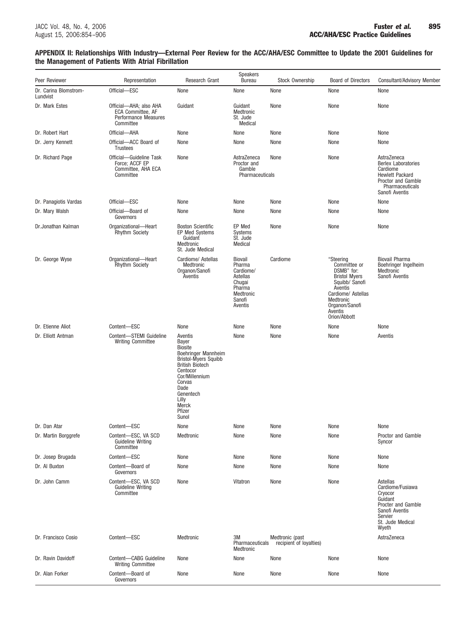#### <span id="page-41-0"></span>**APPENDIX II: Relationships With Industry—External Peer Review for the ACC/AHA/ESC Committee to Update the 2001 Guidelines for the Management of Patients With Atrial Fibrillation**

| Peer Reviewer                     | Representation                                                                   | Research Grant                                                                                                                                                                                                | Speakers<br><b>Bureau</b>                                                                        | Stock Ownership                            | <b>Board of Directors</b>                                                                                                                                                    | <b>Consultant/Advisory Member</b>                                                                                                          |
|-----------------------------------|----------------------------------------------------------------------------------|---------------------------------------------------------------------------------------------------------------------------------------------------------------------------------------------------------------|--------------------------------------------------------------------------------------------------|--------------------------------------------|------------------------------------------------------------------------------------------------------------------------------------------------------------------------------|--------------------------------------------------------------------------------------------------------------------------------------------|
| Dr. Carina Blomstrom-<br>Lundvist | Official-ESC                                                                     | None                                                                                                                                                                                                          | None                                                                                             | None                                       | None                                                                                                                                                                         | None                                                                                                                                       |
| Dr. Mark Estes                    | Official-AHA; also AHA<br>ECA Committee, AF<br>Performance Measures<br>Committee | Guidant                                                                                                                                                                                                       | Guidant<br>Medtronic<br>St. Jude<br>Medical                                                      | None                                       | None                                                                                                                                                                         | None                                                                                                                                       |
| Dr. Robert Hart                   | Official-AHA                                                                     | None                                                                                                                                                                                                          | None                                                                                             | None                                       | None                                                                                                                                                                         | None                                                                                                                                       |
| Dr. Jerry Kennett                 | Official-ACC Board of<br><b>Trustees</b>                                         | None                                                                                                                                                                                                          | None                                                                                             | None                                       | None                                                                                                                                                                         | None                                                                                                                                       |
| Dr. Richard Page                  | Official-Guideline Task<br>Force: ACCF EP<br>Committee, AHA ECA<br>Committee     | None                                                                                                                                                                                                          | AstraZeneca<br>Proctor and<br>Gamble<br>Pharmaceuticals                                          | None                                       | None                                                                                                                                                                         | AstraZeneca<br><b>Berlex Laboratories</b><br>Cardiome<br><b>Hewlett Packard</b><br>Proctor and Gamble<br>Pharmaceuticals<br>Sanofi Aventis |
| Dr. Panagiotis Vardas             | Official-ESC                                                                     | None                                                                                                                                                                                                          | None                                                                                             | None                                       | None                                                                                                                                                                         | None                                                                                                                                       |
| Dr. Mary Walsh                    | Official-Board of<br>Governors                                                   | None                                                                                                                                                                                                          | None                                                                                             | None                                       | None                                                                                                                                                                         | None                                                                                                                                       |
| Dr.Jonathan Kalman                | Organizational-Heart<br><b>Rhythm Society</b>                                    | <b>Boston Scientific</b><br>EP Med Systems<br>Guidant<br>Medtronic<br>St. Jude Medical                                                                                                                        | EP Med<br>Systems<br>St. Jude<br>Medical                                                         | None                                       | None                                                                                                                                                                         | None                                                                                                                                       |
| Dr. George Wyse                   | Organizational-Heart<br><b>Rhythm Society</b>                                    | Cardiome/ Astellas<br>Medtronic<br>Organon/Sanofi<br>Aventis                                                                                                                                                  | Biovail<br>Pharma<br>Cardiome/<br>Astellas<br>Chugai<br>Pharma<br>Medtronic<br>Sanofi<br>Aventis | Cardiome                                   | "Steering<br>Committee or<br>DSMB" for:<br><b>Bristol Myers</b><br>Squibb/ Sanofi<br>Aventis<br>Cardiome/ Astellas<br>Medtronic<br>Organon/Sanofi<br>Aventis<br>Orion/Abbott | <b>Biovail Pharma</b><br>Boehringer Ingelheim<br>Medtronic<br>Sanofi Aventis                                                               |
| Dr. Etienne Aliot                 | Content-ESC                                                                      | None                                                                                                                                                                                                          | None                                                                                             | None                                       | None                                                                                                                                                                         | None                                                                                                                                       |
| Dr. Elliott Antman                | Content-STEMI Guideline<br><b>Writing Committee</b>                              | Aventis<br>Bayer<br><b>Biosite</b><br>Boehringer Mannheim<br>Bristol-Myers Squibb<br><b>British Biotech</b><br>Centocor<br>Cor/Millennium<br>Corvas<br>Dade<br>Genentech<br>Lilly<br>Merck<br>Pfizer<br>Sunol | None                                                                                             | None                                       | None                                                                                                                                                                         | Aventis                                                                                                                                    |
| Dr. Dan Atar                      | Content-ESC                                                                      | None                                                                                                                                                                                                          | None                                                                                             | None                                       | None                                                                                                                                                                         | None                                                                                                                                       |
| Dr. Martin Borggrefe              | Content-ESC, VA SCD<br><b>Guideline Writing</b><br>Committee                     | Medtronic                                                                                                                                                                                                     | None                                                                                             | None                                       | None                                                                                                                                                                         | Proctor and Gamble<br>Syncor                                                                                                               |
| Dr. Josep Brugada                 | Content-ESC                                                                      | None                                                                                                                                                                                                          | None                                                                                             | None                                       | None                                                                                                                                                                         | None                                                                                                                                       |
| Dr. Al Buxton                     | Content-Board of<br>Governors                                                    | None                                                                                                                                                                                                          | None                                                                                             | None                                       | None                                                                                                                                                                         | None                                                                                                                                       |
| Dr. John Camm                     | Content-ESC, VA SCD<br>Guideline Writing<br>Committee                            | None                                                                                                                                                                                                          | Vitatron                                                                                         | None                                       | None                                                                                                                                                                         | Astellas<br>Cardiome/Fusiawa<br>Cryocor<br>Guidant<br>Procter and Gamble<br>Sanofi Aventis<br>Servier<br>St. Jude Medical<br>Wyeth         |
| Dr. Francisco Cosio               | Content-ESC                                                                      | Medtronic                                                                                                                                                                                                     | 3M<br>Pharmaceuticals<br>Medtronic                                                               | Medtronic (past<br>recipient of loyalties) |                                                                                                                                                                              | AstraZeneca                                                                                                                                |
| Dr. Ravin Davidoff                | Content-CABG Guideline<br><b>Writing Committee</b>                               | None                                                                                                                                                                                                          | None                                                                                             | None                                       | None                                                                                                                                                                         | None                                                                                                                                       |
| Dr. Alan Forker                   | Content-Board of<br>Governors                                                    | None                                                                                                                                                                                                          | None                                                                                             | None                                       | None                                                                                                                                                                         | None                                                                                                                                       |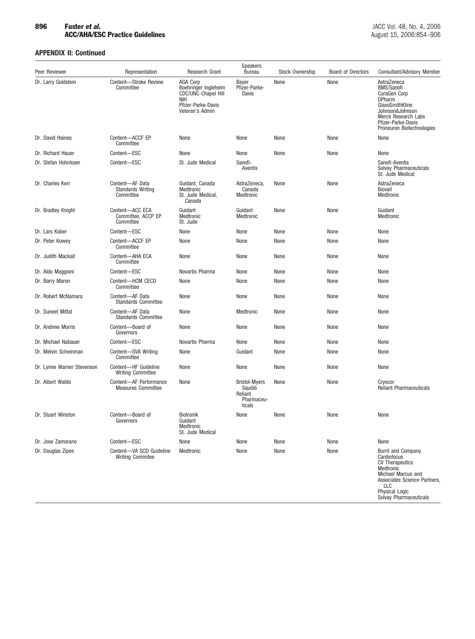# **APPENDIX II: Continued**

| Peer Reviewer              | Representation                                           | Research Grant                                                                                                 | Speakers<br>Bureau                                                | Stock Ownership | <b>Board of Directors</b> | Consultant/Advisory Member                                                                                                                                                                      |
|----------------------------|----------------------------------------------------------|----------------------------------------------------------------------------------------------------------------|-------------------------------------------------------------------|-----------------|---------------------------|-------------------------------------------------------------------------------------------------------------------------------------------------------------------------------------------------|
| Dr. Larry Goldstein        | Content-Stroke Review<br>Committee                       | AGA Corp<br>Boehringer Ingleheim<br>CDC/UNC-Chapel Hill<br><b>NIH</b><br>Pfizer-Parke-Davis<br>Veteran's Admin | Bayer<br>Pfizer-Parke-<br>Davis                                   | None            | None                      | AstraZeneca<br><b>BMS/Sanofi</b><br>CuraGen Corp<br><b>DPharm</b><br>GlaxoSmithKline<br>Johnson&Johnson<br>Merck Research Labs<br>Pfizer-Parke-Davis<br>Proneuron Biotechnologies               |
| Dr. David Haines           | Content-ACCF EP<br>Committee                             | None                                                                                                           | None                                                              | None            | None                      | None                                                                                                                                                                                            |
| Dr. Richard Hauer          | Content-ESC                                              | None                                                                                                           | None                                                              | None            | None                      | None                                                                                                                                                                                            |
| Dr. Stefan Hohnloser       | Content-ESC                                              | St. Jude Medical                                                                                               | Sanofi-<br>Aventis                                                |                 |                           | Sanofi-Aventis<br>Solvay Pharmaceuticals<br>St. Jude Medical                                                                                                                                    |
| Dr. Charles Kerr           | Content-AF Data<br><b>Standards Writing</b><br>Committee | Guidant, Canada<br>Medtronic<br>St. Jude Medical,<br>Canada                                                    | AstraZeneca,<br>Canada<br>Medtronic                               | None            | None                      | AstraZeneca<br>Biovail<br>Medtronic                                                                                                                                                             |
| Dr. Bradley Knight         | Content-ACC ECA<br>Committee, ACCP EP<br>Committee       | Guidant<br>Medtronic<br>St. Jude                                                                               | Guidant<br>Medtronic                                              | None            | None                      | Guidant<br>Medtronic                                                                                                                                                                            |
| Dr. Lars Kober             | Content-ESC                                              | None                                                                                                           | None                                                              | None            | None                      | None                                                                                                                                                                                            |
| Dr. Peter Kowey            | Content-ACCF EP<br>Committee                             | None                                                                                                           | None                                                              | None            | None                      | None                                                                                                                                                                                            |
| Dr. Judith Mackall         | Content-AHA ECA<br>Committee                             | None                                                                                                           | None                                                              | None            | None                      | None                                                                                                                                                                                            |
| Dr. Aldo Maggioni          | Content-ESC                                              | Novartis Pharma                                                                                                | None                                                              | None            | None                      | None                                                                                                                                                                                            |
| Dr. Barry Maron            | Content-HCM CECD<br>Committee                            | None                                                                                                           | None                                                              | None            | None                      | None                                                                                                                                                                                            |
| Dr. Robert McNamara        | Content-AF Data<br><b>Standards Committee</b>            | None                                                                                                           | None                                                              | None            | None                      | None                                                                                                                                                                                            |
| Dr. Suneet Mittal          | Content-AF Data<br><b>Standards Committee</b>            | None                                                                                                           | Medtronic                                                         | None            | None                      | None                                                                                                                                                                                            |
| Dr. Andrew Morris          | Content-Board of<br>Governors                            | None                                                                                                           | None                                                              | None            | None                      | None                                                                                                                                                                                            |
| Dr. Michael Nabauer        | Content-ESC                                              | Novartis Pharma                                                                                                | None                                                              | None            | None                      | None                                                                                                                                                                                            |
| Dr. Melvin Scheinman       | Content-SVA Writing<br>Committee                         | None                                                                                                           | Guidant                                                           | None            | None                      | None                                                                                                                                                                                            |
| Dr. Lynne Warner Stevenson | Content-HF Guideline<br><b>Writing Committee</b>         | None                                                                                                           | None                                                              | None            | None                      | None                                                                                                                                                                                            |
| Dr. Albert Waldo           | Content-AF Performance<br><b>Measures Committee</b>      | None                                                                                                           | <b>Bristol-Myers</b><br>Squibb<br>Reliant<br>Pharmaceu-<br>ticals | None            | None                      | Cryocor<br><b>Reliant Pharmaceuticals</b>                                                                                                                                                       |
| Dr. Stuart Winston         | Content-Board of<br>Governors                            | <b>Biotronik</b><br>Guidant<br>Medtronic<br>St. Jude Medical                                                   | None                                                              | None            | None                      | None                                                                                                                                                                                            |
| Dr. Jose Zamorano          | Content-ESC                                              | None                                                                                                           | None                                                              | None            | None                      | None                                                                                                                                                                                            |
| Dr. Douglas Zipes          | Content-VA SCD Guideline<br><b>Writing Commitee</b>      | Medtronic                                                                                                      | None                                                              | None            | None                      | <b>Burril and Company</b><br>Cardiofocus<br><b>CV Therapeutics</b><br>Medtronic<br>Michael Marcus and<br>Associates Science Partners,<br>LLC<br><b>Physical Logic</b><br>Solvay Pharmaceuticals |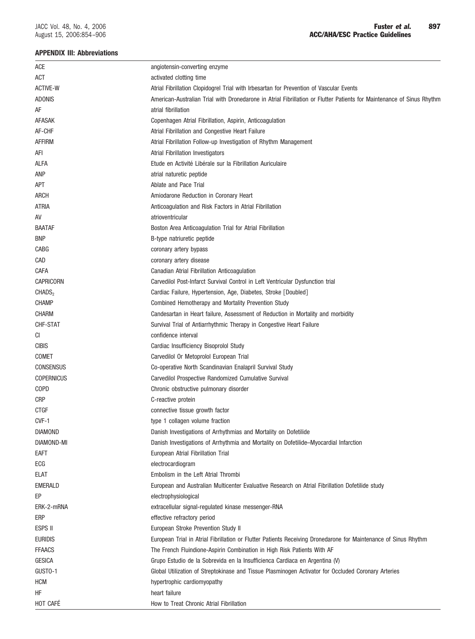# **APPENDIX III: Abbreviations**

| ACE                 | angiotensin-converting enzyme                                                                                         |
|---------------------|-----------------------------------------------------------------------------------------------------------------------|
| ACT                 | activated clotting time                                                                                               |
| <b>ACTIVE-W</b>     | Atrial Fibrillation Clopidogrel Trial with Irbesartan for Prevention of Vascular Events                               |
| <b>ADONIS</b>       | American-Australian Trial with Dronedarone in Atrial Fibrillation or Flutter Patients for Maintenance of Sinus Rhythm |
| AF                  | atrial fibrillation                                                                                                   |
| AFASAK              | Copenhagen Atrial Fibrillation, Aspirin, Anticoagulation                                                              |
| AF-CHF              | Atrial Fibrillation and Congestive Heart Failure                                                                      |
| <b>AFFIRM</b>       | Atrial Fibrillation Follow-up Investigation of Rhythm Management                                                      |
| AFI                 | Atrial Fibrillation Investigators                                                                                     |
| ALFA                | Etude en Activité Libérale sur la Fibrillation Auriculaire                                                            |
| <b>ANP</b>          | atrial naturetic peptide                                                                                              |
| APT                 | Ablate and Pace Trial                                                                                                 |
| ARCH                | Amiodarone Reduction in Coronary Heart                                                                                |
| <b>ATRIA</b>        | Anticoagulation and Risk Factors in Atrial Fibrillation                                                               |
|                     | atrioventricular                                                                                                      |
| AV<br><b>BAATAF</b> |                                                                                                                       |
|                     | Boston Area Anticoagulation Trial for Atrial Fibrillation                                                             |
| <b>BNP</b>          | B-type natriuretic peptide                                                                                            |
| CABG                | coronary artery bypass                                                                                                |
| CAD                 | coronary artery disease                                                                                               |
| CAFA                | Canadian Atrial Fibrillation Anticoagulation                                                                          |
| <b>CAPRICORN</b>    | Carvedilol Post-Infarct Survival Control in Left Ventricular Dysfunction trial                                        |
| CHADS <sub>2</sub>  | Cardiac Failure, Hypertension, Age, Diabetes, Stroke [Doubled]                                                        |
| <b>CHAMP</b>        | Combined Hemotherapy and Mortality Prevention Study                                                                   |
| <b>CHARM</b>        | Candesartan in Heart failure, Assessment of Reduction in Mortality and morbidity                                      |
| CHF-STAT            | Survival Trial of Antiarrhythmic Therapy in Congestive Heart Failure                                                  |
| CI                  | confidence interval                                                                                                   |
| <b>CIBIS</b>        | Cardiac Insufficiency Bisoprolol Study                                                                                |
| COMET               | Carvedilol Or Metoprolol European Trial                                                                               |
| <b>CONSENSUS</b>    | Co-operative North Scandinavian Enalapril Survival Study                                                              |
| <b>COPERNICUS</b>   | Carvedilol Prospective Randomized Cumulative Survival                                                                 |
| <b>COPD</b>         | Chronic obstructive pulmonary disorder                                                                                |
| <b>CRP</b>          | C-reactive protein                                                                                                    |
| <b>CTGF</b>         | connective tissue growth factor                                                                                       |
| CVF-1               | type 1 collagen volume fraction                                                                                       |
| <b>DIAMOND</b>      | Danish Investigations of Arrhythmias and Mortality on Dofetilide                                                      |
| DIAMOND-MI          | Danish Investigations of Arrhythmia and Mortality on Dofetilide–Myocardial Infarction                                 |
| EAFT                | European Atrial Fibrillation Trial                                                                                    |
| ECG                 | electrocardiogram                                                                                                     |
| ELAT                | Embolism in the Left Atrial Thrombi                                                                                   |
| <b>EMERALD</b>      | European and Australian Multicenter Evaluative Research on Atrial Fibrillation Dofetilide study                       |
| EP                  | electrophysiological                                                                                                  |
| ERK-2-mRNA          | extracellular signal-regulated kinase messenger-RNA                                                                   |
| <b>ERP</b>          | effective refractory period                                                                                           |
| <b>ESPS II</b>      | European Stroke Prevention Study II                                                                                   |
| <b>EURIDIS</b>      | European Trial in Atrial Fibrillation or Flutter Patients Receiving Dronedarone for Maintenance of Sinus Rhythm       |
| <b>FFAACS</b>       | The French Fluindione-Aspirin Combination in High Risk Patients With AF                                               |
| <b>GESICA</b>       | Grupo Estudio de la Sobrevida en la Insufficienca Cardiaca en Argentina (V)                                           |
| GUSTO-1             | Global Utilization of Streptokinase and Tissue Plasminogen Activator for Occluded Coronary Arteries                   |
| <b>HCM</b>          | hypertrophic cardiomyopathy                                                                                           |
| ΗF                  | heart failure                                                                                                         |
| HOT CAFÉ            | How to Treat Chronic Atrial Fibrillation                                                                              |
|                     |                                                                                                                       |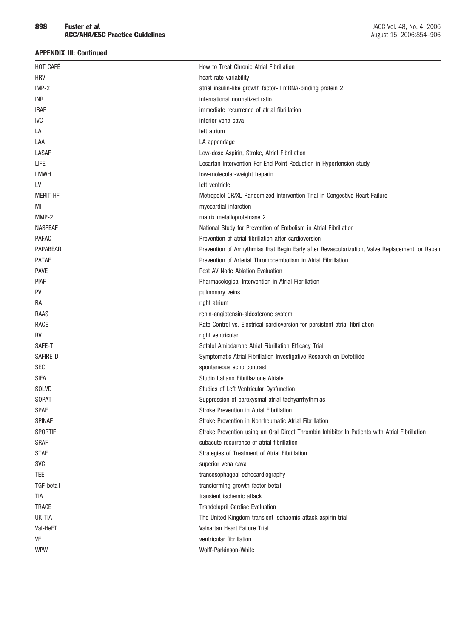# **APPENDIX III: Continued**

| HOT CAFÉ        | How to Treat Chronic Atrial Fibrillation                                                         |
|-----------------|--------------------------------------------------------------------------------------------------|
| <b>HRV</b>      | heart rate variability                                                                           |
| $IMP-2$         | atrial insulin-like growth factor-II mRNA-binding protein 2                                      |
| INR             | international normalized ratio                                                                   |
| <b>IRAF</b>     | immediate recurrence of atrial fibrillation                                                      |
| IVC             | inferior vena cava                                                                               |
| LA              | left atrium                                                                                      |
| LAA             | LA appendage                                                                                     |
| LASAF           | Low-dose Aspirin, Stroke, Atrial Fibrillation                                                    |
| <b>LIFE</b>     | Losartan Intervention For End Point Reduction in Hypertension study                              |
| LMWH            | low-molecular-weight heparin                                                                     |
| LV              | left ventricle                                                                                   |
| <b>MERIT-HF</b> | Metropolol CR/XL Randomized Intervention Trial in Congestive Heart Failure                       |
| MI              | myocardial infarction                                                                            |
| MMP-2           | matrix metalloproteinase 2                                                                       |
| <b>NASPEAF</b>  | National Study for Prevention of Embolism in Atrial Fibrillation                                 |
| PAFAC           | Prevention of atrial fibrillation after cardioversion                                            |
| <b>PAPABEAR</b> | Prevention of Arrhythmias that Begin Early after Revascularization, Valve Replacement, or Repair |
| <b>PATAF</b>    | Prevention of Arterial Thromboembolism in Atrial Fibrillation                                    |
| <b>PAVE</b>     | Post AV Node Ablation Evaluation                                                                 |
| <b>PIAF</b>     | Pharmacological Intervention in Atrial Fibrillation                                              |
| PV              | pulmonary veins                                                                                  |
| RA              | right atrium                                                                                     |
| RAAS            | renin-angiotensin-aldosterone system                                                             |
| RACE            | Rate Control vs. Electrical cardioversion for persistent atrial fibrillation                     |
| <b>RV</b>       | right ventricular                                                                                |
| SAFE-T          | Sotalol Amiodarone Atrial Fibrillation Efficacy Trial                                            |
| SAFIRE-D        | Symptomatic Atrial Fibrillation Investigative Research on Dofetilide                             |
| SEC             | spontaneous echo contrast                                                                        |
| <b>SIFA</b>     | Studio Italiano Fibrillazione Atriale                                                            |
| <b>SOLVD</b>    | Studies of Left Ventricular Dysfunction                                                          |
| <b>SOPAT</b>    | Suppression of paroxysmal atrial tachyarrhythmias                                                |
| <b>SPAF</b>     | Stroke Prevention in Atrial Fibrillation                                                         |
| <b>SPINAF</b>   | Stroke Prevention in Nonrheumatic Atrial Fibrillation                                            |
| <b>SPORTIF</b>  | Stroke Prevention using an Oral Direct Thrombin Inhibitor In Patients with Atrial Fibrillation   |
| <b>SRAF</b>     | subacute recurrence of atrial fibrillation                                                       |
| <b>STAF</b>     | Strategies of Treatment of Atrial Fibrillation                                                   |
| <b>SVC</b>      | superior vena cava                                                                               |
| TEE             | transesophageal echocardiography                                                                 |
| TGF-beta1       | transforming growth factor-beta1                                                                 |
| tia             | transient ischemic attack                                                                        |
| <b>TRACE</b>    | <b>Trandolapril Cardiac Evaluation</b>                                                           |
| UK-TIA          | The United Kingdom transient ischaemic attack aspirin trial                                      |
| Val-HeFT        | Valsartan Heart Failure Trial                                                                    |
| VF              | ventricular fibrillation                                                                         |
| <b>WPW</b>      | Wolff-Parkinson-White                                                                            |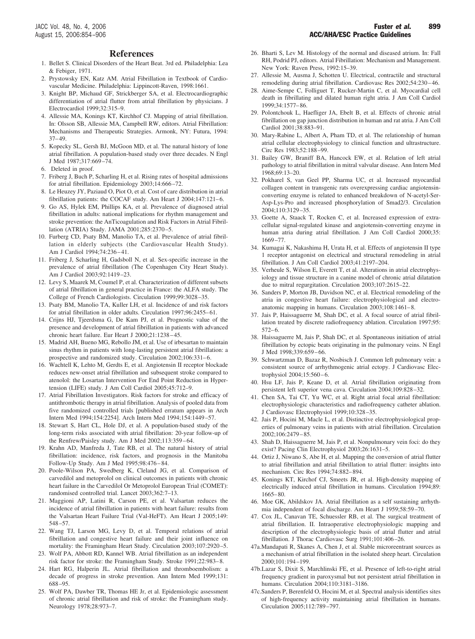#### **References**

- <span id="page-45-0"></span>1. Bellet S. Clinical Disorders of the Heart Beat. 3rd ed. Philadelphia: Lea & Febiger, 1971.
- 2. Prystowsky EN, Katz AM. Atrial Fibrillation in Textbook of Cardiovascular Medicine. Philadelphia: Lippincott-Raven, 1998:1661.
- 3. Knight BP, Michaud GF, Strickberger SA, et al. Electrocardiographic differentiation of atrial flutter from atrial fibrillation by physicians. J Electrocardiol 1999;32:315–9.
- 4. Allessie MA, Konings KT, Kirchhof CJ. Mapping of atrial fibrillation. In: Olsson SB, Allessie MA, Campbell RW, editors. Atrial Fibrillation: Mechanisms and Therapeutic Strategies. Armonk, NY: Futura, 1994: 37– 49.
- 5. Kopecky SL, Gersh BJ, McGoon MD, et al. The natural history of lone atrial fibrillation. A population-based study over three decades. N Engl J Med 1987;317:669 –74.
- 6. Deleted in proof.
- 7. Friberg J, Buch P, Scharling H, et al. Rising rates of hospital admissions for atrial fibrillation. Epidemiology 2003;14:666 –72.
- 8. Le Heuzey JY, Paziaud O, Piot O, et al. Cost of care distribution in atrial fibrillation patients: the COCAF study. Am Heart J 2004;147:121-6.
- 9. Go AS, Hylek EM, Phillips KA, et al. Prevalence of diagnosed atrial fibrillation in adults: national implications for rhythm management and stroke prevention: the AnTicoagulation and Risk Factors in Atrial Fibrillation (ATRIA) Study. JAMA 2001;285:2370 –5.
- 10. Furberg CD, Psaty BM, Manolio TA, et al. Prevalence of atrial fibrillation in elderly subjects (the Cardiovascular Health Study). Am J Cardiol 1994;74:236 – 41.
- 11. Friberg J, Scharling H, Gadsboll N, et al. Sex-specific increase in the prevalence of atrial fibrillation (The Copenhagen City Heart Study). Am J Cardiol 2003;92:1419 –23.
- 12. Levy S, Maarek M, Coumel P, et al. Characterization of different subsets of atrial fibrillation in general practice in France: the ALFA study. The College of French Cardiologists. Circulation 1999;99:3028 –35.
- 13. Psaty BM, Manolio TA, Kuller LH, et al. Incidence of and risk factors for atrial fibrillation in older adults. Circulation 1997;96:2455– 61.
- 14. Crijns HJ, Tjeerdsma G, De Kam PJ, et al. Prognostic value of the presence and development of atrial fibrillation in patients with advanced chronic heart failure. Eur Heart J 2000;21:1238 – 45.
- 15. Madrid AH, Bueno MG, Rebollo JM, et al. Use of irbesartan to maintain sinus rhythm in patients with long-lasting persistent atrial fibrillation: a prospective and randomized study. Circulation 2002;106:331-6.
- 16. Wachtell K, Lehto M, Gerdts E, et al. Angiotensin II receptor blockade reduces new-onset atrial fibrillation and subsequent stroke compared to atenolol: the Losartan Intervention For End Point Reduction in Hypertension (LIFE) study. J Am Coll Cardiol 2005;45:712–9.
- 17. Atrial Fibrillation Investigators. Risk factors for stroke and efficacy of antithrombotic therapy in atrial fibrillation. Analysis of pooled data from five randomized controlled trials [published erratum appears in Arch Intern Med 1994;154:2254]. Arch Intern Med 1994;154:1449 –57.
- 18. Stewart S, Hart CL, Hole DJ, et al. A population-based study of the long-term risks associated with atrial fibrillation: 20-year follow-up of the Renfrew/Paisley study. Am J Med 2002;113:359-64.
- 19. Krahn AD, Manfreda J, Tate RB, et al. The natural history of atrial fibrillation: incidence, risk factors, and prognosis in the Manitoba Follow-Up Study. Am J Med 1995;98:476-84.
- 20. Poole-Wilson PA, Swedberg K, Cleland JG, et al. Comparison of carvedilol and metoprolol on clinical outcomes in patients with chronic heart failure in the Carvedilol Or Metoprolol European Trial (COMET): randomised controlled trial. Lancet 2003;362:7–13.
- 21. Maggioni AP, Latini R, Carson PE, et al. Valsartan reduces the incidence of atrial fibrillation in patients with heart failure: results from the Valsartan Heart Failure Trial (Val-HeFT). Am Heart J 2005;149: 548 –57.
- 22. Wang TJ, Larson MG, Levy D, et al. Temporal relations of atrial fibrillation and congestive heart failure and their joint influence on mortality: the Framingham Heart Study. Circulation 2003;107:2920 –5.
- 23. Wolf PA, Abbott RD, Kannel WB. Atrial fibrillation as an independent risk factor for stroke: the Framingham Study. Stroke 1991;22:983– 8.
- 24. Hart RG, Halperin JL. Atrial fibrillation and thromboembolism: a decade of progress in stroke prevention. Ann Intern Med 1999;131: 688 –95.
- 25. Wolf PA, Dawber TR, Thomas HE Jr, et al. Epidemiologic assessment of chronic atrial fibrillation and risk of stroke: the Framingham study. Neurology 1978;28:973–7.
- 26. Bharti S, Lev M. Histology of the normal and diseased atrium. In: Fall RH, Podrid PJ, editors. Atrial Fibrillation: Mechanism and Management. New York: Raven Press, 1992:15–39.
- 27. Allessie M, Ausma J, Schotten U. Electrical, contractile and structural remodeling during atrial fibrillation. Cardiovasc Res 2002;54:230 – 46.
- 28. Aime-Sempe C, Folliguet T, Rucker-Martin C, et al. Myocardial cell death in fibrillating and dilated human right atria. J Am Coll Cardiol 1999;34:1577– 86.
- 29. Polontchouk L, Haefliger JA, Ebelt B, et al. Effects of chronic atrial fibrillation on gap junction distribution in human and rat atria. J Am Coll Cardiol 2001;38:883–91.
- 30. Mary-Rabine L, Albert A, Pham TD, et al. The relationship of human atrial cellular electrophysiology to clinical function and ultrastructure. Circ Res 1983;52:188 –99.
- 31. Bailey GW, Braniff BA, Hancock EW, et al. Relation of left atrial pathology to atrial fibrillation in mitral valvular disease. Ann Intern Med 1968;69:13–20.
- 32. Pokharel S, van Geel PP, Sharma UC, et al. Increased myocardial collagen content in transgenic rats overexpressing cardiac angiotensinconverting enzyme is related to enhanced breakdown of N-acetyl-Ser-Asp-Lys-Pro and increased phosphorylation of Smad2/3. Circulation 2004;110:3129 –35.
- 33. Goette A, Staack T, Rocken C, et al. Increased expression of extracellular signal-regulated kinase and angiotensin-converting enzyme in human atria during atrial fibrillation. J Am Coll Cardiol 2000;35: 1669 –77.
- 34. Kumagai K, Nakashima H, Urata H, et al. Effects of angiotensin II type 1 receptor antagonist on electrical and structural remodeling in atrial fibrillation. J Am Coll Cardiol 2003;41:2197–204.
- 35. Verheule S, Wilson E, Everett T, et al. Alterations in atrial electrophysiology and tissue structure in a canine model of chronic atrial dilatation due to mitral regurgitation. Circulation 2003;107:2615–22.
- 36. Sanders P, Morton JB, Davidson NC, et al. Electrical remodeling of the atria in congestive heart failure: electrophysiological and electroanatomic mapping in humans. Circulation 2003;108:1461– 8.
- 37. Jais P, Haissaguerre M, Shah DC, et al. A focal source of atrial fibrillation treated by discrete radiofrequency ablation. Circulation 1997;95:  $572-6.$
- 38. Haissaguerre M, Jais P, Shah DC, et al. Spontaneous initiation of atrial fibrillation by ectopic beats originating in the pulmonary veins. N Engl J Med 1998;339:659 – 66.
- 39. Schwartzman D, Bazaz R, Nosbisch J. Common left pulmonary vein: a consistent source of arrhythmogenic atrial ectopy. J Cardiovasc Electrophysiol 2004;15:560 – 6.
- 40. Hsu LF, Jais P, Keane D, et al. Atrial fibrillation originating from persistent left superior vena cava. Circulation 2004;109:828 –32.
- 41. Chen SA, Tai CT, Yu WC, et al. Right atrial focal atrial fibrillation: electrophysiologic characteristics and radiofrequency catheter ablation. J Cardiovasc Electrophysiol 1999;10:328 –35.
- 42. Jais P, Hocini M, Macle L, et al. Distinctive electrophysiological properties of pulmonary veins in patients with atrial fibrillation. Circulation 2002;106:2479 – 85.
- 43. Shah D, Haissaguerre M, Jais P, et al. Nonpulmonary vein foci: do they exist? Pacing Clin Electrophysiol 2003;26:1631–5.
- 44. Ortiz J, Niwano S, Abe H, et al. Mapping the conversion of atrial flutter to atrial fibrillation and atrial fibrillation to atrial flutter: insights into mechanism. Circ Res 1994;74:882– 894.
- 45. Konings KT, Kirchof CJ, Smeets JR, et al. High-density mapping of electrically induced atrial fibrillation in humans. Circulation 1994;89: 1665– 80.
- 46. Moe GK, Abildskov JA. Atrial fibrillation as a self sustaining arrhythmia independent of focal discharge. Am Heart J 1959;58:59 –70.
- 47. Cox JL, Canavan TE, Schuessler RB, et al. The surgical treatment of atrial fibrillation. II. Intraoperative electrophysiologic mapping and description of the electrophysiologic basis of atrial flutter and atrial fibrillation. J Thorac Cardiovasc Surg 1991;101:406-26.
- 47a.Mandapati R, Skanes A, Chen J, et al. Stable microreentrant sources as a mechanism of atrial fibrillation in the isolated sheep heart. Circulation 2000;101:194 –199.
- 47b.Lazar S, Dixit S, Marchlinski FE, et al. Presence of left-to-right atrial frequency gradient in paroxysmal but not persistent atrial fibrillation in humans. Circulation 2004;110:3181–3186.
- 47c.Sanders P, Berenfeld O, Hocini M, et al. Spectral analysis identifies sites of high-frequency activity maintaining atrial fibrillation in humans. Circulation 2005;112:789 –797.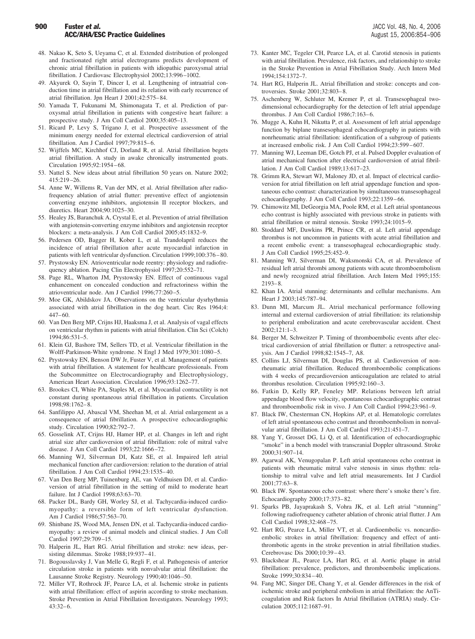#### <span id="page-46-0"></span>**900 Fuster et al.**  $\blacksquare$  **Fuster et al.**  $\blacksquare$  **Fuster et al.**  $\blacksquare$  **Fuster et al.**  $\blacksquare$  **Fuster et al.**  $\blacksquare$  **Fuster et al.**  $\blacksquare$  **Fuster et al.**  $\blacksquare$  **Fuster et al.**  $\blacksquare$  **Fuster et al.**  $\blacksquare$  **Fuster is** ACC/AHA/ESC Practice Guidelines **AUGUST 15, 2006:854-906** August 15, 2006:854-906

- 48. Nakao K, Seto S, Ueyama C, et al. Extended distribution of prolonged and fractionated right atrial electrograms predicts development of chronic atrial fibrillation in patients with idiopathic paroxysmal atrial fibrillation. J Cardiovasc Electrophysiol 2002;13:996 –1002.
- 49. Akyurek O, Sayin T, Dincer I, et al. Lengthening of intraatrial conduction time in atrial fibrillation and its relation with early recurrence of atrial fibrillation. Jpn Heart J 2001;42:575– 84.
- 50. Yamada T, Fukunami M, Shimonagata T, et al. Prediction of paroxysmal atrial fibrillation in patients with congestive heart failure: a prospective study. J Am Coll Cardiol 2000;35:405–13.
- 51. Ricard P, Levy S, Trigano J, et al. Prospective assessment of the minimum energy needed for external electrical cardioversion of atrial fibrillation. Am J Cardiol 1997;79:815-6.
- 52. Wijffels MC, Kirchhof CJ, Dorland R, et al. Atrial fibrillation begets atrial fibrillation. A study in awake chronically instrumented goats. Circulation 1995;92:1954 – 68.
- 53. Nattel S. New ideas about atrial fibrillation 50 years on. Nature 2002; 415:219 –26.
- 54. Anne W, Willems R, Van der MN, et al. Atrial fibrillation after radiofrequency ablation of atrial flutter: preventive effect of angiotensin converting enzyme inhibitors, angiotensin II receptor blockers, and diuretics. Heart 2004;90:1025–30.
- 55. Healey JS, Baranchuk A, Crystal E, et al. Prevention of atrial fibrillation with angiotensin-converting enzyme inhibitors and angiotensin receptor blockers: a meta-analysis. J Am Coll Cardiol 2005;45:1832–9.
- 56. Pedersen OD, Bagger H, Kober L, et al. Trandolapril reduces the incidence of atrial fibrillation after acute myocardial infarction in patients with left ventricular dysfunction. Circulation 1999;100:376 – 80.
- 57. Prystowsky EN. Atrioventricular node reentry: physiology and radiofrequency ablation. Pacing Clin Electrophysiol 1997;20:552–71.
- 58. Page RL, Wharton JM, Prystowsky EN. Effect of continuous vagal enhancement on concealed conduction and refractoriness within the atrioventricular node. Am J Cardiol 1996;77:260 –5.
- 59. Moe GK, Abildskov JA. Observations on the ventricular dysrhythmia associated with atrial fibrillation in the dog heart. Circ Res 1964;4:  $447 - 60.$
- 60. Van Den Berg MP, Crijns HJ, Haaksma J, et al. Analysis of vagal effects on ventricular rhythm in patients with atrial fibrillation. Clin Sci (Colch) 1994;86:531–5.
- 61. Klein GJ, Bashore TM, Sellers TD, et al. Ventricular fibrillation in the Wolff-Parkinson-White syndrome. N Engl J Med 1979;301:1080 –5.
- 62. Prystowsky EN, Benson DW Jr, Fuster V, et al. Management of patients with atrial fibrillation. A statement for healthcare professionals. From the Subcommittee on Electrocardiography and Electrophysiology, American Heart Association. Circulation 1996;93:1262–77.
- 63. Brookes CI, White PA, Staples M, et al. Myocardial contractility is not constant during spontaneous atrial fibrillation in patients. Circulation 1998;98:1762– 8.
- 64. Sanfilippo AJ, Abascal VM, Sheehan M, et al. Atrial enlargement as a consequence of atrial fibrillation. A prospective echocardiographic study. Circulation 1990;82:792–7.
- 65. Gosselink AT, Crijns HJ, Hamer HP, et al. Changes in left and right atrial size after cardioversion of atrial fibrillation: role of mitral valve disease. J Am Coll Cardiol 1993;22:1666 –72.
- 66. Manning WJ, Silverman DI, Katz SE, et al. Impaired left atrial mechanical function after cardioversion: relation to the duration of atrial fibrillation. J Am Coll Cardiol 1994;23:1535– 40.
- 67. Van Den Berg MP, Tuinenburg AE, van Veldhuisen DJ, et al. Cardioversion of atrial fibrillation in the setting of mild to moderate heart failure. Int J Cardiol 1998;63:63–70.
- 68. Packer DL, Bardy GH, Worley SJ, et al. Tachycardia-induced cardiomyopathy: a reversible form of left ventricular dysfunction. Am J Cardiol 1986;57:563–70.
- 69. Shinbane JS, Wood MA, Jensen DN, et al. Tachycardia-induced cardiomyopathy: a review of animal models and clinical studies. J Am Coll Cardiol 1997;29:709 –15.
- 70. Halperin JL, Hart RG. Atrial fibrillation and stroke: new ideas, persisting dilemmas. Stroke 1988;19:937– 41.
- 71. Bogousslavsky J, Van Melle G, Regli F, et al. Pathogenesis of anterior circulation stroke in patients with nonvalvular atrial fibrillation: the Lausanne Stroke Registry. Neurology 1990;40:1046 –50.
- 72. Miller VT, Rothrock JF, Pearce LA, et al. Ischemic stroke in patients with atrial fibrillation: effect of aspirin according to stroke mechanism. Stroke Prevention in Atrial Fibrillation Investigators. Neurology 1993;  $43.32 - 6$
- 73. Kanter MC, Tegeler CH, Pearce LA, et al. Carotid stenosis in patients with atrial fibrillation. Prevalence, risk factors, and relationship to stroke in the Stroke Prevention in Atrial Fibrillation Study. Arch Intern Med 1994;154:1372–7.
- 74. Hart RG, Halperin JL. Atrial fibrillation and stroke: concepts and controversies. Stroke 2001;32:803– 8.
- 75. Aschenberg W, Schluter M, Kremer P, et al. Transesophageal twodimensional echocardiography for the detection of left atrial appendage thrombus. J Am Coll Cardiol 1986;7:163-6.
- 76. Mugge A, Kuhn H, Nikutta P, et al. Assessment of left atrial appendage function by biplane transesophageal echocardiography in patients with nonrheumatic atrial fibrillation: identification of a subgroup of patients at increased embolic risk. J Am Coll Cardiol 1994;23:599 – 607.
- 77. Manning WJ, Leeman DE, Gotch PJ, et al. Pulsed Doppler evaluation of atrial mechanical function after electrical cardioversion of atrial fibrillation. J Am Coll Cardiol 1989;13:617–23.
- 78. Grimm RA, Stewart WJ, Maloney JD, et al. Impact of electrical cardioversion for atrial fibrillation on left atrial appendage function and spontaneous echo contrast: characterization by simultaneous transesophageal echocardiography. J Am Coll Cardiol 1993;22:1359-66.
- 79. Chimowitz MI, DeGeorgia MA, Poole RM, et al. Left atrial spontaneous echo contrast is highly associated with previous stroke in patients with atrial fibrillation or mitral stenosis. Stroke 1993;24:1015–9.
- 80. Stoddard MF, Dawkins PR, Prince CR, et al. Left atrial appendage thrombus is not uncommon in patients with acute atrial fibrillation and a recent embolic event: a transesophageal echocardiographic study. J Am Coll Cardiol 1995;25:452–9.
- 81. Manning WJ, Silverman DI, Waksmonski CA, et al. Prevalence of residual left atrial thrombi among patients with acute thromboembolism and newly recognized atrial fibrillation. Arch Intern Med 1995;155: 2193– 8.
- 82. Khan IA. Atrial stunning: determinants and cellular mechanisms. Am Heart J 2003;145:787–94.
- 83. Dunn MI, Marcum JL. Atrial mechanical performance following internal and external cardioversion of atrial fibrillation: its relationship to peripheral embolization and acute cerebrovascular accident. Chest 2002;121:1–3.
- 84. Berger M, Schweitzer P. Timing of thromboembolic events after electrical cardioversion of atrial fibrillation or flutter: a retrospective analysis. Am J Cardiol 1998;82:1545–7, A8.
- 85. Collins LJ, Silverman DI, Douglas PS, et al. Cardioversion of nonrheumatic atrial fibrillation. Reduced thromboembolic complications with 4 weeks of precardioversion anticoagulation are related to atrial thrombus resolution. Circulation 1995;92:160-3.
- 86. Fatkin D, Kelly RP, Feneley MP. Relations between left atrial appendage blood flow velocity, spontaneous echocardiographic contrast and thromboembolic risk in vivo. J Am Coll Cardiol 1994;23:961–9.
- 87. Black IW, Chesterman CN, Hopkins AP, et al. Hematologic correlates of left atrial spontaneous echo contrast and thromboembolism in nonvalvular atrial fibrillation. J Am Coll Cardiol 1993;21:451–7.
- 88. Yang Y, Grosset DG, Li Q, et al. Identification of echocardiographic "smoke" in a bench model with transcranial Doppler ultrasound. Stroke 2000;31:907–14.
- 89. Agarwal AK, Venugopalan P. Left atrial spontaneous echo contrast in patients with rheumatic mitral valve stenosis in sinus rhythm: relationship to mitral valve and left atrial measurements. Int J Cardiol 2001;77:63– 8.
- 90. Black IW. Spontaneous echo contrast: where there's smoke there's fire. Echocardiography 2000;17:373– 82.
- 91. Sparks PB, Jayaprakash S, Vohra JK, et al. Left atrial "stunning" following radiofrequency catheter ablation of chronic atrial flutter. J Am Coll Cardiol 1998;32:468 –75.
- 92. Hart RG, Pearce LA, Miller VT, et al. Cardioembolic vs. noncardioembolic strokes in atrial fibrillation: frequency and effect of antithrombotic agents in the stroke prevention in atrial fibrillation studies. Cerebrovasc Dis 2000;10:39 – 43.
- 93. Blackshear JL, Pearce LA, Hart RG, et al. Aortic plaque in atrial fibrillation: prevalence, predictors, and thromboembolic implications. Stroke 1999;30:834 – 40.
- 94. Fang MC, Singer DE, Chang Y, et al. Gender differences in the risk of ischemic stroke and peripheral embolism in atrial fibrillation: the AnTicoagulation and Risk factors In Atrial fibrillation (ATRIA) study. Circulation 2005;112:1687–91.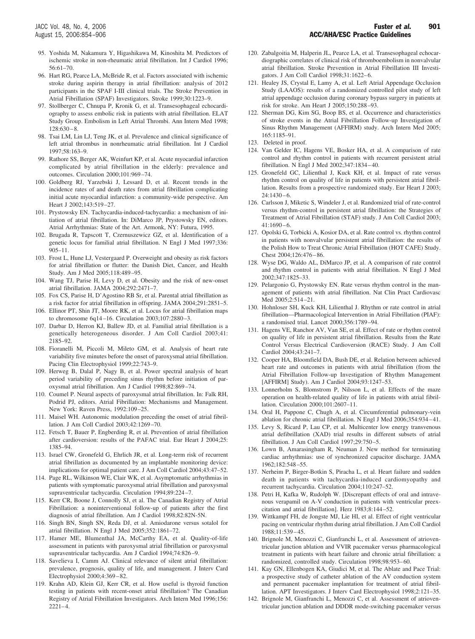- <span id="page-47-0"></span>96. Hart RG, Pearce LA, McBride R, et al. Factors associated with ischemic stroke during aspirin therapy in atrial fibrillation: analysis of 2012 participants in the SPAF I-III clinical trials. The Stroke Prevention in Atrial Fibrillation (SPAF) Investigators. Stroke 1999;30:1223–9.
- 97. Stollberger C, Chnupa P, Kronik G, et al. Transesophageal echocardiography to assess embolic risk in patients with atrial fibrillation. ELAT Study Group. Embolism in Left Atrial Thrombi. Ann Intern Med 1998;  $128:630 - 8$ .
- 98. Tsai LM, Lin LJ, Teng JK, et al. Prevalence and clinical significance of left atrial thrombus in nonrheumatic atrial fibrillation. Int J Cardiol 1997;58:163–9.
- 99. Rathore SS, Berger AK, Weinfurt KP, et al. Acute myocardial infarction complicated by atrial fibrillation in the elderly: prevalence and outcomes. Circulation 2000;101:969 –74.
- 100. Goldberg RJ, Yarzebski J, Lessard D, et al. Recent trends in the incidence rates of and death rates from atrial fibrillation complicating initial acute myocardial infarction: a community-wide perspective. Am Heart J 2002;143:519-27.
- 101. Prystowsky EN. Tachycardia-induced-tachycardia: a mechanism of initiation of atrial fibrillation. In: DiMarco JP, Prystowsky EN, editors. Atrial Arrhythmias: State of the Art. Armonk, NY: Futura, 1995.
- 102. Brugada R, Tapscott T, Czernuszewicz GZ, et al. Identification of a genetic locus for familial atrial fibrillation. N Engl J Med 1997;336: 905–11.
- 103. Frost L, Hune LJ, Vestergaard P. Overweight and obesity as risk factors for atrial fibrillation or flutter: the Danish Diet, Cancer, and Health Study. Am J Med 2005;118:489 –95.
- 104. Wang TJ, Parise H, Levy D, et al. Obesity and the risk of new-onset atrial fibrillation. JAMA 2004;292:2471–7.
- 105. Fox CS, Parise H, D'Agostino RB Sr, et al. Parental atrial fibrillation as a risk factor for atrial fibrillation in offspring. JAMA 2004;291:2851–5.
- 106. Ellinor PT, Shin JT, Moore RK, et al. Locus for atrial fibrillation maps to chromosome 6q14 –16. Circulation 2003;107:2880 –3.
- 107. Darbar D, Herron KJ, Ballew JD, et al. Familial atrial fibrillation is a genetically heterogeneous disorder. J Am Coll Cardiol 2003;41: 2185–92.
- 108. Fioranelli M, Piccoli M, Mileto GM, et al. Analysis of heart rate variability five minutes before the onset of paroxysmal atrial fibrillation. Pacing Clin Electrophysiol 1999;22:743–9.
- 109. Herweg B, Dalal P, Nagy B, et al. Power spectral analysis of heart period variability of preceding sinus rhythm before initiation of paroxysmal atrial fibrillation. Am J Cardiol 1998;82:869 –74.
- 110. Coumel P. Neural aspects of paroxysmal atrial fibrillation. In: Falk RH, Podrid PJ, editors. Atrial Fibrillation: Mechanisms and Management. New York: Raven Press, 1992:109 –25.
- 111. Maisel WH. Autonomic modulation preceding the onset of atrial fibrillation. J Am Coll Cardiol 2003;42:1269 –70.
- 112. Fetsch T, Bauer P, Engberding R, et al. Prevention of atrial fibrillation after cardioversion: results of the PAFAC trial. Eur Heart J 2004;25: 1385–94.
- 113. Israel CW, Gronefeld G, Ehrlich JR, et al. Long-term risk of recurrent atrial fibrillation as documented by an implantable monitoring device: implications for optimal patient care. J Am Coll Cardiol 2004;43:47–52.
- 114. Page RL, Wilkinson WE, Clair WK, et al. Asymptomatic arrhythmias in patients with symptomatic paroxysmal atrial fibrillation and paroxysmal supraventricular tachycardia. Circulation 1994;89:224 –7.
- 115. Kerr CR, Boone J, Connolly SJ, et al. The Canadian Registry of Atrial Fibrillation: a noninterventional follow-up of patients after the first diagnosis of atrial fibrillation. Am J Cardiol 1998;82:82N-5N.
- 116. Singh BN, Singh SN, Reda DJ, et al. Amiodarone versus sotalol for atrial fibrillation. N Engl J Med 2005;352:1861–72.
- 117. Hamer ME, Blumenthal JA, McCarthy EA, et al. Quality-of-life assessment in patients with paroxysmal atrial fibrillation or paroxysmal supraventricular tachycardia. Am J Cardiol 1994;74:826 –9.
- 118. Savelieva I, Camm AJ. Clinical relevance of silent atrial fibrillation: prevalence, prognosis, quality of life, and management. J Interv Card Electrophysiol 2000;4:369 – 82.
- 119. Krahn AD, Klein GJ, Kerr CR, et al. How useful is thyroid function testing in patients with recent-onset atrial fibrillation? The Canadian Registry of Atrial Fibrillation Investigators. Arch Intern Med 1996;156:  $2221 - 4$
- 120. Zabalgoitia M, Halperin JL, Pearce LA, et al. Transesophageal echocardiographic correlates of clinical risk of thromboembolism in nonvalvular atrial fibrillation. Stroke Prevention in Atrial Fibrillation III Investigators. J Am Coll Cardiol 1998;31:1622– 6.
- 121. Healey JS, Crystal E, Lamy A, et al. Left Atrial Appendage Occlusion Study (LAAOS): results of a randomized controlled pilot study of left atrial appendage occlusion during coronary bypass surgery in patients at risk for stroke. Am Heart J 2005;150:288 –93.
- 122. Sherman DG, Kim SG, Boop BS, et al. Occurrence and characteristics of stroke events in the Atrial Fibrillation Follow-up Investigation of Sinus Rhythm Management (AFFIRM) study. Arch Intern Med 2005; 165:1185–91.
- 123. Deleted in proof.
- 124. Van Gelder IC, Hagens VE, Bosker HA, et al. A comparison of rate control and rhythm control in patients with recurrent persistent atrial fibrillation. N Engl J Med 2002;347:1834 – 40.
- 125. Gronefeld GC, Lilienthal J, Kuck KH, et al. Impact of rate versus rhythm control on quality of life in patients with persistent atrial fibrillation. Results from a prospective randomized study. Eur Heart J 2003; 24:1430 – 6.
- 126. Carlsson J, Miketic S, Windeler J, et al. Randomized trial of rate-control versus rhythm-control in persistent atrial fibrillation: the Strategies of Treatment of Atrial Fibrillation (STAF) study. J Am Coll Cardiol 2003; 41:1690 – 6.
- 127. Opolski G, Torbicki A, Kosior DA, et al. Rate control vs. rhythm control in patients with nonvalvular persistent atrial fibrillation: the results of the Polish How to Treat Chronic Atrial Fibrillation (HOT CAFE) Study. Chest 2004;126:476 – 86.
- 128. Wyse DG, Waldo AL, DiMarco JP, et al. A comparison of rate control and rhythm control in patients with atrial fibrillation. N Engl J Med 2002;347:1825–33.
- 129. Pelargonio G, Prystowsky EN. Rate versus rhythm control in the management of patients with atrial fibrillation. Nat Clin Pract Cardiovasc Med 2005;2:514 –21.
- 130. Hohnloser SH, Kuck KH, Lilienthal J. Rhythm or rate control in atrial fibrillation—Pharmacological Intervention in Atrial Fibrillation (PIAF): a randomised trial. Lancet 2000;356:1789 –94.
- 131. Hagens VE, Ranchor AV, Van SE, et al. Effect of rate or rhythm control on quality of life in persistent atrial fibrillation. Results from the Rate Control Versus Electrical Cardioversion (RACE) Study. J Am Coll Cardiol 2004;43:241–7.
- 132. Cooper HA, Bloomfield DA, Bush DE, et al. Relation between achieved heart rate and outcomes in patients with atrial fibrillation (from the Atrial Fibrillation Follow-up Investigation of Rhythm Management [AFFIRM] Study). Am J Cardiol 2004;93:1247–53.
- 133. Lonnerholm S, Blomstrom P, Nilsson L, et al. Effects of the maze operation on health-related quality of life in patients with atrial fibrillation. Circulation 2000;101:2607–11.
- 134. Oral H, Pappone C, Chugh A, et al. Circumferential pulmonary-vein ablation for chronic atrial fibrillation. N Engl J Med 2006;354:934 – 41.
- 135. Levy S, Ricard P, Lau CP, et al. Multicenter low energy transvenous atrial defibrillation (XAD) trial results in different subsets of atrial fibrillation. J Am Coll Cardiol 1997;29:750 –5.
- 136. Lown B, Amarasingham R, Neuman J. New method for terminating cardiac arrhythmias: use of synchronized capacitor discharge. JAMA 1962;182:548 –55.
- 137. Nerheim P, Birger-Botkin S, Piracha L, et al. Heart failure and sudden death in patients with tachycardia-induced cardiomyopathy and recurrent tachycardia. Circulation 2004;110:247–52.
- 138. Petri H, Kafka W, Rudolph W. [Discrepant effects of oral and intravenous verapamil on A-V conduction in patients with ventricular preexcitation and atrial fibrillation]. Herz 1983;8:144 –52.
- 139. Wittkampf FH, de Jongste MJ, Lie HI, et al. Effect of right ventricular pacing on ventricular rhythm during atrial fibrillation. J Am Coll Cardiol 1988;11:539 – 45.
- 140. Brignole M, Menozzi C, Gianfranchi L, et al. Assessment of atrioventricular junction ablation and VVIR pacemaker versus pharmacological treatment in patients with heart failure and chronic atrial fibrillation: a randomized, controlled study. Circulation 1998;98:953– 60.
- 141. Kay GN, Ellenbogen KA, Giudici M, et al. The Ablate and Pace Trial: a prospective study of catheter ablation of the AV conduction system and permanent pacemaker implantation for treatment of atrial fibrillation. APT Investigators. J Interv Card Electrophysiol 1998;2:121–35.
- 142. Brignole M, Gianfranchi L, Menozzi C, et al. Assessment of atrioventricular junction ablation and DDDR mode-switching pacemaker versus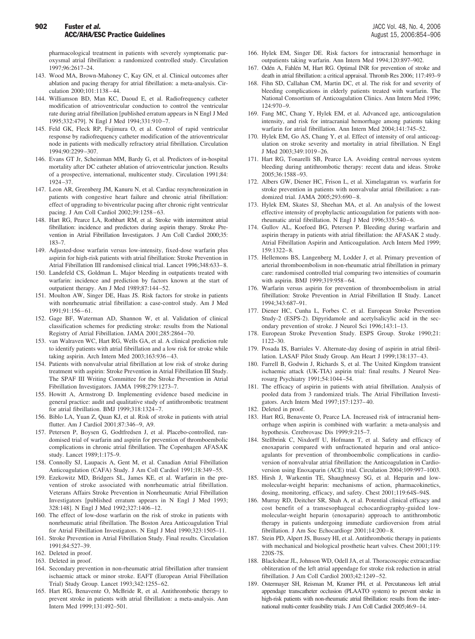<span id="page-48-0"></span>pharmacological treatment in patients with severely symptomatic paroxysmal atrial fibrillation: a randomized controlled study. Circulation 1997;96:2617–24.

- 143. Wood MA, Brown-Mahoney C, Kay GN, et al. Clinical outcomes after ablation and pacing therapy for atrial fibrillation: a meta-analysis. Circulation 2000;101:1138 – 44.
- 144. Williamson BD, Man KC, Daoud E, et al. Radiofrequency catheter modification of atrioventricular conduction to control the ventricular rate during atrial fibrillation [published erratum appears in N Engl J Med 1995;332:479]. N Engl J Med 1994;331:910 –7.
- 145. Feld GK, Fleck RP, Fujimura O, et al. Control of rapid ventricular response by radiofrequency catheter modification of the atrioventricular node in patients with medically refractory atrial fibrillation. Circulation 1994;90:2299 –307.
- 146. Evans GT Jr, Scheinman MM, Bardy G, et al. Predictors of in-hospital mortality after DC catheter ablation of atrioventricular junction. Results of a prospective, international, multicenter study. Circulation 1991;84: 1924 –37.
- 147. Leon AR, Greenberg JM, Kanuru N, et al. Cardiac resynchronization in patients with congestive heart failure and chronic atrial fibrillation: effect of upgrading to biventricular pacing after chronic right ventricular pacing. J Am Coll Cardiol 2002;39:1258-63.
- 148. Hart RG, Pearce LA, Rothbart RM, et al. Stroke with intermittent atrial fibrillation: incidence and predictors during aspirin therapy. Stroke Prevention in Atrial Fibrillation Investigators. J Am Coll Cardiol 2000;35: 183–7.
- 149. Adjusted-dose warfarin versus low-intensity, fixed-dose warfarin plus aspirin for high-risk patients with atrial fibrillation: Stroke Prevention in Atrial Fibrillation III randomised clinical trial. Lancet 1996;348:633– 8.
- 150. Landefeld CS, Goldman L. Major bleeding in outpatients treated with warfarin: incidence and prediction by factors known at the start of outpatient therapy. Am J Med 1989;87:144 –52.
- 151. Moulton AW, Singer DE, Haas JS. Risk factors for stroke in patients with nonrheumatic atrial fibrillation: a case-control study. Am J Med 1991;91:156 – 61.
- 152. Gage BF, Waterman AD, Shannon W, et al. Validation of clinical classification schemes for predicting stroke: results from the National Registry of Atrial Fibrillation. JAMA 2001;285:2864 –70.
- 153. van Walraven WC, Hart RG, Wells GA, et al. A clinical prediction rule to identify patients with atrial fibrillation and a low risk for stroke while taking aspirin. Arch Intern Med 2003;163:936-43.
- 154. Patients with nonvalvular atrial fibrillation at low risk of stroke during treatment with aspirin: Stroke Prevention in Atrial Fibrillation III Study. The SPAF III Writing Committee for the Stroke Prevention in Atrial Fibrillation Investigators. JAMA 1998;279:1273–7.
- 155. Howitt A, Armstrong D. Implementing evidence based medicine in general practice: audit and qualitative study of antithrombotic treatment for atrial fibrillation. BMJ 1999;318:1324 –7.
- 156. Biblo LA, Yuan Z, Quan KJ, et al. Risk of stroke in patients with atrial flutter. Am J Cardiol 2001;87:346 –9, A9.
- 157. Petersen P, Boysen G, Godtfredsen J, et al. Placebo-controlled, randomised trial of warfarin and aspirin for prevention of thromboembolic complications in chronic atrial fibrillation. The Copenhagen AFASAK study. Lancet 1989;1:175–9.
- 158. Connolly SJ, Laupacis A, Gent M, et al. Canadian Atrial Fibrillation Anticoagulation (CAFA) Study. J Am Coll Cardiol 1991;18:349 –55.
- 159. Ezekowitz MD, Bridgers SL, James KE, et al. Warfarin in the prevention of stroke associated with nonrheumatic atrial fibrillation. Veterans Affairs Stroke Prevention in Nonrheumatic Atrial Fibrillation Investigators [published erratum appears in N Engl J Med 1993; 328:148]. N Engl J Med 1992;327:1406 –12.
- 160. The effect of low-dose warfarin on the risk of stroke in patients with nonrheumatic atrial fibrillation. The Boston Area Anticoagulation Trial for Atrial Fibrillation Investigators. N Engl J Med 1990;323:1505–11.
- 161. Stroke Prevention in Atrial Fibrillation Study. Final results. Circulation 1991;84:527–39.
- 162. Deleted in proof.
- 163. Deleted in proof.
- 164. Secondary prevention in non-rheumatic atrial fibrillation after transient ischaemic attack or minor stroke. EAFT (European Atrial Fibrillation Trial) Study Group. Lancet 1993;342:1255– 62.
- 165. Hart RG, Benavente O, McBride R, et al. Antithrombotic therapy to prevent stroke in patients with atrial fibrillation: a meta-analysis. Ann Intern Med 1999;131:492–501.
- 166. Hylek EM, Singer DE. Risk factors for intracranial hemorrhage in outpatients taking warfarin. Ann Intern Med 1994;120:897–902.
- 167. Odén A, Fahlén M, Hart RG. Optimal INR for prevention of stroke and death in atrial fibrillation: a critical appraisal. Thromb Res 2006; 117:493–9
- 168. Fihn SD, Callahan CM, Martin DC, et al. The risk for and severity of bleeding complications in elderly patients treated with warfarin. The National Consortium of Anticoagulation Clinics. Ann Intern Med 1996; 124:970 –9.
- 169. Fang MC, Chang Y, Hylek EM, et al. Advanced age, anticoagulation intensity, and risk for intracranial hemorrhage among patients taking warfarin for atrial fibrillation. Ann Intern Med 2004;141:745–52.
- 170. Hylek EM, Go AS, Chang Y, et al. Effect of intensity of oral anticoagulation on stroke severity and mortality in atrial fibrillation. N Engl J Med 2003;349:1019 –26.
- 171. Hart RG, Tonarelli SB, Pearce LA. Avoiding central nervous system bleeding during antithrombotic therapy: recent data and ideas. Stroke 2005;36:1588 –93.
- 172. Albers GW, Diener HC, Frison L, et al. Ximelagatran vs. warfarin for stroke prevention in patients with nonvalvular atrial fibrillation: a randomized trial. JAMA 2005;293:690-8.
- 173. Hylek EM, Skates SJ, Sheehan MA, et al. An analysis of the lowest effective intensity of prophylactic anticoagulation for patients with nonrheumatic atrial fibrillation. N Engl J Med 1996;335:540-6.
- 174. Gullov AL, Koefoed BG, Petersen P. Bleeding during warfarin and aspirin therapy in patients with atrial fibrillation: the AFASAK 2 study. Atrial Fibrillation Aspirin and Anticoagulation. Arch Intern Med 1999;  $159.1322 - 8$
- 175. Hellemons BS, Langenberg M, Lodder J, et al. Primary prevention of arterial thromboembolism in non-rheumatic atrial fibrillation in primary care: randomised controlled trial comparing two intensities of coumarin with aspirin. BMJ 1999;319:958-64.
- 176. Warfarin versus aspirin for prevention of thromboembolism in atrial fibrillation: Stroke Prevention in Atrial Fibrillation II Study. Lancet 1994;343:687–91.
- 177. Diener HC, Cunha L, Forbes C. et al. European Stroke Prevention Study-2 (ESPS-2). Dipyridamole and acetylsalicylic acid in the secondary prevention of stroke. J Neurol Sci 1996;143:1–13.
- 178. European Stroke Prevention Study. ESPS Group. Stroke 1990;21: 1122–30.
- 179. Posada IS, Barriales V. Alternate-day dosing of aspirin in atrial fibrillation. LASAF Pilot Study Group. Am Heart J 1999;138:137-43.
- 180. Farrell B, Godwin J, Richards S, et al. The United Kingdom transient ischaemic attack (UK-TIA) aspirin trial: final results. J Neurol Neurosurg Psychiatry 1991;54:1044 –54.
- 181. The efficacy of aspirin in patients with atrial fibrillation. Analysis of pooled data from 3 randomized trials. The Atrial Fibrillation Investigators. Arch Intern Med 1997;157:1237– 40.
- 182. Deleted in proof.
- 183. Hart RG, Benavente O, Pearce LA. Increased risk of intracranial hemorrhage when aspirin is combined with warfarin: a meta-analysis and hypothesis. Cerebrovasc Dis 1999;9:215–7.
- 184. Stellbrink C, Nixdorff U, Hofmann T, et al. Safety and efficacy of enoxaparin compared with unfractionated heparin and oral anticoagulants for prevention of thromboembolic complications in cardioversion of nonvalvular atrial fibrillation: the Anticoagulation in Cardioversion using Enoxaparin (ACE) trial. Circulation 2004;109:997–1003.
- 185. Hirsh J, Warkentin TE, Shaughnessy SG, et al. Heparin and lowmolecular-weight heparin: mechanisms of action, pharmacokinetics, dosing, monitoring, efficacy, and safety. Chest 2001;119:64S–94S.
- 186. Murray RD, Deitcher SR, Shah A, et al. Potential clinical efficacy and cost benefit of a transesophageal echocardiography-guided lowmolecular-weight heparin (enoxaparin) approach to antithrombotic therapy in patients undergoing immediate cardioversion from atrial fibrillation. J Am Soc Echocardiogr 2001;14:200-8.
- 187. Stein PD, Alpert JS, Bussey HI, et al. Antithrombotic therapy in patients with mechanical and biological prosthetic heart valves. Chest 2001;119: 220S-7S.
- 188. Blackshear JL, Johnson WD, Odell JA, et al. Thoracoscopic extracardiac obliteration of the left atrial appendage for stroke risk reduction in atrial fibrillation. J Am Coll Cardiol 2003;42:1249 –52.
- 189. Ostermayer SH, Reisman M, Kramer PH, et al. Percutaneous left atrial appendage transcatheter occlusion (PLAATO system) to prevent stroke in high-risk patients with non-rheumatic atrial fibrillation: results from the international multi-center feasibility trials. J Am Coll Cardiol 2005;46:9–14.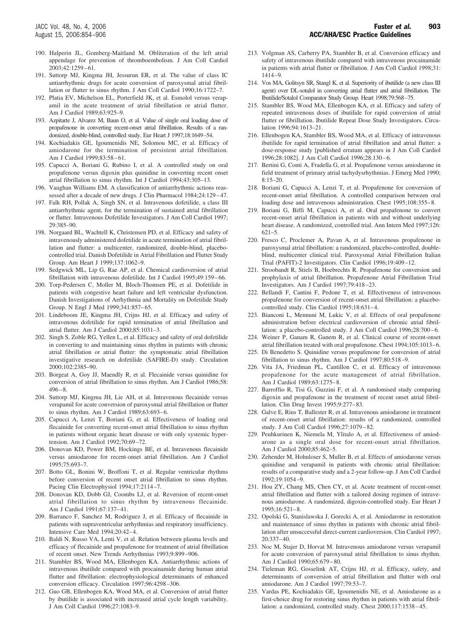- <span id="page-49-0"></span>190. Halperin JL, Gomberg-Maitland M. Obliteration of the left atrial appendage for prevention of thromboembolism. J Am Coll Cardiol 2003;42:1259 – 61.
- 191. Suttorp MJ, Kingma JH, Jessurun ER, et al. The value of class IC antiarrhythmic drugs for acute conversion of paroxysmal atrial fibrillation or flutter to sinus rhythm. J Am Coll Cardiol 1990;16:1722–7.
- 192. Platia EV, Michelson EL, Porterfield JK, et al. Esmolol versus verapamil in the acute treatment of atrial fibrillation or atrial flutter. Am J Cardiol 1989;63:925–9.
- 193. Azpitarte J, Alvarez M, Baun O, et al. Value of single oral loading dose of propafenone in converting recent-onset atrial fibrillation. Results of a randomized, double-blind, controlled study. Eur Heart J 1997;18:1649–54.
- 194. Kochiadakis GE, Igoumenidis NE, Solomou MC, et al. Efficacy of amiodarone for the termination of persistent atrial fibrillation. Am J Cardiol 1999;83:58-61.
- 195. Capucci A, Boriani G, Rubino I, et al. A controlled study on oral propafenone versus digoxin plus quinidine in converting recent onset atrial fibrillation to sinus rhythm. Int J Cardiol 1994;43:305–13.
- 196. Vaughan Williams EM. A classification of antiarrhythmic actions reassessed after a decade of new drugs. J Clin Pharmacol 1984;24:129 – 47.
- 197. Falk RH, Pollak A, Singh SN, et al. Intravenous dofetilide, a class III antiarrhythmic agent, for the termination of sustained atrial fibrillation or flutter. Intravenous Dofetilide Investigators. J Am Coll Cardiol 1997; 29:385–90.
- 198. Norgaard BL, Wachtell K, Christensen PD, et al. Efficacy and safety of intravenously administered dofetilide in acute termination of atrial fibrillation and flutter: a multicenter, randomized, double-blind, placebocontrolled trial. Danish Dofetilide in Atrial Fibrillation and Flutter Study Group. Am Heart J 1999;137:1062–9.
- 199. Sedgwick ML, Lip G, Rae AP, et al. Chemical cardioversion of atrial fibrillation with intravenous dofetilide. Int J Cardiol 1995;49:159 – 66.
- 200. Torp-Pedersen C, Moller M, Bloch-Thomsen PE, et al. Dofetilide in patients with congestive heart failure and left ventricular dysfunction. Danish Investigations of Arrhythmia and Mortality on Dofetilide Study Group. N Engl J Med 1999;341:857-65.
- 201. Lindeboom JE, Kingma JH, Crijns HJ, et al. Efficacy and safety of intravenous dofetilide for rapid termination of atrial fibrillation and atrial flutter. Am J Cardiol 2000;85:1031–3.
- 202. Singh S, Zoble RG, Yellen L, et al. Efficacy and safety of oral dofetilide in converting to and maintaining sinus rhythm in patients with chronic atrial fibrillation or atrial flutter: the symptomatic atrial fibrillation investigative research on dofetilide (SAFIRE-D) study. Circulation 2000;102:2385–90.
- 203. Borgeat A, Goy JJ, Maendly R, et al. Flecainide versus quinidine for conversion of atrial fibrillation to sinus rhythm. Am J Cardiol 1986;58:  $496 - 8.$
- 204. Suttorp MJ, Kingma JH, Lie AH, et al. Intravenous flecainide versus verapamil for acute conversion of paroxysmal atrial fibrillation or flutter to sinus rhythm. Am J Cardiol 1989;63:693-6.
- 205. Capucci A, Lenzi T, Boriani G, et al. Effectiveness of loading oral flecainide for converting recent-onset atrial fibrillation to sinus rhythm in patients without organic heart disease or with only systemic hypertension. Am J Cardiol 1992;70:69 –72.
- 206. Donovan KD, Power BM, Hockings BE, et al. Intravenous flecainide versus amiodarone for recent-onset atrial fibrillation. Am J Cardiol 1995;75:693–7.
- 207. Botto GL, Bonini W, Broffoni T, et al. Regular ventricular rhythms before conversion of recent onset atrial fibrillation to sinus rhythm. Pacing Clin Electrophysiol 1994;17:2114 –7.
- 208. Donovan KD, Dobb GJ, Coombs LJ, et al. Reversion of recent-onset atrial fibrillation to sinus rhythm by intravenous flecainide. Am J Cardiol 1991;67:137– 41.
- 209. Barranco F, Sanchez M, Rodriguez J, et al. Efficacy of flecainide in patients with supraventricular arrhythmias and respiratory insufficiency. Intensive Care Med 1994;20:42– 4.
- 210. Baldi N, Russo VA, Lenti V, et al. Relation between plasma levels and efficacy of flecainide and propafenone for treatment of atrial fibrillation of recent onset. New Trends Arrhythmias 1993;9:899 –906.
- 211. Stambler BS, Wood MA, Ellenbogen KA. Antiarrhythmic actions of intravenous ibutilide compared with procainamide during human atrial flutter and fibrillation: electrophysiological determinants of enhanced conversion efficacy. Circulation 1997;96:4298 –306.
- 212. Guo GB, Ellenbogen KA, Wood MA, et al. Conversion of atrial flutter by ibutilide is associated with increased atrial cycle length variability. J Am Coll Cardiol 1996;27:1083–9.
- 213. Volgman AS, Carberry PA, Stambler B, et al. Conversion efficacy and safety of intravenous ibutilide compared with intravenous procainamide in patients with atrial flutter or fibrillation. J Am Coll Cardiol 1998;31:  $1414 - 9$
- 214. Vos MA, Golitsyn SR, Stangl K, et al. Superiority of ibutilide (a new class III agent) over DL-sotalol in converting atrial flutter and atrial fibrillation. The Ibutilide/Sotalol Comparator Study Group. Heart 1998;79:568–75.
- 215. Stambler BS, Wood MA, Ellenbogen KA, et al. Efficacy and safety of repeated intravenous doses of ibutilide for rapid conversion of atrial flutter or fibrillation. Ibutilide Repeat Dose Study Investigators. Circulation 1996;94:1613–21.
- 216. Ellenbogen KA, Stambler BS, Wood MA, et al. Efficacy of intravenous ibutilide for rapid termination of atrial fibrillation and atrial flutter: a dose-response study [published erratum appears in J Am Coll Cardiol 1996;28:1082]. J Am Coll Cardiol 1996;28:130-6.
- 217. Bertini G, Conti A, Fradella G, et al. Propafenone versus amiodarone in field treatment of primary atrial tachydysrhythmias. J Emerg Med 1990; 8:15–20.
- 218. Boriani G, Capucci A, Lenzi T, et al. Propafenone for conversion of recent-onset atrial fibrillation. A controlled comparison between oral loading dose and intravenous administration. Chest 1995;108:355–8.
- 219. Boriani G, Biffi M, Capucci A, et al. Oral propafenone to convert recent-onset atrial fibrillation in patients with and without underlying heart disease. A randomized, controlled trial. Ann Intern Med 1997;126: 621–5.
- 220. Fresco C, Proclemer A, Pavan A, et al. Intravenous propafenone in paroxysmal atrial fibrillation: a randomized, placebo-controlled, doubleblind, multicenter clinical trial. Paroxysmal Atrial Fibrillation Italian Trial (PAFIT)-2 Investigators. Clin Cardiol 1996;19:409 –12.
- 221. Stroobandt R, Stiels B, Hoebrechts R. Propafenone for conversion and prophylaxis of atrial fibrillation. Propafenone Atrial Fibrillation Trial Investigators. Am J Cardiol 1997;79:418 –23.
- 222. Bellandi F, Cantini F, Pedone T, et al. Effectiveness of intravenous propafenone for conversion of recent-onset atrial fibrillation: a placebocontrolled study. Clin Cardiol 1995;18:631-4.
- 223. Bianconi L, Mennuni M, Lukic V, et al. Effects of oral propafenone administration before electrical cardioversion of chronic atrial fibrillation: a placebo-controlled study. J Am Coll Cardiol 1996;28:700-6.
- 224. Weiner P, Ganam R, Ganem R, et al. Clinical course of recent-onset atrial fibrillation treated with oral propafenone. Chest 1994;105:1013-6.
- 225. Di Benedetto S. Quinidine versus propafenone for conversion of atrial fibrillation to sinus rhythm. Am J Cardiol 1997;80:518 –9.
- 226. Vita JA, Friedman PL, Cantillon C, et al. Efficacy of intravenous propafenone for the acute management of atrial fibrillation. Am J Cardiol 1989;63:1275– 8.
- 227. Barroffio R, Tisi G, Guzzini F, et al. A randomised study comparing digoxin and propafenone in the treatment of recent onset atrial fibrillation. Clin Drug Invest 1995;9:277– 83.
- 228. Galve E, Rius T, Ballester R, et al. Intravenous amiodarone in treatment of recent-onset atrial fibrillation: results of a randomized, controlled study. J Am Coll Cardiol 1996;27:1079 – 82.
- 229. Peuhkurinen K, Niemela M, Ylitalo A, et al. Effectiveness of amiodarone as a single oral dose for recent-onset atrial fibrillation. Am J Cardiol 2000;85:462–5.
- 230. Zehender M, Hohnloser S, Muller B, et al. Effects of amiodarone versus quinidine and verapamil in patients with chronic atrial fibrillation: results of a comparative study and a 2-year follow-up. J Am Coll Cardiol 1992;19:1054 –9.
- 231. Hou ZY, Chang MS, Chen CY, et al. Acute treatment of recent-onset atrial fibrillation and flutter with a tailored dosing regimen of intravenous amiodarone. A randomized, digoxin-controlled study. Eur Heart J 1995;16:521– 8.
- 232. Opolski G, Stanislawska J, Gorecki A, et al. Amiodarone in restoration and maintenance of sinus rhythm in patients with chronic atrial fibrillation after unsuccessful direct-current cardioversion. Clin Cardiol 1997;  $20.337 - 40.$
- 233. Noc M, Stajer D, Horvat M. Intravenous amiodarone versus verapamil for acute conversion of paroxysmal atrial fibrillation to sinus rhythm. Am J Cardiol 1990;65:679 – 80.
- 234. Tieleman RG, Gosselink AT, Crijns HJ, et al. Efficacy, safety, and determinants of conversion of atrial fibrillation and flutter with oral amiodarone. Am J Cardiol 1997;79:53–7.
- 235. Vardas PE, Kochiadakis GE, Igoumenidis NE, et al. Amiodarone as a first-choice drug for restoring sinus rhythm in patients with atrial fibrillation: a randomized, controlled study. Chest 2000;117:1538 – 45.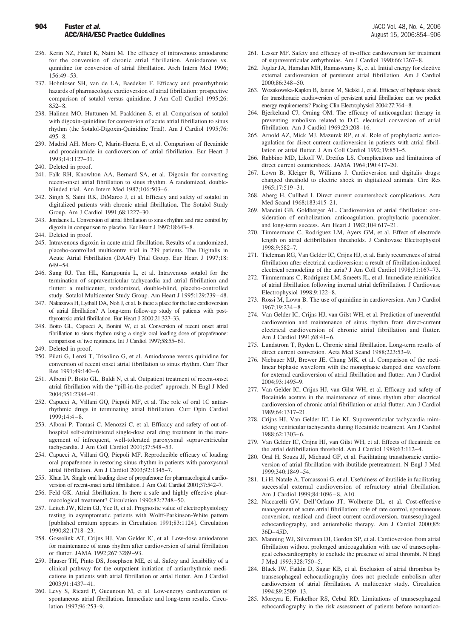- <span id="page-50-0"></span>236. Kerin NZ, Faitel K, Naini M. The efficacy of intravenous amiodarone for the conversion of chronic atrial fibrillation. Amiodarone vs. quinidine for conversion of atrial fibrillation. Arch Intern Med 1996; 156:49 –53.
- 237. Hohnloser SH, van de LA, Baedeker F. Efficacy and proarrhythmic hazards of pharmacologic cardioversion of atrial fibrillation: prospective comparison of sotalol versus quinidine. J Am Coll Cardiol 1995;26: 852– 8.
- 238. Halinen MO, Huttunen M, Paakkinen S, et al. Comparison of sotalol with digoxin-quinidine for conversion of acute atrial fibrillation to sinus rhythm (the Sotalol-Digoxin-Quinidine Trial). Am J Cardiol 1995;76:  $495 - 8.$
- 239. Madrid AH, Moro C, Marin-Huerta E, et al. Comparison of flecainide and procainamide in cardioversion of atrial fibrillation. Eur Heart J 1993;14:1127–31.
- 240. Deleted in proof.
- 241. Falk RH, Knowlton AA, Bernard SA, et al. Digoxin for converting recent-onset atrial fibrillation to sinus rhythm. A randomized, doubleblinded trial. Ann Intern Med 1987;106:503-6.
- 242. Singh S, Saini RK, DiMarco J, et al. Efficacy and safety of sotalol in digitalized patients with chronic atrial fibrillation. The Sotalol Study Group. Am J Cardiol 1991;68:1227–30.
- 243. Jordaens L. Conversion of atrial fibrillation to sinus rhythm and rate control by digoxin in comparison to placebo. Eur Heart J 1997;18:643–8.
- 244. Deleted in proof.
- 245. Intravenous digoxin in acute atrial fibrillation. Results of a randomized, placebo-controlled multicentre trial in 239 patients. The Digitalis in Acute Atrial Fibrillation (DAAF) Trial Group. Eur Heart J 1997;18: 649 –54.
- 246. Sung RJ, Tan HL, Karagounis L, et al. Intravenous sotalol for the termination of supraventricular tachycardia and atrial fibrillation and flutter: a multicenter, randomized, double-blind, placebo-controlled study. Sotalol Multicenter Study Group. Am Heart J 1995;129:739 – 48.
- 247. Nakazawa H, Lythall DA, Noh J, et al. Is there a place for the late cardioversion of atrial fibrillation? A long-term follow-up study of patients with postthyrotoxic atrial fibrillation. Eur Heart J 2000;21:327–33.
- 248. Botto GL, Capucci A, Bonini W, et al. Conversion of recent onset atrial fibrillation to sinus rhythm using a single oral loading dose of propafenone: comparison of two regimens. Int J Cardiol 1997;58:55–61.
- 249. Deleted in proof.
- 250. Pilati G, Lenzi T, Trisolino G, et al. Amiodarone versus quinidine for conversion of recent onset atrial fibrillation to sinus rhythm. Curr Ther Res  $1991:49:140-6$ .
- 251. Alboni P, Botto GL, Baldi N, et al. Outpatient treatment of recent-onset atrial fibrillation with the "pill-in-the-pocket" approach. N Engl J Med 2004;351:2384 –91.
- 252. Capucci A, Villani GQ, Piepoli MF, et al. The role of oral 1C antiarrhythmic drugs in terminating atrial fibrillation. Curr Opin Cardiol 1999;14:4 – 8.
- 253. Alboni P, Tomasi C, Menozzi C, et al. Efficacy and safety of out-ofhospital self-administered single-dose oral drug treatment in the management of infrequent, well-tolerated paroxysmal supraventricular tachycardia. J Am Coll Cardiol 2001;37:548 –53.
- 254. Capucci A, Villani GQ, Piepoli MF. Reproducible efficacy of loading oral propafenone in restoring sinus rhythm in patients with paroxysmal atrial fibrillation. Am J Cardiol 2003;92:1345–7.
- 255. Khan IA. Single oral loading dose of propafenone for pharmacological cardioversion of recent-onset atrial fibrillation. J Am Coll Cardiol 2001;37:542–7.
- 256. Feld GK. Atrial fibrillation. Is there a safe and highly effective pharmacological treatment? Circulation 1990;82:2248 –50.
- 257. Leitch JW, Klein GJ, Yee R, et al. Prognostic value of electrophysiology testing in asymptomatic patients with Wolff-Parkinson-White pattern [published erratum appears in Circulation 1991;83:1124]. Circulation 1990;82:1718 –23.
- 258. Gosselink AT, Crijns HJ, Van Gelder IC, et al. Low-dose amiodarone for maintenance of sinus rhythm after cardioversion of atrial fibrillation or flutter. JAMA 1992;267:3289 –93.
- 259. Hauser TH, Pinto DS, Josephson ME, et al. Safety and feasibility of a clinical pathway for the outpatient initiation of antiarrhythmic medications in patients with atrial fibrillation or atrial flutter. Am J Cardiol 2003;91:1437– 41.
- 260. Levy S, Ricard P, Gueunoun M, et al. Low-energy cardioversion of spontaneous atrial fibrillation. Immediate and long-term results. Circulation 1997;96:253–9.
- 261. Lesser MF. Safety and efficacy of in-office cardioversion for treatment of supraventricular arrhythmias. Am J Cardiol 1990;66:1267– 8.
- 262. Joglar JA, Hamdan MH, Ramaswamy K, et al. Initial energy for elective external cardioversion of persistent atrial fibrillation. Am J Cardiol 2000;86:348 –50.
- 263. Wozakowska-Kaplon B, Janion M, Sielski J, et al. Efficacy of biphasic shock for transthoracic cardioversion of persistent atrial fibrillation: can we predict energy requirements? Pacing Clin Electrophysiol 2004;27:764–8.
- 264. Bjerkelund CJ, Orning OM. The efficacy of anticoagulant therapy in preventing embolism related to D.C. electrical conversion of atrial fibrillation. Am J Cardiol 1969;23:208 –16.
- 265. Arnold AZ, Mick MJ, Mazurek RP, et al. Role of prophylactic anticoagulation for direct current cardioversion in patients with atrial fibrillation or atrial flutter. J Am Coll Cardiol 1992;19:851–5.
- 266. Rabbino MD, Likoff W, Dreifus LS. Complications and limitations of direct current countershock. JAMA 1964;190:417–20.
- 267. Lown B, Kleiger R, Williams J. Cardioversion and digitalis drugs: changed threshold to electric shock in digitalized animals. Circ Res 1965;17:519 –31.
- 268. Aberg H, Cullhed I. Direct current countershock complications. Acta Med Scand 1968;183:415–21.
- 269. Mancini GB, Goldberger AL. Cardioversion of atrial fibrillation: consideration of embolization, anticoagulation, prophylactic pacemaker, and long-term success. Am Heart J 1982;104:617–21.
- 270. Timmermans C, Rodriguez LM, Ayers GM, et al. Effect of electrode length on atrial defibrillation thresholds. J Cardiovasc Electrophysiol 1998;9:582–7.
- 271. Tieleman RG, Van Gelder IC, Crijns HJ, et al. Early recurrences of atrial fibrillation after electrical cardioversion: a result of fibrillation-induced electrical remodeling of the atria? J Am Coll Cardiol 1998;31:167–73.
- 272. Timmermans C, Rodriguez LM, Smeets JL, et al. Immediate reinitiation of atrial fibrillation following internal atrial defibrillation. J Cardiovasc Electrophysiol 1998;9:122– 8.
- 273. Rossi M, Lown B. The use of quinidine in cardioversion. Am J Cardiol 1967;19:234 – 8.
- 274. Van Gelder IC, Crijns HJ, van Gilst WH, et al. Prediction of uneventful cardioversion and maintenance of sinus rhythm from direct-current electrical cardioversion of chronic atrial fibrillation and flutter. Am J Cardiol 1991:68:41-6.
- 275. Lundstrom T, Ryden L. Chronic atrial fibrillation. Long-term results of direct current conversion. Acta Med Scand 1988;223:53–9.
- 276. Niebauer MJ, Brewer JE, Chung MK, et al. Comparison of the rectilinear biphasic waveform with the monophasic damped sine waveform for external cardioversion of atrial fibrillation and flutter. Am J Cardiol 2004;93:1495–9.
- 277. Van Gelder IC, Crijns HJ, van Gilst WH, et al. Efficacy and safety of flecainide acetate in the maintenance of sinus rhythm after electrical cardioversion of chronic atrial fibrillation or atrial flutter. Am J Cardiol 1989;64:1317–21.
- 278. Crijns HJ, Van Gelder IC, Lie KI. Supraventricular tachycardia mimicking ventricular tachycardia during flecainide treatment. Am J Cardiol 1988;62:1303– 6.
- 279. Van Gelder IC, Crijns HJ, van Gilst WH, et al. Effects of flecainide on the atrial defibrillation threshold. Am J Cardiol 1989;63:112-4.
- 280. Oral H, Souza JJ, Michaud GF, et al. Facilitating transthoracic cardioversion of atrial fibrillation with ibutilide pretreatment. N Engl J Med 1999;340:1849 –54.
- 281. Li H, Natale A, Tomassoni G, et al. Usefulness of ibutilide in facilitating successful external cardioversion of refractory atrial fibrillation. Am J Cardiol 1999;84:1096-8, A10.
- 282. Naccarelli GV, Dell'Orfano JT, Wolbrette DL, et al. Cost-effective management of acute atrial fibrillation: role of rate control, spontaneous conversion, medical and direct current cardioversion, transesophageal echocardiography, and antiembolic therapy. Am J Cardiol 2000;85: 36D– 45D.
- 283. Manning WJ, Silverman DI, Gordon SP, et al. Cardioversion from atrial fibrillation without prolonged anticoagulation with use of transesophageal echocardiography to exclude the presence of atrial thrombi. N Engl J Med 1993;328:750 –5.
- 284. Black IW, Fatkin D, Sagar KB, et al. Exclusion of atrial thrombus by transesophageal echocardiography does not preclude embolism after cardioversion of atrial fibrillation. A multicenter study. Circulation 1994;89:2509 –13.
- 285. Moreyra E, Finkelhor RS, Cebul RD. Limitations of transesophageal echocardiography in the risk assessment of patients before nonantico-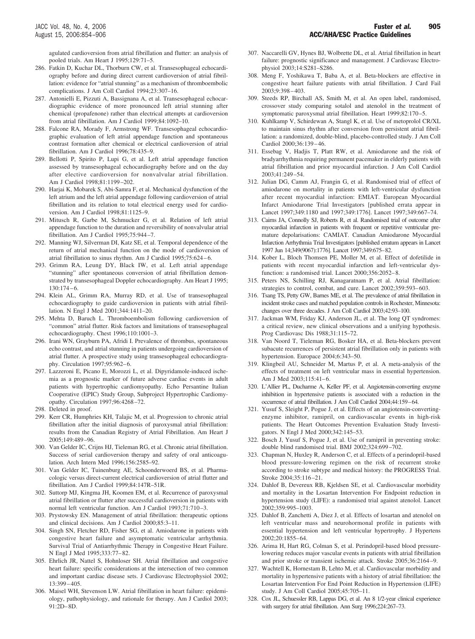<span id="page-51-0"></span>agulated cardioversion from atrial fibrillation and flutter: an analysis of pooled trials. Am Heart J 1995;129:71–5.

- 286. Fatkin D, Kuchar DL, Thorburn CW, et al. Transesophageal echocardiography before and during direct current cardioversion of atrial fibrillation: evidence for "atrial stunning" as a mechanism of thromboembolic complications. J Am Coll Cardiol 1994;23:307–16.
- 287. Antonielli E, Pizzuti A, Bassignana A, et al. Transesophageal echocardiographic evidence of more pronounced left atrial stunning after chemical (propafenone) rather than electrical attempts at cardioversion from atrial fibrillation. Am J Cardiol 1999;84:1092–10.
- 288. Falcone RA, Morady F, Armstrong WF. Transesophageal echocardiographic evaluation of left atrial appendage function and spontaneous contrast formation after chemical or electrical cardioversion of atrial fibrillation. Am J Cardiol 1996;78:435–9.
- 289. Bellotti P, Spirito P, Lupi G, et al. Left atrial appendage function assessed by transesophageal echocardiography before and on the day after elective cardioversion for nonvalvular atrial fibrillation. Am J Cardiol 1998;81:1199 –202.
- 290. Harjai K, Mobarek S, Abi-Samra F, et al. Mechanical dysfunction of the left atrium and the left atrial appendage following cardioversion of atrial fibrillation and its relation to total electrical energy used for cardioversion. Am J Cardiol 1998;81:1125–9.
- 291. Mitusch R, Garbe M, Schmucker G, et al. Relation of left atrial appendage function to the duration and reversibility of nonvalvular atrial fibrillation. Am J Cardiol 1995;75:944 –7.
- 292. Manning WJ, Silverman DI, Katz SE, et al. Temporal dependence of the return of atrial mechanical function on the mode of cardioversion of atrial fibrillation to sinus rhythm. Am J Cardiol 1995;75:624 – 6.
- 293. Grimm RA, Leung DY, Black IW, et al. Left atrial appendage "stunning" after spontaneous conversion of atrial fibrillation demonstrated by transesophageal Doppler echocardiography. Am Heart J 1995;  $130:174 - 6.$
- 294. Klein AL, Grimm RA, Murray RD, et al. Use of transesophageal echocardiography to guide cardioversion in patients with atrial fibrillation. N Engl J Med 2001;344:1411–20.
- 295. Mehta D, Baruch L. Thromboembolism following cardioversion of "common" atrial flutter. Risk factors and limitations of transesophageal echocardiography. Chest 1996;110:1001–3.
- 296. Irani WN, Grayburn PA, Afridi I. Prevalence of thrombus, spontaneous echo contrast, and atrial stunning in patients undergoing cardioversion of atrial flutter. A prospective study using transesophageal echocardiography. Circulation 1997;95:962-6.
- 297. Lazzeroni E, Picano E, Morozzi L, et al. Dipyridamole-induced ischemia as a prognostic marker of future adverse cardiac events in adult patients with hypertrophic cardiomyopathy. Echo Persantine Italian Cooperative (EPIC) Study Group, Subproject Hypertrophic Cardiomyopathy. Circulation 1997;96:4268 –72.
- 298. Deleted in proof.
- 299. Kerr CR, Humphries KH, Talajic M, et al. Progression to chronic atrial fibrillation after the initial diagnosis of paroxysmal atrial fibrillation: results from the Canadian Registry of Atrial Fibrillation. Am Heart J 2005;149:489 –96.
- 300. Van Gelder IC, Crijns HJ, Tieleman RG, et al. Chronic atrial fibrillation. Success of serial cardioversion therapy and safety of oral anticoagulation. Arch Intern Med 1996;156:2585–92.
- 301. Van Gelder IC, Tuinenburg AE, Schoonderwoerd BS, et al. Pharmacologic versus direct-current electrical cardioversion of atrial flutter and fibrillation. Am J Cardiol 1999;84:147R–51R.
- 302. Suttorp MJ, Kingma JH, Koomen EM, et al. Recurrence of paroxysmal atrial fibrillation or flutter after successful cardioversion in patients with normal left ventricular function. Am J Cardiol 1993;71:710 –3.
- 303. Prystowsky EN. Management of atrial fibrillation: therapeutic options and clinical decisions. Am J Cardiol 2000;85:3–11.
- 304. Singh SN, Fletcher RD, Fisher SG, et al. Amiodarone in patients with congestive heart failure and asymptomatic ventricular arrhythmia. Survival Trial of Antiarrhythmic Therapy in Congestive Heart Failure. N Engl J Med 1995;333:77– 82.
- 305. Ehrlich JR, Nattel S, Hohnloser SH. Atrial fibrillation and congestive heart failure: specific considerations at the intersection of two common and important cardiac disease sets. J Cardiovasc Electrophysiol 2002;  $13.399 - 405$
- 306. Maisel WH, Stevenson LW. Atrial fibrillation in heart failure: epidemiology, pathophysiology, and rationale for therapy. Am J Cardiol 2003;  $91.2D - 8D$
- 307. Naccarelli GV, Hynes BJ, Wolbrette DL, et al. Atrial fibrillation in heart failure: prognostic significance and management. J Cardiovasc Electrophysiol 2003;14:S281–S286.
- 308. Meng F, Yoshikawa T, Baba A, et al. Beta-blockers are effective in congestive heart failure patients with atrial fibrillation. J Card Fail 2003;9:398 – 403.
- 309. Steeds RP, Birchall AS, Smith M, et al. An open label, randomised, crossover study comparing sotalol and atenolol in the treatment of symptomatic paroxysmal atrial fibrillation. Heart 1999;82:170 –5.
- 310. Kuhlkamp V, Schirdewan A, Stangl K, et al. Use of metoprolol CR/XL to maintain sinus rhythm after conversion from persistent atrial fibrillation: a randomized, double-blind, placebo-controlled study. J Am Coll Cardiol 2000;36:139 – 46.
- 311. Essebag V, Hadjis T, Platt RW, et al. Amiodarone and the risk of bradyarrhythmia requiring permanent pacemaker in elderly patients with atrial fibrillation and prior myocardial infarction. J Am Coll Cardiol 2003;41:249 –54.
- 312. Julian DG, Camm AJ, Frangin G, et al. Randomised trial of effect of amiodarone on mortality in patients with left-ventricular dysfunction after recent myocardial infarction: EMIAT. European Myocardial Infarct Amiodarone Trial Investigators [published errata appear in Lancet 1997;349:1180 and 1997;349:1776]. Lancet 1997;349:667–74.
- 313. Cairns JA, Connolly SJ, Roberts R, et al. Randomised trial of outcome after myocardial infarction in patients with frequent or repetitive ventricular premature depolarisations: CAMIAT. Canadian Amiodarone Myocardial Infarction Arrhythmia Trial Investigators [published erratum appears in Lancet 1997 Jun 14;349(9067):1776]. Lancet 1997;349:675–82.
- 314. Kober L, Bloch Thomsen PE, Moller M, et al. Effect of dofetilide in patients with recent myocardial infarction and left-ventricular dysfunction: a randomised trial. Lancet 2000;356:2052-8.
- 315. Peters NS, Schilling RJ, Kanagaratnam P, et al. Atrial fibrillation: strategies to control, combat, and cure. Lancet 2002;359:593– 603.
- 316. Tsang TS, Petty GW, Barnes ME, et al. The prevalence of atrial fibrillation in incident stroke cases and matched population controls in Rochester, Minnesota: changes over three decades. J Am Coll Cardiol 2003;42:93–100.
- 317. Jackman WM, Friday KJ, Anderson JL, et al. The long QT syndromes: a critical review, new clinical observations and a unifying hypothesis. Prog Cardiovasc Dis 1988;31:115–72.
- 318. Van Noord T, Tieleman RG, Bosker HA, et al. Beta-blockers prevent subacute recurrences of persistent atrial fibrillation only in patients with hypertension. Europace 2004;6:343–50.
- 319. Klingbeil AU, Schneider M, Martus P, et al. A meta-analysis of the effects of treatment on left ventricular mass in essential hypertension. Am J Med 2003;115:41-6.
- 320. L'Allier PL, Ducharme A, Keller PF, et al. Angiotensin-converting enzyme inhibition in hypertensive patients is associated with a reduction in the occurrence of atrial fibrillation. J Am Coll Cardiol 2004;44:159–64.
- 321. Yusuf S, Sleight P, Pogue J, et al. Effects of an angiotensin-convertingenzyme inhibitor, ramipril, on cardiovascular events in high-risk patients. The Heart Outcomes Prevention Evaluation Study Investigators. N Engl J Med 2000;342:145–53.
- 322. Bosch J, Yusuf S, Pogue J, et al. Use of ramipril in preventing stroke: double blind randomised trial. BMJ 2002;324:699 –702.
- 323. Chapman N, Huxley R, Anderson C, et al. Effects of a perindopril-based blood pressure-lowering regimen on the risk of recurrent stroke according to stroke subtype and medical history: the PROGRESS Trial. Stroke 2004;35:116 –21.
- 324. Dahlof B, Devereux RB, Kjeldsen SE, et al. Cardiovascular morbidity and mortality in the Losartan Intervention For Endpoint reduction in hypertension study (LIFE): a randomised trial against atenolol. Lancet 2002;359:995–1003.
- 325. Dahlof B, Zanchetti A, Diez J, et al. Effects of losartan and atenolol on left ventricular mass and neurohormonal profile in patients with essential hypertension and left ventricular hypertrophy. J Hypertens 2002;20:1855– 64.
- 326. Arima H, Hart RG, Colman S, et al. Perindopril-based blood pressurelowering reduces major vascular events in patients with atrial fibrillation and prior stroke or transient ischemic attack. Stroke 2005;36:2164 –9.
- 327. Wachtell K, Hornestam B, Lehto M, et al. Cardiovascular morbidity and mortality in hypertensive patients with a history of atrial fibrillation: the Losartan Intervention For End Point Reduction in Hypertension (LIFE) study. J Am Coll Cardiol 2005;45:705–11.
- 328. Cox JL, Schuessler RB, Lappas DG, et al. An 8 1/2-year clinical experience with surgery for atrial fibrillation. Ann Surg 1996;224:267–73.